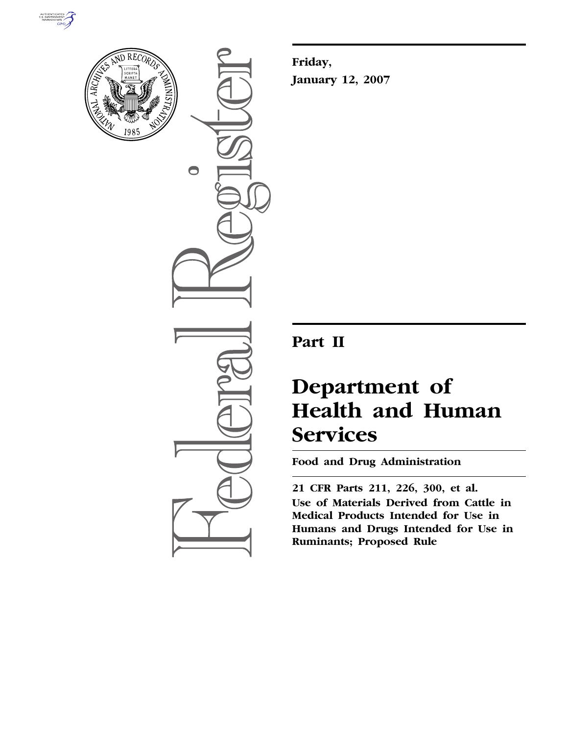



 $\bigcirc$ 

**Friday, January 12, 2007** 

## **Part II**

# **Department of Health and Human Services**

**Food and Drug Administration** 

**21 CFR Parts 211, 226, 300, et al. Use of Materials Derived from Cattle in Medical Products Intended for Use in Humans and Drugs Intended for Use in Ruminants; Proposed Rule**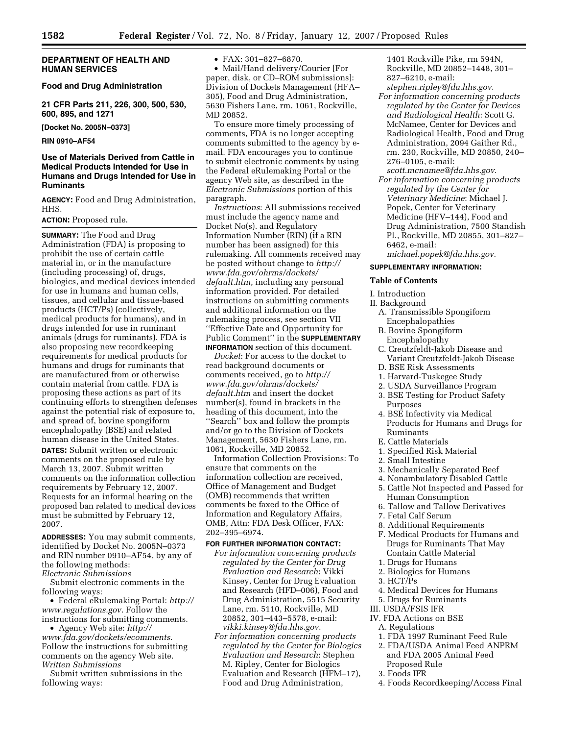## **DEPARTMENT OF HEALTH AND HUMAN SERVICES**

## **Food and Drug Administration**

**21 CFR Parts 211, 226, 300, 500, 530, 600, 895, and 1271** 

**[Docket No. 2005N–0373]** 

**RIN 0910–AF54** 

## **Use of Materials Derived from Cattle in Medical Products Intended for Use in Humans and Drugs Intended for Use in Ruminants**

**AGENCY:** Food and Drug Administration, HHS.

## **ACTION:** Proposed rule.

**SUMMARY:** The Food and Drug Administration (FDA) is proposing to prohibit the use of certain cattle material in, or in the manufacture (including processing) of, drugs, biologics, and medical devices intended for use in humans and human cells, tissues, and cellular and tissue-based products (HCT/Ps) (collectively, medical products for humans), and in drugs intended for use in ruminant animals (drugs for ruminants). FDA is also proposing new recordkeeping requirements for medical products for humans and drugs for ruminants that are manufactured from or otherwise contain material from cattle. FDA is proposing these actions as part of its continuing efforts to strengthen defenses against the potential risk of exposure to, and spread of, bovine spongiform encephalopathy (BSE) and related human disease in the United States.

**DATES:** Submit written or electronic comments on the proposed rule by March 13, 2007. Submit written comments on the information collection requirements by February 12, 2007. Requests for an informal hearing on the proposed ban related to medical devices must be submitted by February 12, 2007.

**ADDRESSES:** You may submit comments, identified by Docket No. 2005N–0373 and RIN number 0910–AF54, by any of the following methods: *Electronic Submissions* 

Submit electronic comments in the following ways:

• Federal eRulemaking Portal: *http:// www.regulations.gov*. Follow the instructions for submitting comments.

• Agency Web site: *http://* 

*www.fda.gov/dockets/ecomments*. Follow the instructions for submitting comments on the agency Web site. *Written Submissions* 

Submit written submissions in the following ways:

• FAX: 301–827–6870.

• Mail/Hand delivery/Courier [For paper, disk, or CD–ROM submissions]: Division of Dockets Management (HFA– 305), Food and Drug Administration, 5630 Fishers Lane, rm. 1061, Rockville, MD 20852.

To ensure more timely processing of comments, FDA is no longer accepting comments submitted to the agency by email. FDA encourages you to continue to submit electronic comments by using the Federal eRulemaking Portal or the agency Web site, as described in the *Electronic Submissions* portion of this paragraph.

*Instructions*: All submissions received must include the agency name and Docket No(s). and Regulatory Information Number (RIN) (if a RIN number has been assigned) for this rulemaking. All comments received may be posted without change to *http:// www.fda.gov/ohrms/dockets/ default.htm*, including any personal information provided. For detailed instructions on submitting comments and additional information on the rulemaking process, see section VII ''Effective Date and Opportunity for Public Comment'' in the **SUPPLEMENTARY INFORMATION** section of this document.

*Docket*: For access to the docket to read background documents or comments received, go to *http:// www.fda.gov/ohrms/dockets/ default.htm* and insert the docket number(s), found in brackets in the heading of this document, into the ''Search'' box and follow the prompts and/or go to the Division of Dockets Management, 5630 Fishers Lane, rm. 1061, Rockville, MD 20852.

Information Collection Provisions: To ensure that comments on the information collection are received, Office of Management and Budget (OMB) recommends that written comments be faxed to the Office of Information and Regulatory Affairs, OMB, Attn: FDA Desk Officer, FAX: 202–395–6974.

## **FOR FURTHER INFORMATION CONTACT:**

- *For information concerning products regulated by the Center for Drug Evaluation and Research*: Vikki Kinsey, Center for Drug Evaluation and Research (HFD–006), Food and Drug Administration, 5515 Security Lane, rm. 5110, Rockville, MD 20852, 301–443–5578, e-mail: *vikki.kinsey@fda.hhs.gov*.
- *For information concerning products regulated by the Center for Biologics Evaluation and Research*: Stephen M. Ripley, Center for Biologics Evaluation and Research (HFM–17), Food and Drug Administration,

1401 Rockville Pike, rm 594N, Rockville, MD 20852–1448, 301– 827–6210, e-mail:

- *stephen.ripley@fda.hhs.gov*. *For information concerning products regulated by the Center for Devices and Radiological Health*: Scott G. McNamee, Center for Devices and Radiological Health, Food and Drug Administration, 2094 Gaither Rd., rm. 230, Rockville, MD 20850, 240– 276–0105, e-mail:
- *scott.mcnamee@fda.hhs.gov*. *For information concerning products regulated by the Center for Veterinary Medicine*: Michael J. Popek, Center for Veterinary Medicine (HFV–144), Food and Drug Administration, 7500 Standish Pl., Rockville, MD 20855, 301–827– 6462, e-mail: *michael.popek@fda.hhs.gov*.

## **SUPPLEMENTARY INFORMATION:**

## **Table of Contents**

### I. Introduction

- II. Background
	- A. Transmissible Spongiform Encephalopathies
	- B. Bovine Spongiform Encephalopathy
	- C. Creutzfeldt-Jakob Disease and Variant Creutzfeldt-Jakob Disease
	- D. BSE Risk Assessments
	- 1. Harvard-Tuskegee Study
	- 2. USDA Surveillance Program
	- 3. BSE Testing for Product Safety Purposes
	- 4. BSE Infectivity via Medical Products for Humans and Drugs for Ruminants
	- E. Cattle Materials
	- 1. Specified Risk Material
	- 2. Small Intestine
	- 3. Mechanically Separated Beef
	- 4. Nonambulatory Disabled Cattle
- 5. Cattle Not Inspected and Passed for
- Human Consumption
- 6. Tallow and Tallow Derivatives
- 7. Fetal Calf Serum
- 8. Additional Requirements
- F. Medical Products for Humans and Drugs for Ruminants That May Contain Cattle Material
- 1. Drugs for Humans
- 2. Biologics for Humans
- 3. HCT/Ps
- 4. Medical Devices for Humans
- 5. Drugs for Ruminants
- III. USDA/FSIS IFR
- IV. FDA Actions on BSE
- A. Regulations
- 1. FDA 1997 Ruminant Feed Rule
- 2. FDA/USDA Animal Feed ANPRM and FDA 2005 Animal Feed Proposed Rule
- 3. Foods IFR
- 4. Foods Recordkeeping/Access Final
-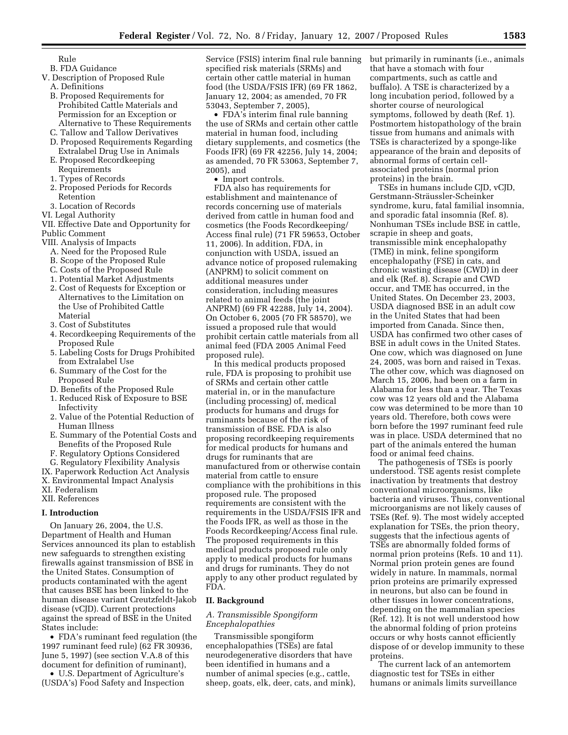- Rule
- B. FDA Guidance
- V. Description of Proposed Rule
	- A. Definitions
	- B. Proposed Requirements for Prohibited Cattle Materials and Permission for an Exception or Alternative to These Requirements
	- C. Tallow and Tallow Derivatives
	- D. Proposed Requirements Regarding Extralabel Drug Use in Animals
	- E. Proposed Recordkeeping Requirements
	- 1. Types of Records
	- 2. Proposed Periods for Records Retention
	- 3. Location of Records
- VI. Legal Authority
- VII. Effective Date and Opportunity for Public Comment
- VIII. Analysis of Impacts
	- A. Need for the Proposed Rule
	- B. Scope of the Proposed Rule
	- C. Costs of the Proposed Rule
	- 1. Potential Market Adjustments
	- 2. Cost of Requests for Exception or Alternatives to the Limitation on the Use of Prohibited Cattle Material
	- 3. Cost of Substitutes
	- 4. Recordkeeping Requirements of the Proposed Rule
	- 5. Labeling Costs for Drugs Prohibited from Extralabel Use
	- 6. Summary of the Cost for the Proposed Rule
	- D. Benefits of the Proposed Rule
	- 1. Reduced Risk of Exposure to BSE Infectivity
	- 2. Value of the Potential Reduction of Human Illness
	- E. Summary of the Potential Costs and Benefits of the Proposed Rule
	- F. Regulatory Options Considered
- G. Regulatory Flexibility Analysis
- IX. Paperwork Reduction Act Analysis
- X. Environmental Impact Analysis
- XI. Federalism
- XII. References

#### **I. Introduction**

On January 26, 2004, the U.S. Department of Health and Human Services announced its plan to establish new safeguards to strengthen existing firewalls against transmission of BSE in the United States. Consumption of products contaminated with the agent that causes BSE has been linked to the human disease variant Creutzfeldt-Jakob disease (vCJD). Current protections against the spread of BSE in the United States include:

• FDA's ruminant feed regulation (the 1997 ruminant feed rule) (62 FR 30936, June 5, 1997) (see section V.A.8 of this document for definition of ruminant),

• U.S. Department of Agriculture's (USDA's) Food Safety and Inspection

Service (FSIS) interim final rule banning specified risk materials (SRMs) and certain other cattle material in human food (the USDA/FSIS IFR) (69 FR 1862, January 12, 2004; as amended, 70 FR 53043, September 7, 2005),

• FDA's interim final rule banning the use of SRMs and certain other cattle material in human food, including dietary supplements, and cosmetics (the Foods IFR) (69 FR 42256, July 14, 2004; as amended, 70 FR 53063, September 7, 2005), and

• Import controls.

FDA also has requirements for establishment and maintenance of records concerning use of materials derived from cattle in human food and cosmetics (the Foods Recordkeeping/ Access final rule) (71 FR 59653, October 11, 2006). In addition, FDA, in conjunction with USDA, issued an advance notice of proposed rulemaking (ANPRM) to solicit comment on additional measures under consideration, including measures related to animal feeds (the joint ANPRM) (69 FR 42288, July 14, 2004). On October 6, 2005 (70 FR 58570), we issued a proposed rule that would prohibit certain cattle materials from all animal feed (FDA 2005 Animal Feed proposed rule).

In this medical products proposed rule, FDA is proposing to prohibit use of SRMs and certain other cattle material in, or in the manufacture (including processing) of, medical products for humans and drugs for ruminants because of the risk of transmission of BSE. FDA is also proposing recordkeeping requirements for medical products for humans and drugs for ruminants that are manufactured from or otherwise contain material from cattle to ensure compliance with the prohibitions in this proposed rule. The proposed requirements are consistent with the requirements in the USDA/FSIS IFR and the Foods IFR, as well as those in the Foods Recordkeeping/Access final rule. The proposed requirements in this medical products proposed rule only apply to medical products for humans and drugs for ruminants. They do not apply to any other product regulated by FDA.

## **II. Background**

## *A. Transmissible Spongiform Encephalopathies*

Transmissible spongiform encephalopathies (TSEs) are fatal neurodegenerative disorders that have been identified in humans and a number of animal species (e.g., cattle, sheep, goats, elk, deer, cats, and mink), but primarily in ruminants (i.e., animals that have a stomach with four compartments, such as cattle and buffalo). A TSE is characterized by a long incubation period, followed by a shorter course of neurological symptoms, followed by death (Ref. 1). Postmortem histopathology of the brain tissue from humans and animals with TSEs is characterized by a sponge-like appearance of the brain and deposits of abnormal forms of certain cellassociated proteins (normal prion proteins) in the brain.

TSEs in humans include CJD, vCJD, Gerstmann-Sträussler-Scheinker syndrome, kuru, fatal familial insomnia, and sporadic fatal insomnia (Ref. 8). Nonhuman TSEs include BSE in cattle, scrapie in sheep and goats, transmissible mink encephalopathy (TME) in mink, feline spongiform encephalopathy (FSE) in cats, and chronic wasting disease (CWD) in deer and elk (Ref. 8). Scrapie and CWD occur, and TME has occurred, in the United States. On December 23, 2003, USDA diagnosed BSE in an adult cow in the United States that had been imported from Canada. Since then, USDA has confirmed two other cases of BSE in adult cows in the United States. One cow, which was diagnosed on June 24, 2005, was born and raised in Texas. The other cow, which was diagnosed on March 15, 2006, had been on a farm in Alabama for less than a year. The Texas cow was 12 years old and the Alabama cow was determined to be more than 10 years old. Therefore, both cows were born before the 1997 ruminant feed rule was in place. USDA determined that no part of the animals entered the human food or animal feed chains.

The pathogenesis of TSEs is poorly understood. TSE agents resist complete inactivation by treatments that destroy conventional microorganisms, like bacteria and viruses. Thus, conventional microorganisms are not likely causes of TSEs (Ref. 9). The most widely accepted explanation for TSEs, the prion theory, suggests that the infectious agents of TSEs are abnormally folded forms of normal prion proteins (Refs. 10 and 11). Normal prion protein genes are found widely in nature. In mammals, normal prion proteins are primarily expressed in neurons, but also can be found in other tissues in lower concentrations, depending on the mammalian species (Ref. 12). It is not well understood how the abnormal folding of prion proteins occurs or why hosts cannot efficiently dispose of or develop immunity to these proteins.

The current lack of an antemortem diagnostic test for TSEs in either humans or animals limits surveillance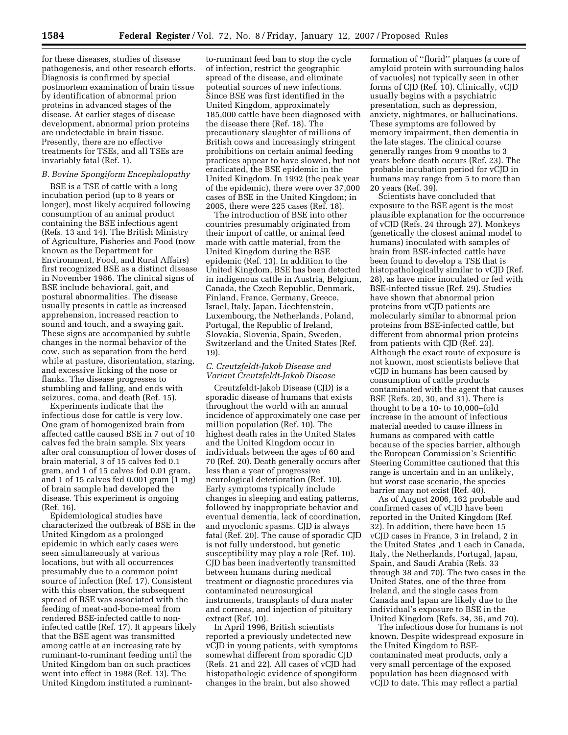for these diseases, studies of disease pathogenesis, and other research efforts. Diagnosis is confirmed by special postmortem examination of brain tissue by identification of abnormal prion proteins in advanced stages of the disease. At earlier stages of disease development, abnormal prion proteins are undetectable in brain tissue. Presently, there are no effective treatments for TSEs, and all TSEs are invariably fatal (Ref. 1).

## *B. Bovine Spongiform Encephalopathy*

BSE is a TSE of cattle with a long incubation period (up to 8 years or longer), most likely acquired following consumption of an animal product containing the BSE infectious agent (Refs. 13 and 14). The British Ministry of Agriculture, Fisheries and Food (now known as the Department for Environment, Food, and Rural Affairs) first recognized BSE as a distinct disease in November 1986. The clinical signs of BSE include behavioral, gait, and postural abnormalities. The disease usually presents in cattle as increased apprehension, increased reaction to sound and touch, and a swaying gait. These signs are accompanied by subtle changes in the normal behavior of the cow, such as separation from the herd while at pasture, disorientation, staring, and excessive licking of the nose or flanks. The disease progresses to stumbling and falling, and ends with seizures, coma, and death (Ref. 15).

Experiments indicate that the infectious dose for cattle is very low. One gram of homogenized brain from affected cattle caused BSE in 7 out of 10 calves fed the brain sample. Six years after oral consumption of lower doses of brain material, 3 of 15 calves fed 0.1 gram, and 1 of 15 calves fed 0.01 gram, and 1 of 15 calves fed 0.001 gram (1 mg) of brain sample had developed the disease. This experiment is ongoing (Ref. 16).

Epidemiological studies have characterized the outbreak of BSE in the United Kingdom as a prolonged epidemic in which early cases were seen simultaneously at various locations, but with all occurrences presumably due to a common point source of infection (Ref. 17). Consistent with this observation, the subsequent spread of BSE was associated with the feeding of meat-and-bone-meal from rendered BSE-infected cattle to noninfected cattle (Ref. 17). It appears likely that the BSE agent was transmitted among cattle at an increasing rate by ruminant-to-ruminant feeding until the United Kingdom ban on such practices went into effect in 1988 (Ref. 13). The United Kingdom instituted a ruminantto-ruminant feed ban to stop the cycle of infection, restrict the geographic spread of the disease, and eliminate potential sources of new infections. Since BSE was first identified in the United Kingdom, approximately 185,000 cattle have been diagnosed with the disease there (Ref. 18). The precautionary slaughter of millions of British cows and increasingly stringent prohibitions on certain animal feeding practices appear to have slowed, but not eradicated, the BSE epidemic in the United Kingdom. In 1992 (the peak year of the epidemic), there were over 37,000 cases of BSE in the United Kingdom; in 2005, there were 225 cases (Ref. 18).

The introduction of BSE into other countries presumably originated from their import of cattle, or animal feed made with cattle material, from the United Kingdom during the BSE epidemic (Ref. 13). In addition to the United Kingdom, BSE has been detected in indigenous cattle in Austria, Belgium, Canada, the Czech Republic, Denmark, Finland, France, Germany, Greece, Israel, Italy, Japan, Liechtenstein, Luxembourg, the Netherlands, Poland, Portugal, the Republic of Ireland, Slovakia, Slovenia, Spain, Sweden, Switzerland and the United States (Ref. 19).

## *C. Creutzfeldt-Jakob Disease and Variant Creutzfeldt-Jakob Disease*

Creutzfeldt-Jakob Disease (CJD) is a sporadic disease of humans that exists throughout the world with an annual incidence of approximately one case per million population (Ref. 10). The highest death rates in the United States and the United Kingdom occur in individuals between the ages of 60 and 70 (Ref. 20). Death generally occurs after less than a year of progressive neurological deterioration (Ref. 10). Early symptoms typically include changes in sleeping and eating patterns, followed by inappropriate behavior and eventual dementia, lack of coordination, and myoclonic spasms. CJD is always fatal (Ref. 20). The cause of sporadic CJD is not fully understood, but genetic susceptibility may play a role (Ref. 10). CJD has been inadvertently transmitted between humans during medical treatment or diagnostic procedures via contaminated neurosurgical instruments, transplants of dura mater and corneas, and injection of pituitary extract (Ref. 10).

In April 1996, British scientists reported a previously undetected new vCJD in young patients, with symptoms somewhat different from sporadic CJD (Refs. 21 and 22). All cases of vCJD had histopathologic evidence of spongiform changes in the brain, but also showed

formation of ''florid'' plaques (a core of amyloid protein with surrounding halos of vacuoles) not typically seen in other forms of CJD (Ref. 10). Clinically, vCJD usually begins with a psychiatric presentation, such as depression, anxiety, nightmares, or hallucinations. These symptoms are followed by memory impairment, then dementia in the late stages. The clinical course generally ranges from 9 months to 3 years before death occurs (Ref. 23). The probable incubation period for vCJD in humans may range from 5 to more than 20 years (Ref. 39).

Scientists have concluded that exposure to the BSE agent is the most plausible explanation for the occurrence of vCJD (Refs. 24 through 27). Monkeys (genetically the closest animal model to humans) inoculated with samples of brain from BSE-infected cattle have been found to develop a TSE that is histopathologically similar to vCJD (Ref. 28), as have mice inoculated or fed with BSE-infected tissue (Ref. 29). Studies have shown that abnormal prion proteins from vCJD patients are molecularly similar to abnormal prion proteins from BSE-infected cattle, but different from abnormal prion proteins from patients with CJD (Ref. 23). Although the exact route of exposure is not known, most scientists believe that vCJD in humans has been caused by consumption of cattle products contaminated with the agent that causes BSE (Refs. 20, 30, and 31). There is thought to be a 10- to 10,000–fold increase in the amount of infectious material needed to cause illness in humans as compared with cattle because of the species barrier, although the European Commission's Scientific Steering Committee cautioned that this range is uncertain and in an unlikely, but worst case scenario, the species barrier may not exist (Ref. 40).

As of August 2006, 162 probable and confirmed cases of vCJD have been reported in the United Kingdom (Ref. 32). In addition, there have been 15 vCJD cases in France, 3 in Ireland, 2 in the United States ,and 1 each in Canada, Italy, the Netherlands, Portugal, Japan, Spain, and Saudi Arabia (Refs. 33 through 38 and 70). The two cases in the United States, one of the three from Ireland, and the single cases from Canada and Japan are likely due to the individual's exposure to BSE in the United Kingdom (Refs. 34, 36, and 70).

The infectious dose for humans is not known. Despite widespread exposure in the United Kingdom to BSEcontaminated meat products, only a very small percentage of the exposed population has been diagnosed with vCJD to date. This may reflect a partial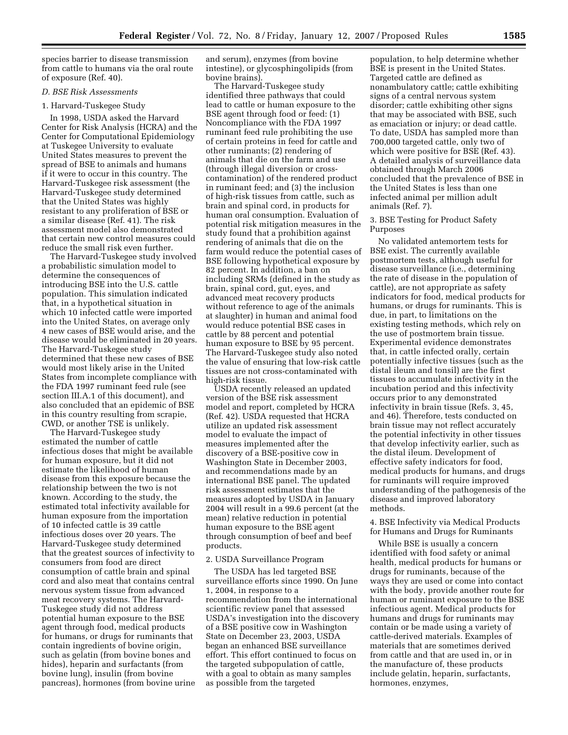species barrier to disease transmission from cattle to humans via the oral route of exposure (Ref. 40).

### *D. BSE Risk Assessments*

#### 1. Harvard-Tuskegee Study

In 1998, USDA asked the Harvard Center for Risk Analysis (HCRA) and the Center for Computational Epidemiology at Tuskegee University to evaluate United States measures to prevent the spread of BSE to animals and humans if it were to occur in this country. The Harvard-Tuskegee risk assessment (the Harvard-Tuskegee study determined that the United States was highly resistant to any proliferation of BSE or a similar disease (Ref. 41). The risk assessment model also demonstrated that certain new control measures could reduce the small risk even further.

The Harvard-Tuskegee study involved a probabilistic simulation model to determine the consequences of introducing BSE into the U.S. cattle population. This simulation indicated that, in a hypothetical situation in which 10 infected cattle were imported into the United States, on average only 4 new cases of BSE would arise, and the disease would be eliminated in 20 years. The Harvard-Tuskegee study determined that these new cases of BSE would most likely arise in the United States from incomplete compliance with the FDA 1997 ruminant feed rule (see section III.A.1 of this document), and also concluded that an epidemic of BSE in this country resulting from scrapie, CWD, or another TSE is unlikely.

The Harvard-Tuskegee study estimated the number of cattle infectious doses that might be available for human exposure, but it did not estimate the likelihood of human disease from this exposure because the relationship between the two is not known. According to the study, the estimated total infectivity available for human exposure from the importation of 10 infected cattle is 39 cattle infectious doses over 20 years. The Harvard-Tuskegee study determined that the greatest sources of infectivity to consumers from food are direct consumption of cattle brain and spinal cord and also meat that contains central nervous system tissue from advanced meat recovery systems. The Harvard-Tuskegee study did not address potential human exposure to the BSE agent through food, medical products for humans, or drugs for ruminants that contain ingredients of bovine origin, such as gelatin (from bovine bones and hides), heparin and surfactants (from bovine lung), insulin (from bovine pancreas), hormones (from bovine urine and serum), enzymes (from bovine intestine), or glycosphingolipids (from bovine brains).

The Harvard-Tuskegee study identified three pathways that could lead to cattle or human exposure to the BSE agent through food or feed: (1) Noncompliance with the FDA 1997 ruminant feed rule prohibiting the use of certain proteins in feed for cattle and other ruminants; (2) rendering of animals that die on the farm and use (through illegal diversion or crosscontamination) of the rendered product in ruminant feed; and (3) the inclusion of high-risk tissues from cattle, such as brain and spinal cord, in products for human oral consumption. Evaluation of potential risk mitigation measures in the study found that a prohibition against rendering of animals that die on the farm would reduce the potential cases of BSE following hypothetical exposure by 82 percent. In addition, a ban on including SRMs (defined in the study as brain, spinal cord, gut, eyes, and advanced meat recovery products without reference to age of the animals at slaughter) in human and animal food would reduce potential BSE cases in cattle by 88 percent and potential human exposure to BSE by 95 percent. The Harvard-Tuskegee study also noted the value of ensuring that low-risk cattle tissues are not cross-contaminated with high-risk tissue.

USDA recently released an updated version of the BSE risk assessment model and report, completed by HCRA (Ref. 42). USDA requested that HCRA utilize an updated risk assessment model to evaluate the impact of measures implemented after the discovery of a BSE-positive cow in Washington State in December 2003, and recommendations made by an international BSE panel. The updated risk assessment estimates that the measures adopted by USDA in January 2004 will result in a 99.6 percent (at the mean) relative reduction in potential human exposure to the BSE agent through consumption of beef and beef products.

## 2. USDA Surveillance Program

The USDA has led targeted BSE surveillance efforts since 1990. On June 1, 2004, in response to a recommendation from the international scientific review panel that assessed USDA's investigation into the discovery of a BSE positive cow in Washington State on December 23, 2003, USDA began an enhanced BSE surveillance effort. This effort continued to focus on the targeted subpopulation of cattle, with a goal to obtain as many samples as possible from the targeted

population, to help determine whether BSE is present in the United States. Targeted cattle are defined as nonambulatory cattle; cattle exhibiting signs of a central nervous system disorder; cattle exhibiting other signs that may be associated with BSE, such as emaciation or injury; or dead cattle. To date, USDA has sampled more than 700,000 targeted cattle, only two of which were positive for BSE (Ref. 43). A detailed analysis of surveillance data obtained through March 2006 concluded that the prevalence of BSE in the United States is less than one infected animal per million adult animals (Ref. 7).

## 3. BSE Testing for Product Safety Purposes

No validated antemortem tests for BSE exist. The currently available postmortem tests, although useful for disease surveillance (i.e., determining the rate of disease in the population of cattle), are not appropriate as safety indicators for food, medical products for humans, or drugs for ruminants. This is due, in part, to limitations on the existing testing methods, which rely on the use of postmortem brain tissue. Experimental evidence demonstrates that, in cattle infected orally, certain potentially infective tissues (such as the distal ileum and tonsil) are the first tissues to accumulate infectivity in the incubation period and this infectivity occurs prior to any demonstrated infectivity in brain tissue (Refs. 3, 45, and 46). Therefore, tests conducted on brain tissue may not reflect accurately the potential infectivity in other tissues that develop infectivity earlier, such as the distal ileum. Development of effective safety indicators for food, medical products for humans, and drugs for ruminants will require improved understanding of the pathogenesis of the disease and improved laboratory methods.

4. BSE Infectivity via Medical Products for Humans and Drugs for Ruminants

While BSE is usually a concern identified with food safety or animal health, medical products for humans or drugs for ruminants, because of the ways they are used or come into contact with the body, provide another route for human or ruminant exposure to the BSE infectious agent. Medical products for humans and drugs for ruminants may contain or be made using a variety of cattle-derived materials. Examples of materials that are sometimes derived from cattle and that are used in, or in the manufacture of, these products include gelatin, heparin, surfactants, hormones, enzymes,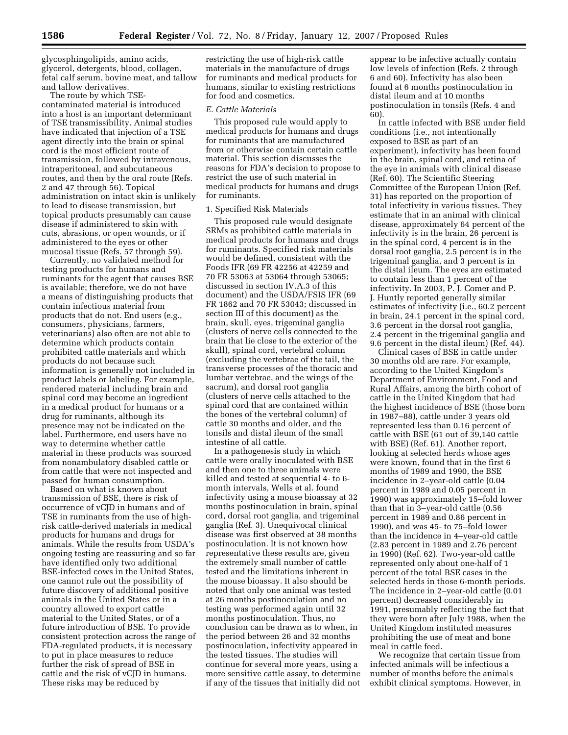glycosphingolipids, amino acids, glycerol, detergents, blood, collagen, fetal calf serum, bovine meat, and tallow and tallow derivatives.

The route by which TSEcontaminated material is introduced into a host is an important determinant of TSE transmissibility. Animal studies have indicated that injection of a TSE agent directly into the brain or spinal cord is the most efficient route of transmission, followed by intravenous, intraperitoneal, and subcutaneous routes, and then by the oral route (Refs. 2 and 47 through 56). Topical administration on intact skin is unlikely to lead to disease transmission, but topical products presumably can cause disease if administered to skin with cuts, abrasions, or open wounds, or if administered to the eyes or other mucosal tissue (Refs. 57 through 59).

Currently, no validated method for testing products for humans and ruminants for the agent that causes BSE is available; therefore, we do not have a means of distinguishing products that contain infectious material from products that do not. End users (e.g., consumers, physicians, farmers, veterinarians) also often are not able to determine which products contain prohibited cattle materials and which products do not because such information is generally not included in product labels or labeling. For example, rendered material including brain and spinal cord may become an ingredient in a medical product for humans or a drug for ruminants, although its presence may not be indicated on the label. Furthermore, end users have no way to determine whether cattle material in these products was sourced from nonambulatory disabled cattle or from cattle that were not inspected and passed for human consumption.

Based on what is known about transmission of BSE, there is risk of occurrence of vCJD in humans and of TSE in ruminants from the use of highrisk cattle-derived materials in medical products for humans and drugs for animals. While the results from USDA's ongoing testing are reassuring and so far have identified only two additional BSE-infected cows in the United States, one cannot rule out the possibility of future discovery of additional positive animals in the United States or in a country allowed to export cattle material to the United States, or of a future introduction of BSE. To provide consistent protection across the range of FDA-regulated products, it is necessary to put in place measures to reduce further the risk of spread of BSE in cattle and the risk of vCJD in humans. These risks may be reduced by

restricting the use of high-risk cattle materials in the manufacture of drugs for ruminants and medical products for humans, similar to existing restrictions for food and cosmetics.

#### *E. Cattle Materials*

This proposed rule would apply to medical products for humans and drugs for ruminants that are manufactured from or otherwise contain certain cattle material. This section discusses the reasons for FDA's decision to propose to restrict the use of such material in medical products for humans and drugs for ruminants.

#### 1. Specified Risk Materials

This proposed rule would designate SRMs as prohibited cattle materials in medical products for humans and drugs for ruminants. Specified risk materials would be defined, consistent with the Foods IFR (69 FR 42256 at 42259 and 70 FR 53063 at 53064 through 53065; discussed in section IV.A.3 of this document) and the USDA/FSIS IFR (69 FR 1862 and 70 FR 53043; discussed in section III of this document) as the brain, skull, eyes, trigeminal ganglia (clusters of nerve cells connected to the brain that lie close to the exterior of the skull), spinal cord, vertebral column (excluding the vertebrae of the tail, the transverse processes of the thoracic and lumbar vertebrae, and the wings of the sacrum), and dorsal root ganglia (clusters of nerve cells attached to the spinal cord that are contained within the bones of the vertebral column) of cattle 30 months and older, and the tonsils and distal ileum of the small intestine of all cattle.

In a pathogenesis study in which cattle were orally inoculated with BSE and then one to three animals were killed and tested at sequential 4- to 6 month intervals, Wells et al. found infectivity using a mouse bioassay at 32 months postinoculation in brain, spinal cord, dorsal root ganglia, and trigeminal ganglia (Ref. 3). Unequivocal clinical disease was first observed at 38 months postinoculation. It is not known how representative these results are, given the extremely small number of cattle tested and the limitations inherent in the mouse bioassay. It also should be noted that only one animal was tested at 26 months postinoculation and no testing was performed again until 32 months postinoculation. Thus, no conclusion can be drawn as to when, in the period between 26 and 32 months postinoculation, infectivity appeared in the tested tissues. The studies will continue for several more years, using a more sensitive cattle assay, to determine if any of the tissues that initially did not

appear to be infective actually contain low levels of infection (Refs. 2 through 6 and 60). Infectivity has also been found at 6 months postinoculation in distal ileum and at 10 months postinoculation in tonsils (Refs. 4 and 60).

In cattle infected with BSE under field conditions (i.e., not intentionally exposed to BSE as part of an experiment), infectivity has been found in the brain, spinal cord, and retina of the eye in animals with clinical disease (Ref. 60). The Scientific Steering Committee of the European Union (Ref. 31) has reported on the proportion of total infectivity in various tissues. They estimate that in an animal with clinical disease, approximately 64 percent of the infectivity is in the brain, 26 percent is in the spinal cord, 4 percent is in the dorsal root ganglia, 2.5 percent is in the trigeminal ganglia, and 3 percent is in the distal ileum. The eyes are estimated to contain less than 1 percent of the infectivity. In 2003, P. J. Comer and P. J. Huntly reported generally similar estimates of infectivity (i.e., 60.2 percent in brain, 24.1 percent in the spinal cord, 3.6 percent in the dorsal root ganglia, 2.4 percent in the trigeminal ganglia and 9.6 percent in the distal ileum) (Ref. 44).

Clinical cases of BSE in cattle under 30 months old are rare. For example, according to the United Kingdom's Department of Environment, Food and Rural Affairs, among the birth cohort of cattle in the United Kingdom that had the highest incidence of BSE (those born in 1987–88), cattle under 3 years old represented less than 0.16 percent of cattle with BSE (61 out of 39,140 cattle with BSE) (Ref. 61). Another report, looking at selected herds whose ages were known, found that in the first 6 months of 1989 and 1990, the BSE incidence in 2–year-old cattle (0.04 percent in 1989 and 0.05 percent in 1990) was approximately 15–fold lower than that in 3–year-old cattle (0.56 percent in 1989 and 0.86 percent in 1990), and was 45- to 75–fold lower than the incidence in 4–year-old cattle (2.83 percent in 1989 and 2.76 percent in 1990) (Ref. 62). Two-year-old cattle represented only about one-half of 1 percent of the total BSE cases in the selected herds in those 6-month periods. The incidence in 2–year-old cattle (0.01 percent) decreased considerably in 1991, presumably reflecting the fact that they were born after July 1988, when the United Kingdom instituted measures prohibiting the use of meat and bone meal in cattle feed.

We recognize that certain tissue from infected animals will be infectious a number of months before the animals exhibit clinical symptoms. However, in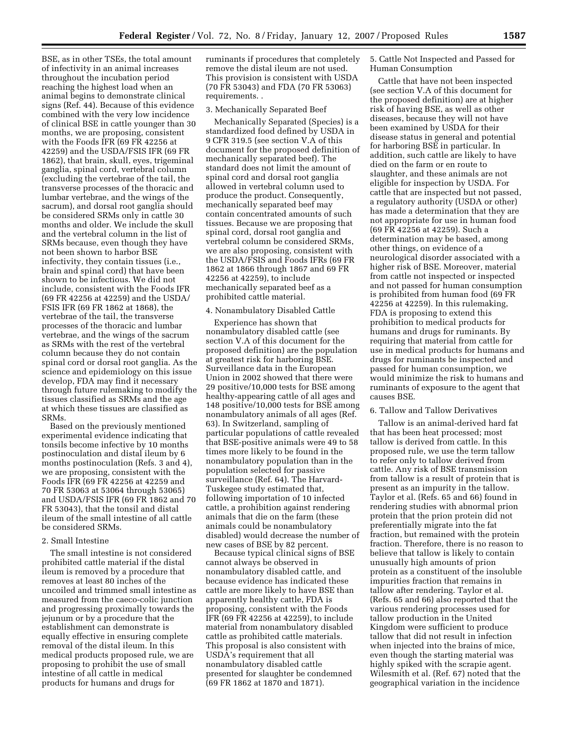BSE, as in other TSEs, the total amount of infectivity in an animal increases throughout the incubation period reaching the highest load when an animal begins to demonstrate clinical signs (Ref. 44). Because of this evidence combined with the very low incidence of clinical BSE in cattle younger than 30 months, we are proposing, consistent with the Foods IFR (69 FR 42256 at 42259) and the USDA/FSIS IFR (69 FR 1862), that brain, skull, eyes, trigeminal ganglia, spinal cord, vertebral column (excluding the vertebrae of the tail, the transverse processes of the thoracic and lumbar vertebrae, and the wings of the sacrum), and dorsal root ganglia should be considered SRMs only in cattle 30 months and older. We include the skull and the vertebral column in the list of SRMs because, even though they have not been shown to harbor BSE infectivity, they contain tissues (i.e., brain and spinal cord) that have been shown to be infectious. We did not include, consistent with the Foods IFR (69 FR 42256 at 42259) and the USDA/ FSIS IFR (69 FR 1862 at 1868), the vertebrae of the tail, the transverse processes of the thoracic and lumbar vertebrae, and the wings of the sacrum as SRMs with the rest of the vertebral column because they do not contain spinal cord or dorsal root ganglia. As the science and epidemiology on this issue develop, FDA may find it necessary through future rulemaking to modify the tissues classified as SRMs and the age at which these tissues are classified as SRMs.

Based on the previously mentioned experimental evidence indicating that tonsils become infective by 10 months postinoculation and distal ileum by 6 months postinoculation (Refs. 3 and 4), we are proposing, consistent with the Foods IFR (69 FR 42256 at 42259 and 70 FR 53063 at 53064 through 53065) and USDA/FSIS IFR (69 FR 1862 and 70 FR 53043), that the tonsil and distal ileum of the small intestine of all cattle be considered SRMs.

## 2. Small Intestine

The small intestine is not considered prohibited cattle material if the distal ileum is removed by a procedure that removes at least 80 inches of the uncoiled and trimmed small intestine as measured from the caeco-colic junction and progressing proximally towards the jejunum or by a procedure that the establishment can demonstrate is equally effective in ensuring complete removal of the distal ileum. In this medical products proposed rule, we are proposing to prohibit the use of small intestine of all cattle in medical products for humans and drugs for

ruminants if procedures that completely remove the distal ileum are not used. This provision is consistent with USDA (70 FR 53043) and FDA (70 FR 53063) requirements. .

#### 3. Mechanically Separated Beef

Mechanically Separated (Species) is a standardized food defined by USDA in 9 CFR 319.5 (see section V.A of this document for the proposed definition of mechanically separated beef). The standard does not limit the amount of spinal cord and dorsal root ganglia allowed in vertebral column used to produce the product. Consequently, mechanically separated beef may contain concentrated amounts of such tissues. Because we are proposing that spinal cord, dorsal root ganglia and vertebral column be considered SRMs, we are also proposing, consistent with the USDA/FSIS and Foods IFRs (69 FR 1862 at 1866 through 1867 and 69 FR 42256 at 42259), to include mechanically separated beef as a prohibited cattle material.

#### 4. Nonambulatory Disabled Cattle

Experience has shown that nonambulatory disabled cattle (see section V.A of this document for the proposed definition) are the population at greatest risk for harboring BSE. Surveillance data in the European Union in 2002 showed that there were 29 positive/10,000 tests for BSE among healthy-appearing cattle of all ages and 148 positive/10,000 tests for BSE among nonambulatory animals of all ages (Ref. 63). In Switzerland, sampling of particular populations of cattle revealed that BSE-positive animals were 49 to 58 times more likely to be found in the nonambulatory population than in the population selected for passive surveillance (Ref. 64). The Harvard-Tuskegee study estimated that, following importation of 10 infected cattle, a prohibition against rendering animals that die on the farm (these animals could be nonambulatory disabled) would decrease the number of new cases of BSE by 82 percent.

Because typical clinical signs of BSE cannot always be observed in nonambulatory disabled cattle, and because evidence has indicated these cattle are more likely to have BSE than apparently healthy cattle, FDA is proposing, consistent with the Foods IFR (69 FR 42256 at 42259), to include material from nonambulatory disabled cattle as prohibited cattle materials. This proposal is also consistent with USDA's requirement that all nonambulatory disabled cattle presented for slaughter be condemned (69 FR 1862 at 1870 and 1871).

5. Cattle Not Inspected and Passed for Human Consumption

Cattle that have not been inspected (see section V.A of this document for the proposed definition) are at higher risk of having BSE, as well as other diseases, because they will not have been examined by USDA for their disease status in general and potential for harboring BSE in particular. In addition, such cattle are likely to have died on the farm or en route to slaughter, and these animals are not eligible for inspection by USDA. For cattle that are inspected but not passed, a regulatory authority (USDA or other) has made a determination that they are not appropriate for use in human food (69 FR 42256 at 42259). Such a determination may be based, among other things, on evidence of a neurological disorder associated with a higher risk of BSE. Moreover, material from cattle not inspected or inspected and not passed for human consumption is prohibited from human food (69 FR 42256 at 42259). In this rulemaking, FDA is proposing to extend this prohibition to medical products for humans and drugs for ruminants. By requiring that material from cattle for use in medical products for humans and drugs for ruminants be inspected and passed for human consumption, we would minimize the risk to humans and ruminants of exposure to the agent that causes BSE.

#### 6. Tallow and Tallow Derivatives

Tallow is an animal-derived hard fat that has been heat processed; most tallow is derived from cattle. In this proposed rule, we use the term tallow to refer only to tallow derived from cattle. Any risk of BSE transmission from tallow is a result of protein that is present as an impurity in the tallow. Taylor et al. (Refs. 65 and 66) found in rendering studies with abnormal prion protein that the prion protein did not preferentially migrate into the fat fraction, but remained with the protein fraction. Therefore, there is no reason to believe that tallow is likely to contain unusually high amounts of prion protein as a constituent of the insoluble impurities fraction that remains in tallow after rendering. Taylor et al. (Refs. 65 and 66) also reported that the various rendering processes used for tallow production in the United Kingdom were sufficient to produce tallow that did not result in infection when injected into the brains of mice, even though the starting material was highly spiked with the scrapie agent. Wilesmith et al. (Ref. 67) noted that the geographical variation in the incidence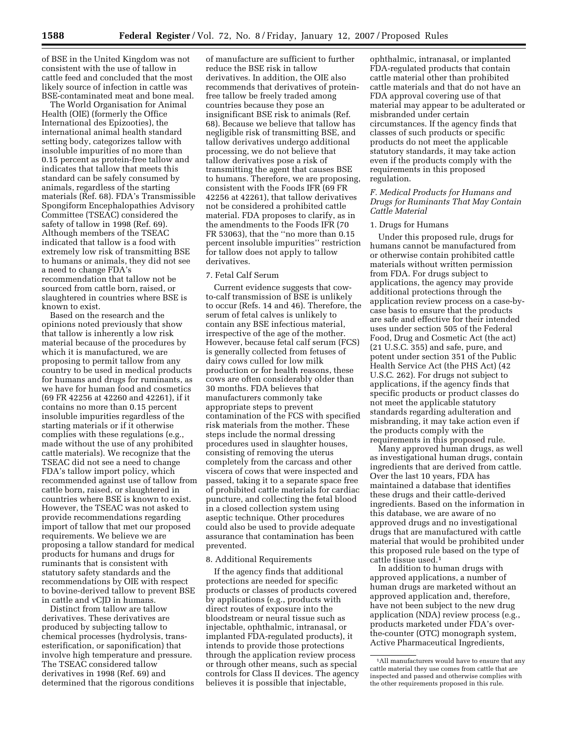of BSE in the United Kingdom was not consistent with the use of tallow in cattle feed and concluded that the most likely source of infection in cattle was BSE-contaminated meat and bone meal.

The World Organisation for Animal Health (OIE) (formerly the Office International des Epizooties), the international animal health standard setting body, categorizes tallow with insoluble impurities of no more than 0.15 percent as protein-free tallow and indicates that tallow that meets this standard can be safely consumed by animals, regardless of the starting materials (Ref. 68). FDA's Transmissible Spongiform Encephalopathies Advisory Committee (TSEAC) considered the safety of tallow in 1998 (Ref. 69). Although members of the TSEAC indicated that tallow is a food with extremely low risk of transmitting BSE to humans or animals, they did not see a need to change FDA's recommendation that tallow not be sourced from cattle born, raised, or slaughtered in countries where BSE is known to exist.

Based on the research and the opinions noted previously that show that tallow is inherently a low risk material because of the procedures by which it is manufactured, we are proposing to permit tallow from any country to be used in medical products for humans and drugs for ruminants, as we have for human food and cosmetics (69 FR 42256 at 42260 and 42261), if it contains no more than 0.15 percent insoluble impurities regardless of the starting materials or if it otherwise complies with these regulations (e.g., made without the use of any prohibited cattle materials). We recognize that the TSEAC did not see a need to change FDA's tallow import policy, which recommended against use of tallow from cattle born, raised, or slaughtered in countries where BSE is known to exist. However, the TSEAC was not asked to provide recommendations regarding import of tallow that met our proposed requirements. We believe we are proposing a tallow standard for medical products for humans and drugs for ruminants that is consistent with statutory safety standards and the recommendations by OIE with respect to bovine-derived tallow to prevent BSE in cattle and vCJD in humans.

Distinct from tallow are tallow derivatives. These derivatives are produced by subjecting tallow to chemical processes (hydrolysis, transesterification, or saponification) that involve high temperature and pressure. The TSEAC considered tallow derivatives in 1998 (Ref. 69) and determined that the rigorous conditions

of manufacture are sufficient to further reduce the BSE risk in tallow derivatives. In addition, the OIE also recommends that derivatives of proteinfree tallow be freely traded among countries because they pose an insignificant BSE risk to animals (Ref. 68). Because we believe that tallow has negligible risk of transmitting BSE, and tallow derivatives undergo additional processing, we do not believe that tallow derivatives pose a risk of transmitting the agent that causes BSE to humans. Therefore, we are proposing, consistent with the Foods IFR (69 FR 42256 at 42261), that tallow derivatives not be considered a prohibited cattle material. FDA proposes to clarify, as in the amendments to the Foods IFR (70 FR 53063), that the ''no more than 0.15 percent insoluble impurities'' restriction for tallow does not apply to tallow derivatives.

#### 7. Fetal Calf Serum

Current evidence suggests that cowto-calf transmission of BSE is unlikely to occur (Refs. 14 and 46). Therefore, the serum of fetal calves is unlikely to contain any BSE infectious material, irrespective of the age of the mother. However, because fetal calf serum (FCS) is generally collected from fetuses of dairy cows culled for low milk production or for health reasons, these cows are often considerably older than 30 months. FDA believes that manufacturers commonly take appropriate steps to prevent contamination of the FCS with specified risk materials from the mother. These steps include the normal dressing procedures used in slaughter houses, consisting of removing the uterus completely from the carcass and other viscera of cows that were inspected and passed, taking it to a separate space free of prohibited cattle materials for cardiac puncture, and collecting the fetal blood in a closed collection system using aseptic technique. Other procedures could also be used to provide adequate assurance that contamination has been prevented.

## 8. Additional Requirements

If the agency finds that additional protections are needed for specific products or classes of products covered by applications (e.g., products with direct routes of exposure into the bloodstream or neural tissue such as injectable, ophthalmic, intranasal, or implanted FDA-regulated products), it intends to provide those protections through the application review process or through other means, such as special controls for Class II devices. The agency believes it is possible that injectable,

ophthalmic, intranasal, or implanted FDA-regulated products that contain cattle material other than prohibited cattle materials and that do not have an FDA approval covering use of that material may appear to be adulterated or misbranded under certain circumstances. If the agency finds that classes of such products or specific products do not meet the applicable statutory standards, it may take action even if the products comply with the requirements in this proposed regulation.

## *F. Medical Products for Humans and Drugs for Ruminants That May Contain Cattle Material*

## 1. Drugs for Humans

Under this proposed rule, drugs for humans cannot be manufactured from or otherwise contain prohibited cattle materials without written permission from FDA. For drugs subject to applications, the agency may provide additional protections through the application review process on a case-bycase basis to ensure that the products are safe and effective for their intended uses under section 505 of the Federal Food, Drug and Cosmetic Act (the act) (21 U.S.C. 355) and safe, pure, and potent under section 351 of the Public Health Service Act (the PHS Act) (42 U.S.C. 262). For drugs not subject to applications, if the agency finds that specific products or product classes do not meet the applicable statutory standards regarding adulteration and misbranding, it may take action even if the products comply with the requirements in this proposed rule.

Many approved human drugs, as well as investigational human drugs, contain ingredients that are derived from cattle. Over the last 10 years, FDA has maintained a database that identifies these drugs and their cattle-derived ingredients. Based on the information in this database, we are aware of no approved drugs and no investigational drugs that are manufactured with cattle material that would be prohibited under this proposed rule based on the type of cattle tissue used.1

In addition to human drugs with approved applications, a number of human drugs are marketed without an approved application and, therefore, have not been subject to the new drug application (NDA) review process (e.g., products marketed under FDA's overthe-counter (OTC) monograph system, Active Pharmaceutical Ingredients,

<sup>1</sup>All manufacturers would have to ensure that any cattle material they use comes from cattle that are inspected and passed and otherwise complies with the other requirements proposed in this rule.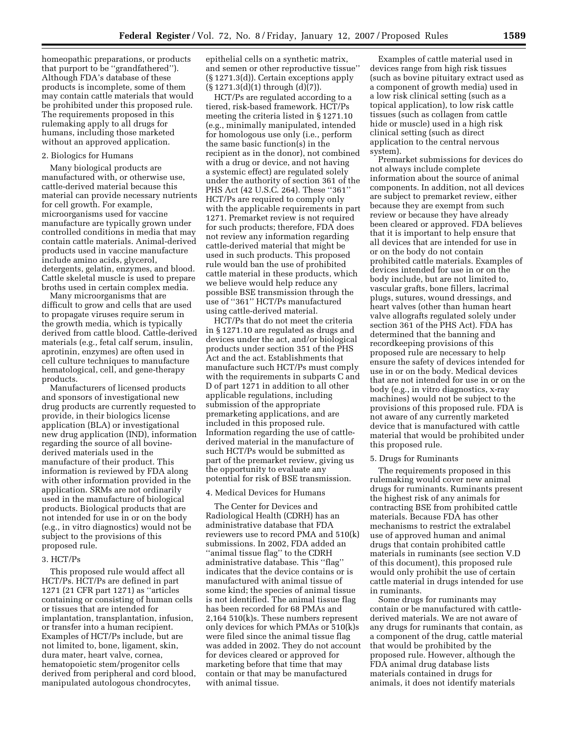homeopathic preparations, or products that purport to be ''grandfathered''). Although FDA's database of these products is incomplete, some of them may contain cattle materials that would be prohibited under this proposed rule. The requirements proposed in this rulemaking apply to all drugs for humans, including those marketed without an approved application.

#### 2. Biologics for Humans

Many biological products are manufactured with, or otherwise use, cattle-derived material because this material can provide necessary nutrients for cell growth. For example, microorganisms used for vaccine manufacture are typically grown under controlled conditions in media that may contain cattle materials. Animal-derived products used in vaccine manufacture include amino acids, glycerol, detergents, gelatin, enzymes, and blood. Cattle skeletal muscle is used to prepare broths used in certain complex media.

Many microorganisms that are difficult to grow and cells that are used to propagate viruses require serum in the growth media, which is typically derived from cattle blood. Cattle-derived materials (e.g., fetal calf serum, insulin, aprotinin, enzymes) are often used in cell culture techniques to manufacture hematological, cell, and gene-therapy products.

Manufacturers of licensed products and sponsors of investigational new drug products are currently requested to provide, in their biologics license application (BLA) or investigational new drug application (IND), information regarding the source of all bovinederived materials used in the manufacture of their product. This information is reviewed by FDA along with other information provided in the application. SRMs are not ordinarily used in the manufacture of biological products. Biological products that are not intended for use in or on the body (e.g., in vitro diagnostics) would not be subject to the provisions of this proposed rule.

#### 3. HCT/Ps

This proposed rule would affect all HCT/Ps. HCT/Ps are defined in part 1271 (21 CFR part 1271) as ''articles containing or consisting of human cells or tissues that are intended for implantation, transplantation, infusion, or transfer into a human recipient. Examples of HCT/Ps include, but are not limited to, bone, ligament, skin, dura mater, heart valve, cornea, hematopoietic stem/progenitor cells derived from peripheral and cord blood, manipulated autologous chondrocytes,

epithelial cells on a synthetic matrix, and semen or other reproductive tissue'' (§ 1271.3(d)). Certain exceptions apply (§ 1271.3(d)(1) through (d)(7)).

HCT/Ps are regulated according to a tiered, risk-based framework. HCT/Ps meeting the criteria listed in § 1271.10 (e.g., minimally manipulated, intended for homologous use only (i.e., perform the same basic function(s) in the recipient as in the donor), not combined with a drug or device, and not having a systemic effect) are regulated solely under the authority of section 361 of the PHS Act (42 U.S.C. 264). These ''361'' HCT/Ps are required to comply only with the applicable requirements in part 1271. Premarket review is not required for such products; therefore, FDA does not review any information regarding cattle-derived material that might be used in such products. This proposed rule would ban the use of prohibited cattle material in these products, which we believe would help reduce any possible BSE transmission through the use of ''361'' HCT/Ps manufactured using cattle-derived material.

HCT/Ps that do not meet the criteria in § 1271.10 are regulated as drugs and devices under the act, and/or biological products under section 351 of the PHS Act and the act. Establishments that manufacture such HCT/Ps must comply with the requirements in subparts C and D of part 1271 in addition to all other applicable regulations, including submission of the appropriate premarketing applications, and are included in this proposed rule. Information regarding the use of cattlederived material in the manufacture of such HCT/Ps would be submitted as part of the premarket review, giving us the opportunity to evaluate any potential for risk of BSE transmission.

## 4. Medical Devices for Humans

The Center for Devices and Radiological Health (CDRH) has an administrative database that FDA reviewers use to record PMA and 510(k) submissions. In 2002, FDA added an ''animal tissue flag'' to the CDRH administrative database. This ''flag'' indicates that the device contains or is manufactured with animal tissue of some kind; the species of animal tissue is not identified. The animal tissue flag has been recorded for 68 PMAs and 2,164 510(k)s. These numbers represent only devices for which PMAs or 510(k)s were filed since the animal tissue flag was added in 2002. They do not account for devices cleared or approved for marketing before that time that may contain or that may be manufactured with animal tissue.

Examples of cattle material used in devices range from high risk tissues (such as bovine pituitary extract used as a component of growth media) used in a low risk clinical setting (such as a topical application), to low risk cattle tissues (such as collagen from cattle hide or muscle) used in a high risk clinical setting (such as direct application to the central nervous system).

Premarket submissions for devices do not always include complete information about the source of animal components. In addition, not all devices are subject to premarket review, either because they are exempt from such review or because they have already been cleared or approved. FDA believes that it is important to help ensure that all devices that are intended for use in or on the body do not contain prohibited cattle materials. Examples of devices intended for use in or on the body include, but are not limited to, vascular grafts, bone fillers, lacrimal plugs, sutures, wound dressings, and heart valves (other than human heart valve allografts regulated solely under section 361 of the PHS Act). FDA has determined that the banning and recordkeeping provisions of this proposed rule are necessary to help ensure the safety of devices intended for use in or on the body. Medical devices that are not intended for use in or on the body (e.g., in vitro diagnostics, x-ray machines) would not be subject to the provisions of this proposed rule. FDA is not aware of any currently marketed device that is manufactured with cattle material that would be prohibited under this proposed rule.

#### 5. Drugs for Ruminants

The requirements proposed in this rulemaking would cover new animal drugs for ruminants. Ruminants present the highest risk of any animals for contracting BSE from prohibited cattle materials. Because FDA has other mechanisms to restrict the extralabel use of approved human and animal drugs that contain prohibited cattle materials in ruminants (see section V.D of this document), this proposed rule would only prohibit the use of certain cattle material in drugs intended for use in ruminants.

Some drugs for ruminants may contain or be manufactured with cattlederived materials. We are not aware of any drugs for ruminants that contain, as a component of the drug, cattle material that would be prohibited by the proposed rule. However, although the FDA animal drug database lists materials contained in drugs for animals, it does not identify materials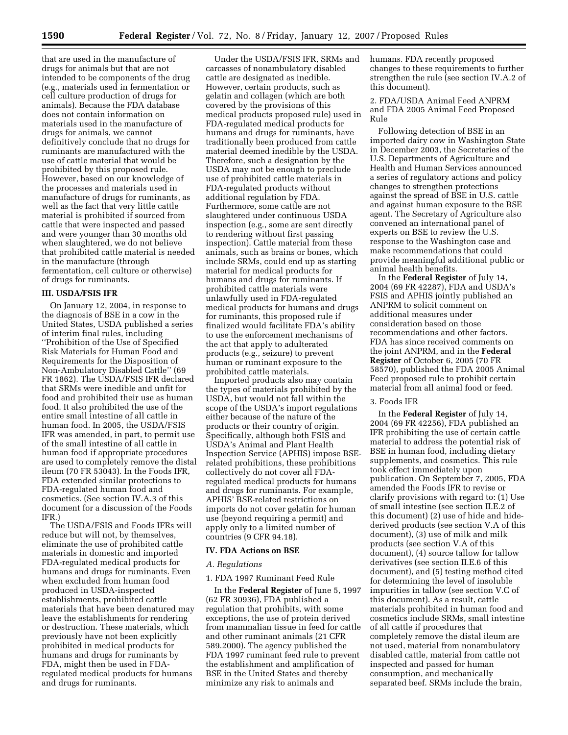that are used in the manufacture of drugs for animals but that are not intended to be components of the drug (e.g., materials used in fermentation or cell culture production of drugs for animals). Because the FDA database does not contain information on materials used in the manufacture of drugs for animals, we cannot definitively conclude that no drugs for ruminants are manufactured with the use of cattle material that would be prohibited by this proposed rule. However, based on our knowledge of the processes and materials used in manufacture of drugs for ruminants, as well as the fact that very little cattle material is prohibited if sourced from cattle that were inspected and passed and were younger than 30 months old when slaughtered, we do not believe that prohibited cattle material is needed in the manufacture (through fermentation, cell culture or otherwise) of drugs for ruminants.

#### **III. USDA/FSIS IFR**

On January 12, 2004, in response to the diagnosis of BSE in a cow in the United States, USDA published a series of interim final rules, including ''Prohibition of the Use of Specified Risk Materials for Human Food and Requirements for the Disposition of Non-Ambulatory Disabled Cattle'' (69 FR 1862). The USDA/FSIS IFR declared that SRMs were inedible and unfit for food and prohibited their use as human food. It also prohibited the use of the entire small intestine of all cattle in human food. In 2005, the USDA/FSIS IFR was amended, in part, to permit use of the small intestine of all cattle in human food if appropriate procedures are used to completely remove the distal ileum (70 FR 53043). In the Foods IFR, FDA extended similar protections to FDA-regulated human food and cosmetics. (See section IV.A.3 of this document for a discussion of the Foods IFR.)

The USDA/FSIS and Foods IFRs will reduce but will not, by themselves, eliminate the use of prohibited cattle materials in domestic and imported FDA-regulated medical products for humans and drugs for ruminants. Even when excluded from human food produced in USDA-inspected establishments, prohibited cattle materials that have been denatured may leave the establishments for rendering or destruction. These materials, which previously have not been explicitly prohibited in medical products for humans and drugs for ruminants by FDA, might then be used in FDAregulated medical products for humans and drugs for ruminants.

Under the USDA/FSIS IFR, SRMs and carcasses of nonambulatory disabled cattle are designated as inedible. However, certain products, such as gelatin and collagen (which are both covered by the provisions of this medical products proposed rule) used in FDA-regulated medical products for humans and drugs for ruminants, have traditionally been produced from cattle material deemed inedible by the USDA. Therefore, such a designation by the USDA may not be enough to preclude use of prohibited cattle materials in FDA-regulated products without additional regulation by FDA. Furthermore, some cattle are not slaughtered under continuous USDA inspection (e.g., some are sent directly to rendering without first passing inspection). Cattle material from these animals, such as brains or bones, which include SRMs, could end up as starting material for medical products for humans and drugs for ruminants. If prohibited cattle materials were unlawfully used in FDA-regulated medical products for humans and drugs for ruminants, this proposed rule if finalized would facilitate FDA's ability to use the enforcement mechanisms of the act that apply to adulterated products (e.g., seizure) to prevent human or ruminant exposure to the prohibited cattle materials.

Imported products also may contain the types of materials prohibited by the USDA, but would not fall within the scope of the USDA's import regulations either because of the nature of the products or their country of origin. Specifically, although both FSIS and USDA's Animal and Plant Health Inspection Service (APHIS) impose BSErelated prohibitions, these prohibitions collectively do not cover all FDAregulated medical products for humans and drugs for ruminants. For example, APHIS' BSE-related restrictions on imports do not cover gelatin for human use (beyond requiring a permit) and apply only to a limited number of countries (9 CFR 94.18).

#### **IV. FDA Actions on BSE**

## *A. Regulations*

## 1. FDA 1997 Ruminant Feed Rule

In the **Federal Register** of June 5, 1997 (62 FR 30936), FDA published a regulation that prohibits, with some exceptions, the use of protein derived from mammalian tissue in feed for cattle and other ruminant animals (21 CFR 589.2000). The agency published the FDA 1997 ruminant feed rule to prevent the establishment and amplification of BSE in the United States and thereby minimize any risk to animals and

humans. FDA recently proposed changes to these requirements to further strengthen the rule (see section IV.A.2 of this document).

2. FDA/USDA Animal Feed ANPRM and FDA 2005 Animal Feed Proposed Rule

Following detection of BSE in an imported dairy cow in Washington State in December 2003, the Secretaries of the U.S. Departments of Agriculture and Health and Human Services announced a series of regulatory actions and policy changes to strengthen protections against the spread of BSE in U.S. cattle and against human exposure to the BSE agent. The Secretary of Agriculture also convened an international panel of experts on BSE to review the U.S. response to the Washington case and make recommendations that could provide meaningful additional public or animal health benefits.

In the **Federal Register** of July 14, 2004 (69 FR 42287), FDA and USDA's FSIS and APHIS jointly published an ANPRM to solicit comment on additional measures under consideration based on those recommendations and other factors. FDA has since received comments on the joint ANPRM, and in the **Federal Register** of October 6, 2005 (70 FR 58570), published the FDA 2005 Animal Feed proposed rule to prohibit certain material from all animal food or feed.

#### 3. Foods IFR

In the **Federal Register** of July 14, 2004 (69 FR 42256), FDA published an IFR prohibiting the use of certain cattle material to address the potential risk of BSE in human food, including dietary supplements, and cosmetics. This rule took effect immediately upon publication. On September 7, 2005, FDA amended the Foods IFR to revise or clarify provisions with regard to: (1) Use of small intestine (see section II.E.2 of this document) (2) use of hide and hidederived products (see section V.A of this document), (3) use of milk and milk products (see section V.A of this document), (4) source tallow for tallow derivatives (see section II.E.6 of this document), and (5) testing method cited for determining the level of insoluble impurities in tallow (see section V.C of this document). As a result, cattle materials prohibited in human food and cosmetics include SRMs, small intestine of all cattle if procedures that completely remove the distal ileum are not used, material from nonambulatory disabled cattle, material from cattle not inspected and passed for human consumption, and mechanically separated beef. SRMs include the brain,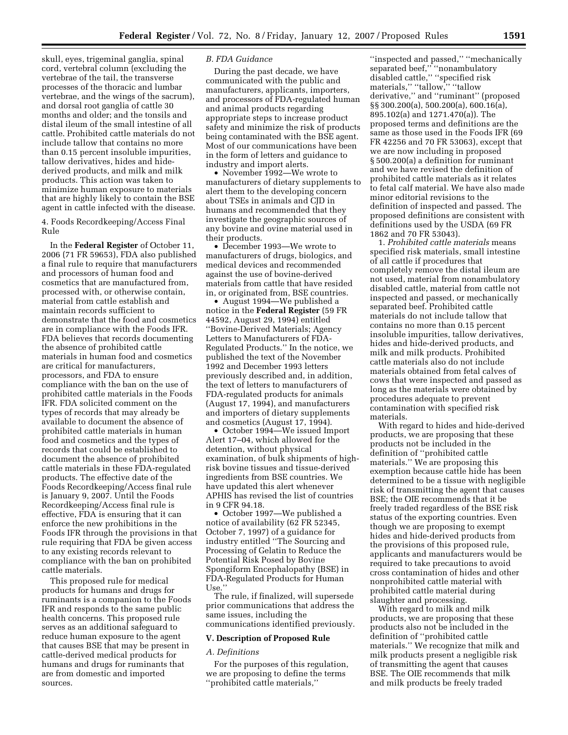skull, eyes, trigeminal ganglia, spinal cord, vertebral column (excluding the vertebrae of the tail, the transverse processes of the thoracic and lumbar vertebrae, and the wings of the sacrum), and dorsal root ganglia of cattle 30 months and older; and the tonsils and distal ileum of the small intestine of all cattle. Prohibited cattle materials do not include tallow that contains no more than 0.15 percent insoluble impurities, tallow derivatives, hides and hidederived products, and milk and milk products. This action was taken to minimize human exposure to materials that are highly likely to contain the BSE agent in cattle infected with the disease.

4. Foods Recordkeeping/Access Final Rule

In the **Federal Register** of October 11, 2006 (71 FR 59653), FDA also published a final rule to require that manufacturers and processors of human food and cosmetics that are manufactured from, processed with, or otherwise contain, material from cattle establish and maintain records sufficient to demonstrate that the food and cosmetics are in compliance with the Foods IFR. FDA believes that records documenting the absence of prohibited cattle materials in human food and cosmetics are critical for manufacturers, processors, and FDA to ensure compliance with the ban on the use of prohibited cattle materials in the Foods IFR. FDA solicited comment on the types of records that may already be available to document the absence of prohibited cattle materials in human food and cosmetics and the types of records that could be established to document the absence of prohibited cattle materials in these FDA-regulated products. The effective date of the Foods Recordkeeping/Access final rule is January 9, 2007. Until the Foods Recordkeeping/Access final rule is effective, FDA is ensuring that it can enforce the new prohibitions in the Foods IFR through the provisions in that rule requiring that FDA be given access to any existing records relevant to compliance with the ban on prohibited cattle materials.

This proposed rule for medical products for humans and drugs for ruminants is a companion to the Foods IFR and responds to the same public health concerns. This proposed rule serves as an additional safeguard to reduce human exposure to the agent that causes BSE that may be present in cattle-derived medical products for humans and drugs for ruminants that are from domestic and imported sources.

#### *B. FDA Guidance*

During the past decade, we have communicated with the public and manufacturers, applicants, importers, and processors of FDA-regulated human and animal products regarding appropriate steps to increase product safety and minimize the risk of products being contaminated with the BSE agent. Most of our communications have been in the form of letters and guidance to industry and import alerts.

• November 1992—We wrote to manufacturers of dietary supplements to alert them to the developing concern about TSEs in animals and CJD in humans and recommended that they investigate the geographic sources of any bovine and ovine material used in their products.

• December 1993—We wrote to manufacturers of drugs, biologics, and medical devices and recommended against the use of bovine-derived materials from cattle that have resided in, or originated from, BSE countries.

• August 1994—We published a notice in the **Federal Register** (59 FR 44592, August 29, 1994) entitled ''Bovine-Derived Materials; Agency Letters to Manufacturers of FDA-Regulated Products.'' In the notice, we published the text of the November 1992 and December 1993 letters previously described and, in addition, the text of letters to manufacturers of FDA-regulated products for animals (August 17, 1994), and manufacturers and importers of dietary supplements and cosmetics (August 17, 1994).

• October 1994—We issued Import Alert 17–04, which allowed for the detention, without physical examination, of bulk shipments of highrisk bovine tissues and tissue-derived ingredients from BSE countries. We have updated this alert whenever APHIS has revised the list of countries in 9 CFR 94.18.

• October 1997—We published a notice of availability (62 FR 52345, October 7, 1997) of a guidance for industry entitled ''The Sourcing and Processing of Gelatin to Reduce the Potential Risk Posed by Bovine Spongiform Encephalopathy (BSE) in FDA-Regulated Products for Human Use.''

The rule, if finalized, will supersede prior communications that address the same issues, including the communications identified previously.

#### **V. Description of Proposed Rule**

## *A. Definitions*

For the purposes of this regulation, we are proposing to define the terms ''prohibited cattle materials,''

''inspected and passed,'' ''mechanically separated beef,'' ''nonambulatory disabled cattle,'' ''specified risk materials,'' ''tallow,'' ''tallow derivative,'' and ''ruminant'' (proposed §§ 300.200(a), 500.200(a), 600.16(a), 895.102(a) and 1271.470(a)). The proposed terms and definitions are the same as those used in the Foods IFR (69 FR 42256 and 70 FR 53063), except that we are now including in proposed § 500.200(a) a definition for ruminant and we have revised the definition of prohibited cattle materials as it relates to fetal calf material. We have also made minor editorial revisions to the definition of inspected and passed. The proposed definitions are consistent with definitions used by the USDA (69 FR 1862 and 70 FR 53043).

1. *Prohibited cattle materials* means specified risk materials, small intestine of all cattle if procedures that completely remove the distal ileum are not used, material from nonambulatory disabled cattle, material from cattle not inspected and passed, or mechanically separated beef. Prohibited cattle materials do not include tallow that contains no more than 0.15 percent insoluble impurities, tallow derivatives, hides and hide-derived products, and milk and milk products. Prohibited cattle materials also do not include materials obtained from fetal calves of cows that were inspected and passed as long as the materials were obtained by procedures adequate to prevent contamination with specified risk materials.

With regard to hides and hide-derived products, we are proposing that these products not be included in the definition of ''prohibited cattle materials.'' We are proposing this exemption because cattle hide has been determined to be a tissue with negligible risk of transmitting the agent that causes BSE; the OIE recommends that it be freely traded regardless of the BSE risk status of the exporting countries. Even though we are proposing to exempt hides and hide-derived products from the provisions of this proposed rule, applicants and manufacturers would be required to take precautions to avoid cross contamination of hides and other nonprohibited cattle material with prohibited cattle material during slaughter and processing.

With regard to milk and milk products, we are proposing that these products also not be included in the definition of ''prohibited cattle materials.'' We recognize that milk and milk products present a negligible risk of transmitting the agent that causes BSE. The OIE recommends that milk and milk products be freely traded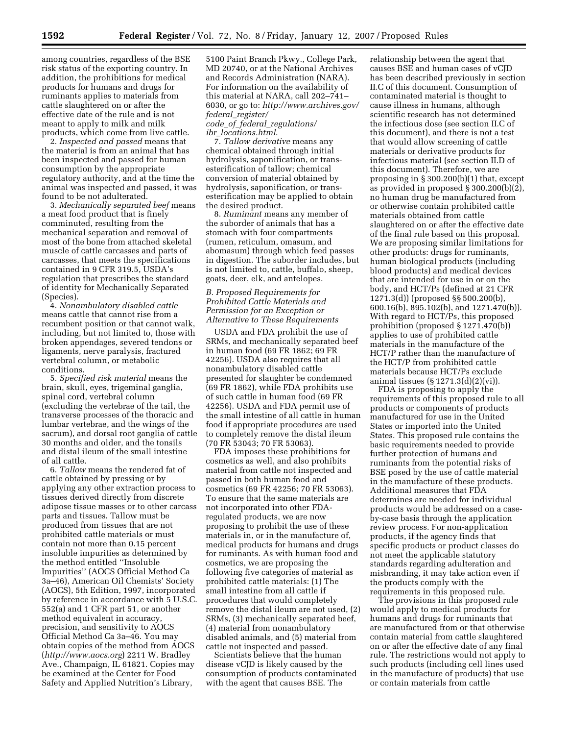among countries, regardless of the BSE risk status of the exporting country. In addition, the prohibitions for medical products for humans and drugs for ruminants applies to materials from cattle slaughtered on or after the effective date of the rule and is not meant to apply to milk and milk products, which come from live cattle.

2. *Inspected and passed* means that the material is from an animal that has been inspected and passed for human consumption by the appropriate regulatory authority, and at the time the animal was inspected and passed, it was found to be not adulterated.

3. *Mechanically separated beef* means a meat food product that is finely comminuted, resulting from the mechanical separation and removal of most of the bone from attached skeletal muscle of cattle carcasses and parts of carcasses, that meets the specifications contained in 9 CFR 319.5, USDA's regulation that prescribes the standard of identity for Mechanically Separated (Species).

4. *Nonambulatory disabled cattle*  means cattle that cannot rise from a recumbent position or that cannot walk, including, but not limited to, those with broken appendages, severed tendons or ligaments, nerve paralysis, fractured vertebral column, or metabolic conditions.

5. *Specified risk material* means the brain, skull, eyes, trigeminal ganglia, spinal cord, vertebral column (excluding the vertebrae of the tail, the transverse processes of the thoracic and lumbar vertebrae, and the wings of the sacrum), and dorsal root ganglia of cattle 30 months and older, and the tonsils and distal ileum of the small intestine of all cattle.

6. *Tallow* means the rendered fat of cattle obtained by pressing or by applying any other extraction process to tissues derived directly from discrete adipose tissue masses or to other carcass parts and tissues. Tallow must be produced from tissues that are not prohibited cattle materials or must contain not more than 0.15 percent insoluble impurities as determined by the method entitled ''Insoluble Impurities'' (AOCS Official Method Ca 3a–46), American Oil Chemists' Society (AOCS), 5th Edition, 1997, incorporated by reference in accordance with 5 U.S.C. 552(a) and 1 CFR part 51, or another method equivalent in accuracy, precision, and sensitivity to AOCS Official Method Ca 3a–46. You may obtain copies of the method from AOCS (*http://www.aocs.org*) 2211 W. Bradley Ave., Champaign, IL 61821. Copies may be examined at the Center for Food Safety and Applied Nutrition's Library,

5100 Paint Branch Pkwy., College Park, MD 20740, or at the National Archives and Records Administration (NARA). For information on the availability of this material at NARA, call 202–741– 6030, or go to: *http://www.archives.gov/ federal*\_*register/ code*\_*of*\_*federal*\_*regulations/* 

*ibr*\_*locations.html*.

7. *Tallow derivative* means any chemical obtained through initial hydrolysis, saponification, or transesterification of tallow; chemical conversion of material obtained by hydrolysis, saponification, or transesterification may be applied to obtain the desired product.

8. *Ruminant* means any member of the suborder of animals that has a stomach with four compartments (rumen, reticulum, omasum, and abomasum) through which feed passes in digestion. The suborder includes, but is not limited to, cattle, buffalo, sheep, goats, deer, elk, and antelopes.

## *B. Proposed Requirements for Prohibited Cattle Materials and Permission for an Exception or Alternative to These Requirements*

USDA and FDA prohibit the use of SRMs, and mechanically separated beef in human food (69 FR 1862; 69 FR 42256). USDA also requires that all nonambulatory disabled cattle presented for slaughter be condemned (69 FR 1862), while FDA prohibits use of such cattle in human food (69 FR 42256). USDA and FDA permit use of the small intestine of all cattle in human food if appropriate procedures are used to completely remove the distal ileum (70 FR 53043; 70 FR 53063).

FDA imposes these prohibitions for cosmetics as well, and also prohibits material from cattle not inspected and passed in both human food and cosmetics (69 FR 42256; 70 FR 53063). To ensure that the same materials are not incorporated into other FDAregulated products, we are now proposing to prohibit the use of these materials in, or in the manufacture of, medical products for humans and drugs for ruminants. As with human food and cosmetics, we are proposing the following five categories of material as prohibited cattle materials: (1) The small intestine from all cattle if procedures that would completely remove the distal ileum are not used, (2) SRMs, (3) mechanically separated beef, (4) material from nonambulatory disabled animals, and (5) material from cattle not inspected and passed.

Scientists believe that the human disease vCJD is likely caused by the consumption of products contaminated with the agent that causes BSE. The

relationship between the agent that causes BSE and human cases of vCJD has been described previously in section II.C of this document. Consumption of contaminated material is thought to cause illness in humans, although scientific research has not determined the infectious dose (see section II.C of this document), and there is not a test that would allow screening of cattle materials or derivative products for infectious material (see section II.D of this document). Therefore, we are proposing in § 300.200(b)(1) that, except as provided in proposed § 300.200(b)(2), no human drug be manufactured from or otherwise contain prohibited cattle materials obtained from cattle slaughtered on or after the effective date of the final rule based on this proposal. We are proposing similar limitations for other products: drugs for ruminants, human biological products (including blood products) and medical devices that are intended for use in or on the body, and HCT/Ps (defined at 21 CFR 1271.3(d)) (proposed §§ 500.200(b), 600.16(b), 895.102(b), and 1271.470(b)). With regard to HCT/Ps, this proposed prohibition (proposed § 1271.470(b)) applies to use of prohibited cattle materials in the manufacture of the HCT/P rather than the manufacture of the HCT/P from prohibited cattle materials because HCT/Ps exclude animal tissues (§ 1271.3(d)(2)(vi)).

FDA is proposing to apply the requirements of this proposed rule to all products or components of products manufactured for use in the United States or imported into the United States. This proposed rule contains the basic requirements needed to provide further protection of humans and ruminants from the potential risks of BSE posed by the use of cattle material in the manufacture of these products. Additional measures that FDA determines are needed for individual products would be addressed on a caseby-case basis through the application review process. For non-application products, if the agency finds that specific products or product classes do not meet the applicable statutory standards regarding adulteration and misbranding, it may take action even if the products comply with the requirements in this proposed rule.

The provisions in this proposed rule would apply to medical products for humans and drugs for ruminants that are manufactured from or that otherwise contain material from cattle slaughtered on or after the effective date of any final rule. The restrictions would not apply to such products (including cell lines used in the manufacture of products) that use or contain materials from cattle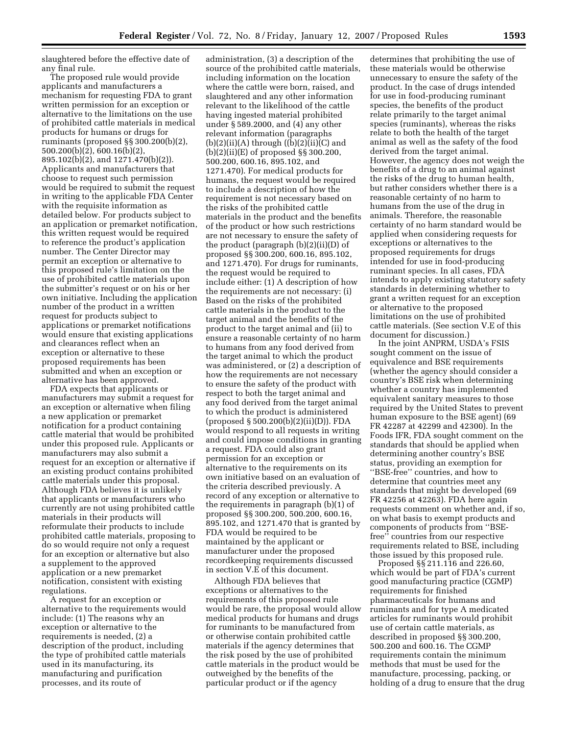slaughtered before the effective date of any final rule.

The proposed rule would provide applicants and manufacturers a mechanism for requesting FDA to grant written permission for an exception or alternative to the limitations on the use of prohibited cattle materials in medical products for humans or drugs for ruminants (proposed §§ 300.200(b)(2), 500.200(b)(2), 600.16(b)(2), 895.102(b)(2), and 1271.470(b)(2)). Applicants and manufacturers that choose to request such permission would be required to submit the request in writing to the applicable FDA Center with the requisite information as detailed below. For products subject to an application or premarket notification, this written request would be required to reference the product's application number. The Center Director may permit an exception or alternative to this proposed rule's limitation on the use of prohibited cattle materials upon the submitter's request or on his or her own initiative. Including the application number of the product in a written request for products subject to applications or premarket notifications would ensure that existing applications and clearances reflect when an exception or alternative to these proposed requirements has been submitted and when an exception or alternative has been approved.

FDA expects that applicants or manufacturers may submit a request for an exception or alternative when filing a new application or premarket notification for a product containing cattle material that would be prohibited under this proposed rule. Applicants or manufacturers may also submit a request for an exception or alternative if an existing product contains prohibited cattle materials under this proposal. Although FDA believes it is unlikely that applicants or manufacturers who currently are not using prohibited cattle materials in their products will reformulate their products to include prohibited cattle materials, proposing to do so would require not only a request for an exception or alternative but also a supplement to the approved application or a new premarket notification, consistent with existing regulations.

A request for an exception or alternative to the requirements would include: (1) The reasons why an exception or alternative to the requirements is needed, (2) a description of the product, including the type of prohibited cattle materials used in its manufacturing, its manufacturing and purification processes, and its route of

administration, (3) a description of the source of the prohibited cattle materials, including information on the location where the cattle were born, raised, and slaughtered and any other information relevant to the likelihood of the cattle having ingested material prohibited under § 589.2000, and (4) any other relevant information (paragraphs  $(b)(2)(ii)(A)$  through  $((b)(2)(ii)(C)$  and (b)(2)(ii)(E) of proposed §§ 300.200, 500.200, 600.16, 895.102, and 1271.470). For medical products for humans, the request would be required to include a description of how the requirement is not necessary based on the risks of the prohibited cattle materials in the product and the benefits of the product or how such restrictions are not necessary to ensure the safety of the product (paragraph (b)(2)(ii)(D) of proposed §§ 300.200, 600.16, 895.102, and 1271.470). For drugs for ruminants, the request would be required to include either: (1) A description of how the requirements are not necessary: (i) Based on the risks of the prohibited cattle materials in the product to the target animal and the benefits of the product to the target animal and (ii) to ensure a reasonable certainty of no harm to humans from any food derived from the target animal to which the product was administered, or (2) a description of how the requirements are not necessary to ensure the safety of the product with respect to both the target animal and any food derived from the target animal to which the product is administered (proposed § 500.200(b)(2)(ii)(D)). FDA would respond to all requests in writing and could impose conditions in granting a request. FDA could also grant permission for an exception or alternative to the requirements on its own initiative based on an evaluation of the criteria described previously. A record of any exception or alternative to the requirements in paragraph (b)(1) of proposed §§ 300.200, 500.200, 600.16, 895.102, and 1271.470 that is granted by FDA would be required to be maintained by the applicant or manufacturer under the proposed recordkeeping requirements discussed in section V.E of this document.

Although FDA believes that exceptions or alternatives to the requirements of this proposed rule would be rare, the proposal would allow medical products for humans and drugs for ruminants to be manufactured from or otherwise contain prohibited cattle materials if the agency determines that the risk posed by the use of prohibited cattle materials in the product would be outweighed by the benefits of the particular product or if the agency

determines that prohibiting the use of these materials would be otherwise unnecessary to ensure the safety of the product. In the case of drugs intended for use in food-producing ruminant species, the benefits of the product relate primarily to the target animal species (ruminants), whereas the risks relate to both the health of the target animal as well as the safety of the food derived from the target animal. However, the agency does not weigh the benefits of a drug to an animal against the risks of the drug to human health, but rather considers whether there is a reasonable certainty of no harm to humans from the use of the drug in animals. Therefore, the reasonable certainty of no harm standard would be applied when considering requests for exceptions or alternatives to the proposed requirements for drugs intended for use in food-producing ruminant species. In all cases, FDA intends to apply existing statutory safety standards in determining whether to grant a written request for an exception or alternative to the proposed limitations on the use of prohibited cattle materials. (See section V.E of this document for discussion.)

In the joint ANPRM, USDA's FSIS sought comment on the issue of equivalence and BSE requirements (whether the agency should consider a country's BSE risk when determining whether a country has implemented equivalent sanitary measures to those required by the United States to prevent human exposure to the BSE agent) (69 FR 42287 at 42299 and 42300). In the Foods IFR, FDA sought comment on the standards that should be applied when determining another country's BSE status, providing an exemption for ''BSE-free'' countries, and how to determine that countries meet any standards that might be developed (69 FR 42256 at 42263). FDA here again requests comment on whether and, if so, on what basis to exempt products and components of products from ''BSEfree'' countries from our respective requirements related to BSE, including those issued by this proposed rule.

Proposed §§ 211.116 and 226.60, which would be part of FDA's current good manufacturing practice (CGMP) requirements for finished pharmaceuticals for humans and ruminants and for type A medicated articles for ruminants would prohibit use of certain cattle materials, as described in proposed §§ 300.200, 500.200 and 600.16. The CGMP requirements contain the minimum methods that must be used for the manufacture, processing, packing, or holding of a drug to ensure that the drug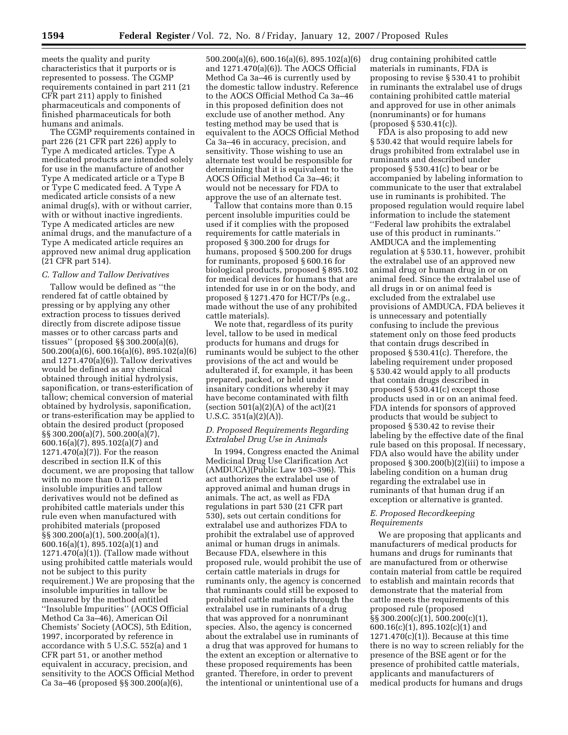meets the quality and purity characteristics that it purports or is represented to possess. The CGMP requirements contained in part 211 (21 CFR part 211) apply to finished pharmaceuticals and components of finished pharmaceuticals for both humans and animals.

The CGMP requirements contained in part 226 (21 CFR part 226) apply to Type A medicated articles. Type A medicated products are intended solely for use in the manufacture of another Type A medicated article or a Type B or Type C medicated feed. A Type A medicated article consists of a new animal drug(s), with or without carrier, with or without inactive ingredients. Type A medicated articles are new animal drugs, and the manufacture of a Type A medicated article requires an approved new animal drug application (21 CFR part 514).

#### *C. Tallow and Tallow Derivatives*

Tallow would be defined as ''the rendered fat of cattle obtained by pressing or by applying any other extraction process to tissues derived directly from discrete adipose tissue masses or to other carcass parts and tissues'' (proposed §§ 300.200(a)(6), 500.200(a)(6), 600.16(a)(6), 895.102(a)(6) and 1271.470(a)(6)). Tallow derivatives would be defined as any chemical obtained through initial hydrolysis, saponification, or trans-esterification of tallow; chemical conversion of material obtained by hydrolysis, saponification, or trans-esterification may be applied to obtain the desired product (proposed §§ 300.200(a)(7), 500.200(a)(7), 600.16(a)(7), 895.102(a)(7) and 1271.470(a)(7)). For the reason described in section II.K of this document, we are proposing that tallow with no more than 0.15 percent insoluble impurities and tallow derivatives would not be defined as prohibited cattle materials under this rule even when manufactured with prohibited materials (proposed §§ 300.200(a)(1), 500.200(a)(1), 600.16(a)(1), 895.102(a)(1) and 1271.470(a)(1)). (Tallow made without using prohibited cattle materials would not be subject to this purity requirement.) We are proposing that the insoluble impurities in tallow be measured by the method entitled ''Insoluble Impurities'' (AOCS Official Method Ca 3a–46), American Oil Chemists' Society (AOCS), 5th Edition, 1997, incorporated by reference in accordance with 5 U.S.C. 552(a) and 1 CFR part 51, or another method equivalent in accuracy, precision, and sensitivity to the AOCS Official Method Ca 3a–46 (proposed §§ 300.200(a)(6),

500.200(a)(6), 600.16(a)(6), 895.102(a)(6) and 1271.470(a)(6)). The AOCS Official Method Ca 3a–46 is currently used by the domestic tallow industry. Reference to the AOCS Official Method Ca 3a–46 in this proposed definition does not exclude use of another method. Any testing method may be used that is equivalent to the AOCS Official Method Ca 3a–46 in accuracy, precision, and sensitivity. Those wishing to use an alternate test would be responsible for determining that it is equivalent to the AOCS Official Method Ca 3a–46; it would not be necessary for FDA to approve the use of an alternate test.

Tallow that contains more than 0.15 percent insoluble impurities could be used if it complies with the proposed requirements for cattle materials in proposed § 300.200 for drugs for humans, proposed § 500.200 for drugs for ruminants, proposed § 600.16 for biological products, proposed § 895.102 for medical devices for humans that are intended for use in or on the body, and proposed § 1271.470 for HCT/Ps (e.g., made without the use of any prohibited cattle materials).

We note that, regardless of its purity level, tallow to be used in medical products for humans and drugs for ruminants would be subject to the other provisions of the act and would be adulterated if, for example, it has been prepared, packed, or held under insanitary conditions whereby it may have become contaminated with filth (section  $501(a)(2)(A)$  of the act)(21 U.S.C. 351(a)(2)(A)).

## *D. Proposed Requirements Regarding Extralabel Drug Use in Animals*

In 1994, Congress enacted the Animal Medicinal Drug Use Clarification Act (AMDUCA)(Public Law 103–396). This act authorizes the extralabel use of approved animal and human drugs in animals. The act, as well as FDA regulations in part 530 (21 CFR part 530), sets out certain conditions for extralabel use and authorizes FDA to prohibit the extralabel use of approved animal or human drugs in animals. Because FDA, elsewhere in this proposed rule, would prohibit the use of certain cattle materials in drugs for ruminants only, the agency is concerned that ruminants could still be exposed to prohibited cattle materials through the extralabel use in ruminants of a drug that was approved for a nonruminant species. Also, the agency is concerned about the extralabel use in ruminants of a drug that was approved for humans to the extent an exception or alternative to these proposed requirements has been granted. Therefore, in order to prevent the intentional or unintentional use of a

drug containing prohibited cattle materials in ruminants, FDA is proposing to revise § 530.41 to prohibit in ruminants the extralabel use of drugs containing prohibited cattle material and approved for use in other animals (nonruminants) or for humans (proposed § 530.41(c)).

FDA is also proposing to add new § 530.42 that would require labels for drugs prohibited from extralabel use in ruminants and described under proposed § 530.41(c) to bear or be accompanied by labeling information to communicate to the user that extralabel use in ruminants is prohibited. The proposed regulation would require label information to include the statement ''Federal law prohibits the extralabel use of this product in ruminants.'' AMDUCA and the implementing regulation at § 530.11, however, prohibit the extralabel use of an approved new animal drug or human drug in or on animal feed. Since the extralabel use of all drugs in or on animal feed is excluded from the extralabel use provisions of AMDUCA, FDA believes it is unnecessary and potentially confusing to include the previous statement only on those feed products that contain drugs described in proposed § 530.41(c). Therefore, the labeling requirement under proposed § 530.42 would apply to all products that contain drugs described in proposed § 530.41(c) except those products used in or on an animal feed. FDA intends for sponsors of approved products that would be subject to proposed § 530.42 to revise their labeling by the effective date of the final rule based on this proposal. If necessary, FDA also would have the ability under proposed § 300.200(b)(2)(iii) to impose a labeling condition on a human drug regarding the extralabel use in ruminants of that human drug if an exception or alternative is granted.

## *E. Proposed Recordkeeping Requirements*

We are proposing that applicants and manufacturers of medical products for humans and drugs for ruminants that are manufactured from or otherwise contain material from cattle be required to establish and maintain records that demonstrate that the material from cattle meets the requirements of this proposed rule (proposed §§ 300.200(c)(1), 500.200(c)(1), 600.16(c)(1), 895.102(c)(1) and  $1271.470(c)(1)$ ). Because at this time there is no way to screen reliably for the presence of the BSE agent or for the presence of prohibited cattle materials, applicants and manufacturers of medical products for humans and drugs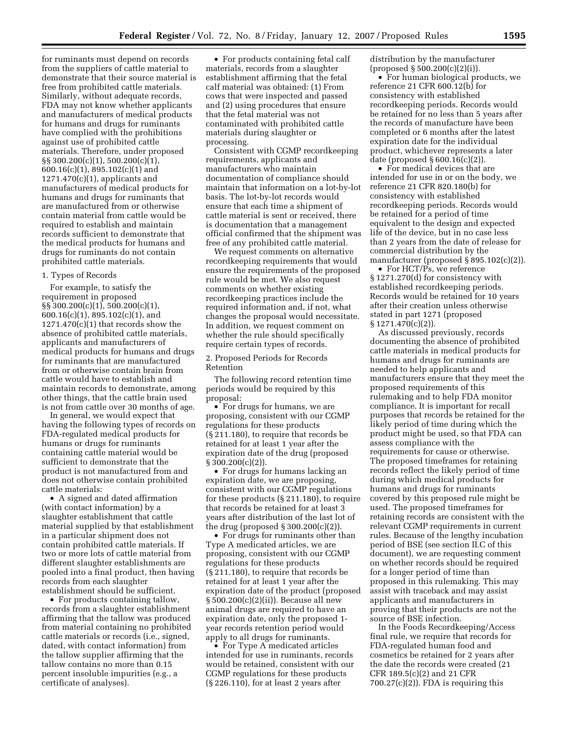for ruminants must depend on records from the suppliers of cattle material to demonstrate that their source material is free from prohibited cattle materials. Similarly, without adequate records, FDA may not know whether applicants and manufacturers of medical products for humans and drugs for ruminants have complied with the prohibitions against use of prohibited cattle materials. Therefore, under proposed §§ 300.200(c)(1), 500.200(c)(1), 600.16(c)(1), 895.102(c)(1) and 1271.470(c)(1), applicants and manufacturers of medical products for humans and drugs for ruminants that are manufactured from or otherwise contain material from cattle would be required to establish and maintain records sufficient to demonstrate that the medical products for humans and drugs for ruminants do not contain prohibited cattle materials.

## 1. Types of Records

For example, to satisfy the requirement in proposed §§ 300.200(c)(1), 500.200(c)(1), 600.16(c)(1), 895.102(c)(1), and  $1271.470(c)(1)$  that records show the absence of prohibited cattle materials, applicants and manufacturers of medical products for humans and drugs for ruminants that are manufactured from or otherwise contain brain from cattle would have to establish and maintain records to demonstrate, among other things, that the cattle brain used is not from cattle over 30 months of age.

In general, we would expect that having the following types of records on FDA-regulated medical products for humans or drugs for ruminants containing cattle material would be sufficient to demonstrate that the product is not manufactured from and does not otherwise contain prohibited cattle materials:

• A signed and dated affirmation (with contact information) by a slaughter establishment that cattle material supplied by that establishment in a particular shipment does not contain prohibited cattle materials. If two or more lots of cattle material from different slaughter establishments are pooled into a final product, then having records from each slaughter establishment should be sufficient.

• For products containing tallow, records from a slaughter establishment affirming that the tallow was produced from material containing no prohibited cattle materials or records (i.e., signed, dated, with contact information) from the tallow supplier affirming that the tallow contains no more than 0.15 percent insoluble impurities (e.g., a certificate of analyses).

• For products containing fetal calf materials, records from a slaughter establishment affirming that the fetal calf material was obtained: (1) From cows that were inspected and passed and (2) using procedures that ensure that the fetal material was not contaminated with prohibited cattle materials during slaughter or processing.

Consistent with CGMP recordkeeping requirements, applicants and manufacturers who maintain documentation of compliance should maintain that information on a lot-by-lot basis. The lot-by-lot records would ensure that each time a shipment of cattle material is sent or received, there is documentation that a management official confirmed that the shipment was free of any prohibited cattle material.

We request comments on alternative recordkeeping requirements that would ensure the requirements of the proposed rule would be met. We also request comments on whether existing recordkeeping practices include the required information and, if not, what changes the proposal would necessitate. In addition, we request comment on whether the rule should specifically require certain types of records.

2. Proposed Periods for Records Retention

The following record retention time periods would be required by this proposal:

• For drugs for humans, we are proposing, consistent with our CGMP regulations for these products (§ 211.180), to require that records be retained for at least 1 year after the expiration date of the drug (proposed  $\S 300.200(c)(2)$ .

• For drugs for humans lacking an expiration date, we are proposing, consistent with our CGMP regulations for these products (§ 211.180), to require that records be retained for at least 3 years after distribution of the last lot of the drug (proposed  $\S 300.200(c)(2)$ ).

• For drugs for ruminants other than Type A medicated articles, we are proposing, consistent with our CGMP regulations for these products (§ 211.180), to require that records be retained for at least 1 year after the expiration date of the product (proposed § 500.200(c)(2)(ii)). Because all new animal drugs are required to have an expiration date, only the proposed 1 year records retention period would apply to all drugs for ruminants.

• For Type A medicated articles intended for use in ruminants, records would be retained, consistent with our CGMP regulations for these products (§ 226.110), for at least 2 years after

distribution by the manufacturer (proposed § 500.200(c)(2)(i)).

• For human biological products, we reference 21 CFR 600.12(b) for consistency with established recordkeeping periods. Records would be retained for no less than 5 years after the records of manufacture have been completed or 6 months after the latest expiration date for the individual product, whichever represents a later date (proposed § 600.16(c)(2)).

• For medical devices that are intended for use in or on the body, we reference 21 CFR 820.180(b) for consistency with established recordkeeping periods. Records would be retained for a period of time equivalent to the design and expected life of the device, but in no case less than 2 years from the date of release for commercial distribution by the manufacturer (proposed § 895.102(c)(2)).

• For HCT/Ps, we reference § 1271.270(d) for consistency with established recordkeeping periods. Records would be retained for 10 years after their creation unless otherwise stated in part 1271 (proposed § 1271.470(c)(2)).

As discussed previously, records documenting the absence of prohibited cattle materials in medical products for humans and drugs for ruminants are needed to help applicants and manufacturers ensure that they meet the proposed requirements of this rulemaking and to help FDA monitor compliance. It is important for recall purposes that records be retained for the likely period of time during which the product might be used, so that FDA can assess compliance with the requirements for cause or otherwise. The proposed timeframes for retaining records reflect the likely period of time during which medical products for humans and drugs for ruminants covered by this proposed rule might be used. The proposed timeframes for retaining records are consistent with the relevant CGMP requirements in current rules. Because of the lengthy incubation period of BSE (see section II.C of this document), we are requesting comment on whether records should be required for a longer period of time than proposed in this rulemaking. This may assist with traceback and may assist applicants and manufacturers in proving that their products are not the source of BSE infection.

In the Foods Recordkeeping/Access final rule, we require that records for FDA-regulated human food and cosmetics be retained for 2 years after the date the records were created (21 CFR 189.5(c)(2) and 21 CFR  $700.27(c)(2)$ ). FDA is requiring this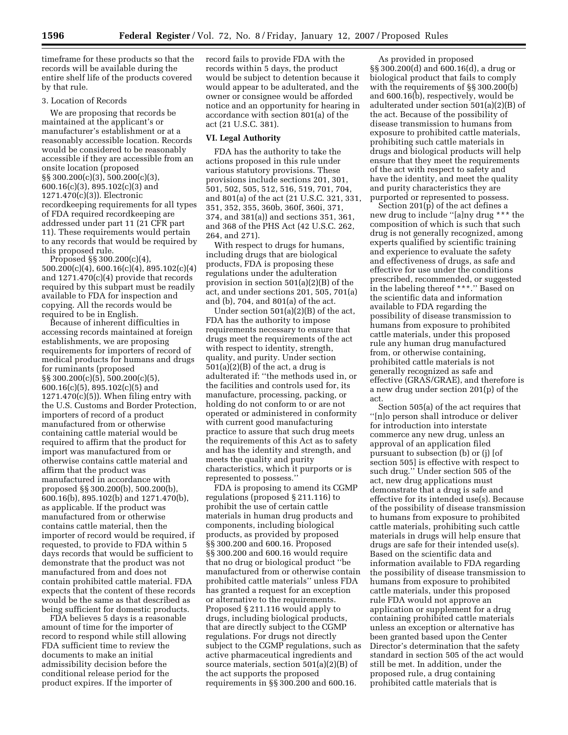timeframe for these products so that the records will be available during the entire shelf life of the products covered by that rule.

## 3. Location of Records

We are proposing that records be maintained at the applicant's or manufacturer's establishment or at a reasonably accessible location. Records would be considered to be reasonably accessible if they are accessible from an onsite location (proposed §§ 300.200(c)(3), 500.200(c)(3), 600.16(c)(3), 895.102(c)(3) and 1271.470(c)(3)). Electronic recordkeeping requirements for all types of FDA required recordkeeping are addressed under part 11 (21 CFR part 11). These requirements would pertain to any records that would be required by this proposed rule.

Proposed §§ 300.200(c)(4), 500.200(c)(4), 600.16(c)(4), 895.102(c)(4) and 1271.470(c)(4) provide that records required by this subpart must be readily available to FDA for inspection and copying. All the records would be required to be in English.

Because of inherent difficulties in accessing records maintained at foreign establishments, we are proposing requirements for importers of record of medical products for humans and drugs for ruminants (proposed §§ 300.200(c)(5), 500.200(c)(5), 600.16(c)(5), 895.102(c)(5) and  $1271.470(c)(5)$ ). When filing entry with the U.S. Customs and Border Protection, importers of record of a product manufactured from or otherwise containing cattle material would be required to affirm that the product for import was manufactured from or otherwise contains cattle material and affirm that the product was manufactured in accordance with proposed §§ 300.200(b), 500.200(b), 600.16(b), 895.102(b) and 1271.470(b), as applicable. If the product was manufactured from or otherwise contains cattle material, then the importer of record would be required, if requested, to provide to FDA within 5 days records that would be sufficient to demonstrate that the product was not manufactured from and does not contain prohibited cattle material. FDA expects that the content of these records would be the same as that described as being sufficient for domestic products.

FDA believes 5 days is a reasonable amount of time for the importer of record to respond while still allowing FDA sufficient time to review the documents to make an initial admissibility decision before the conditional release period for the product expires. If the importer of

record fails to provide FDA with the records within 5 days, the product would be subject to detention because it would appear to be adulterated, and the owner or consignee would be afforded notice and an opportunity for hearing in accordance with section 801(a) of the act (21 U.S.C. 381).

#### **VI. Legal Authority**

FDA has the authority to take the actions proposed in this rule under various statutory provisions. These provisions include sections 201, 301, 501, 502, 505, 512, 516, 519, 701, 704, and 801(a) of the act (21 U.S.C. 321, 331, 351, 352, 355, 360b, 360f, 360i, 371, 374, and 381(a)) and sections 351, 361, and 368 of the PHS Act (42 U.S.C. 262, 264, and 271).

With respect to drugs for humans, including drugs that are biological products, FDA is proposing these regulations under the adulteration provision in section 501(a)(2)(B) of the act, and under sections 201, 505, 701(a) and (b), 704, and 801(a) of the act.

Under section 501(a)(2)(B) of the act, FDA has the authority to impose requirements necessary to ensure that drugs meet the requirements of the act with respect to identity, strength, quality, and purity. Under section  $501(a)(2)(B)$  of the act, a drug is adulterated if: ''the methods used in, or the facilities and controls used for, its manufacture, processing, packing, or holding do not conform to or are not operated or administered in conformity with current good manufacturing practice to assure that such drug meets the requirements of this Act as to safety and has the identity and strength, and meets the quality and purity characteristics, which it purports or is represented to possess.''

FDA is proposing to amend its CGMP regulations (proposed § 211.116) to prohibit the use of certain cattle materials in human drug products and components, including biological products, as provided by proposed §§ 300.200 and 600.16. Proposed §§ 300.200 and 600.16 would require that no drug or biological product ''be manufactured from or otherwise contain prohibited cattle materials'' unless FDA has granted a request for an exception or alternative to the requirements. Proposed § 211.116 would apply to drugs, including biological products, that are directly subject to the CGMP regulations. For drugs not directly subject to the CGMP regulations, such as active pharmaceutical ingredients and source materials, section 501(a)(2)(B) of the act supports the proposed requirements in §§ 300.200 and 600.16.

As provided in proposed §§ 300.200(d) and 600.16(d), a drug or biological product that fails to comply with the requirements of §§ 300.200(b) and 600.16(b), respectively, would be adulterated under section 501(a)(2)(B) of the act. Because of the possibility of disease transmission to humans from exposure to prohibited cattle materials, prohibiting such cattle materials in drugs and biological products will help ensure that they meet the requirements of the act with respect to safety and have the identity, and meet the quality and purity characteristics they are purported or represented to possess.

Section 201(p) of the act defines a new drug to include ''[a]ny drug \*\*\* the composition of which is such that such drug is not generally recognized, among experts qualified by scientific training and experience to evaluate the safety and effectiveness of drugs, as safe and effective for use under the conditions prescribed, recommended, or suggested in the labeling thereof \*\*\*.'' Based on the scientific data and information available to FDA regarding the possibility of disease transmission to humans from exposure to prohibited cattle materials, under this proposed rule any human drug manufactured from, or otherwise containing, prohibited cattle materials is not generally recognized as safe and effective (GRAS/GRAE), and therefore is a new drug under section 201(p) of the act.

Section 505(a) of the act requires that ''[n]o person shall introduce or deliver for introduction into interstate commerce any new drug, unless an approval of an application filed pursuant to subsection (b) or (j) [of section 505] is effective with respect to such drug.'' Under section 505 of the act, new drug applications must demonstrate that a drug is safe and effective for its intended use(s). Because of the possibility of disease transmission to humans from exposure to prohibited cattle materials, prohibiting such cattle materials in drugs will help ensure that drugs are safe for their intended use(s). Based on the scientific data and information available to FDA regarding the possibility of disease transmission to humans from exposure to prohibited cattle materials, under this proposed rule FDA would not approve an application or supplement for a drug containing prohibited cattle materials unless an exception or alternative has been granted based upon the Center Director's determination that the safety standard in section 505 of the act would still be met. In addition, under the proposed rule, a drug containing prohibited cattle materials that is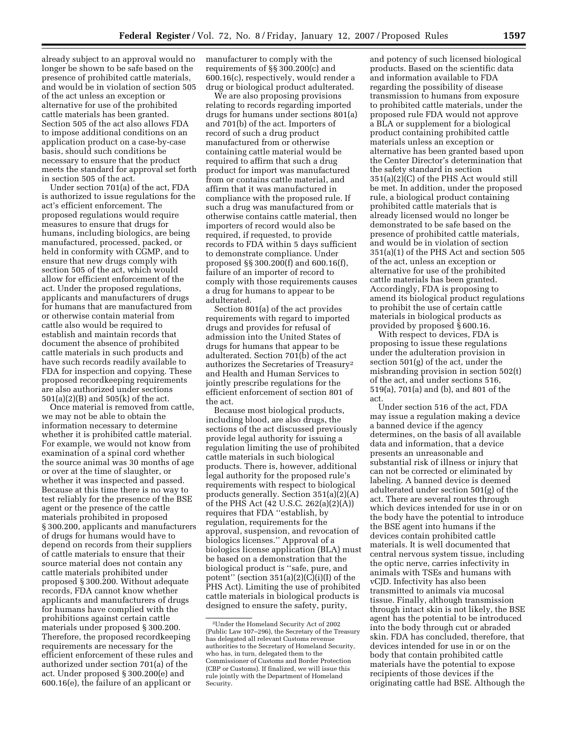already subject to an approval would no longer be shown to be safe based on the presence of prohibited cattle materials, and would be in violation of section 505 of the act unless an exception or alternative for use of the prohibited cattle materials has been granted. Section 505 of the act also allows FDA

to impose additional conditions on an application product on a case-by-case basis, should such conditions be necessary to ensure that the product meets the standard for approval set forth in section 505 of the act.

Under section 701(a) of the act, FDA is authorized to issue regulations for the act's efficient enforcement. The proposed regulations would require measures to ensure that drugs for humans, including biologics, are being manufactured, processed, packed, or held in conformity with CGMP, and to ensure that new drugs comply with section 505 of the act, which would allow for efficient enforcement of the act. Under the proposed regulations, applicants and manufacturers of drugs for humans that are manufactured from or otherwise contain material from cattle also would be required to establish and maintain records that document the absence of prohibited cattle materials in such products and have such records readily available to FDA for inspection and copying. These proposed recordkeeping requirements are also authorized under sections 501(a)(2)(B) and 505(k) of the act.

Once material is removed from cattle, we may not be able to obtain the information necessary to determine whether it is prohibited cattle material. For example, we would not know from examination of a spinal cord whether the source animal was 30 months of age or over at the time of slaughter, or whether it was inspected and passed. Because at this time there is no way to test reliably for the presence of the BSE agent or the presence of the cattle materials prohibited in proposed § 300.200, applicants and manufacturers of drugs for humans would have to depend on records from their suppliers of cattle materials to ensure that their source material does not contain any cattle materials prohibited under proposed § 300.200. Without adequate records, FDA cannot know whether applicants and manufacturers of drugs for humans have complied with the prohibitions against certain cattle materials under proposed § 300.200. Therefore, the proposed recordkeeping requirements are necessary for the efficient enforcement of these rules and authorized under section 701(a) of the act. Under proposed § 300.200(e) and 600.16(e), the failure of an applicant or

manufacturer to comply with the requirements of §§ 300.200(c) and 600.16(c), respectively, would render a drug or biological product adulterated.

We are also proposing provisions relating to records regarding imported drugs for humans under sections 801(a) and 701(b) of the act. Importers of record of such a drug product manufactured from or otherwise containing cattle material would be required to affirm that such a drug product for import was manufactured from or contains cattle material, and affirm that it was manufactured in compliance with the proposed rule. If such a drug was manufactured from or otherwise contains cattle material, then importers of record would also be required, if requested, to provide records to FDA within 5 days sufficient to demonstrate compliance. Under proposed §§ 300.200(f) and 600.16(f), failure of an importer of record to comply with those requirements causes a drug for humans to appear to be adulterated.

Section 801(a) of the act provides requirements with regard to imported drugs and provides for refusal of admission into the United States of drugs for humans that appear to be adulterated. Section 701(b) of the act authorizes the Secretaries of Treasury2 and Health and Human Services to jointly prescribe regulations for the efficient enforcement of section 801 of the act.

Because most biological products, including blood, are also drugs, the sections of the act discussed previously provide legal authority for issuing a regulation limiting the use of prohibited cattle materials in such biological products. There is, however, additional legal authority for the proposed rule's requirements with respect to biological products generally. Section 351(a)(2)(A) of the PHS Act (42 U.S.C. 262(a)(2)(A)) requires that FDA ''establish, by regulation, requirements for the approval, suspension, and revocation of biologics licenses.'' Approval of a biologics license application (BLA) must be based on a demonstration that the biological product is ''safe, pure, and potent'' (section 351(a)(2)(C)(i)(I) of the PHS Act). Limiting the use of prohibited cattle materials in biological products is designed to ensure the safety, purity,

and potency of such licensed biological products. Based on the scientific data and information available to FDA regarding the possibility of disease transmission to humans from exposure to prohibited cattle materials, under the proposed rule FDA would not approve a BLA or supplement for a biological product containing prohibited cattle materials unless an exception or alternative has been granted based upon the Center Director's determination that the safety standard in section 351(a)(2)(C) of the PHS Act would still be met. In addition, under the proposed rule, a biological product containing prohibited cattle materials that is already licensed would no longer be demonstrated to be safe based on the presence of prohibited cattle materials, and would be in violation of section 351(a)(1) of the PHS Act and section 505 of the act, unless an exception or alternative for use of the prohibited cattle materials has been granted. Accordingly, FDA is proposing to amend its biological product regulations to prohibit the use of certain cattle materials in biological products as provided by proposed § 600.16.

With respect to devices, FDA is proposing to issue these regulations under the adulteration provision in section 501(g) of the act, under the misbranding provision in section 502(t) of the act, and under sections 516, 519(a), 701(a) and (b), and 801 of the act.

Under section 516 of the act, FDA may issue a regulation making a device a banned device if the agency determines, on the basis of all available data and information, that a device presents an unreasonable and substantial risk of illness or injury that can not be corrected or eliminated by labeling. A banned device is deemed adulterated under section 501(g) of the act. There are several routes through which devices intended for use in or on the body have the potential to introduce the BSE agent into humans if the devices contain prohibited cattle materials. It is well documented that central nervous system tissue, including the optic nerve, carries infectivity in animals with TSEs and humans with vCJD. Infectivity has also been transmitted to animals via mucosal tissue. Finally, although transmission through intact skin is not likely, the BSE agent has the potential to be introduced into the body through cut or abraded skin. FDA has concluded, therefore, that devices intended for use in or on the body that contain prohibited cattle materials have the potential to expose recipients of those devices if the originating cattle had BSE. Although the

<sup>2</sup>Under the Homeland Security Act of 2002 (Public Law 107–296), the Secretary of the Treasury has delegated all relevant Customs revenue authorities to the Secretary of Homeland Security, who has, in turn, delegated them to the Commissioner of Customs and Border Protection (CBP or Customs). If finalized, we will issue this rule jointly with the Department of Homeland Security.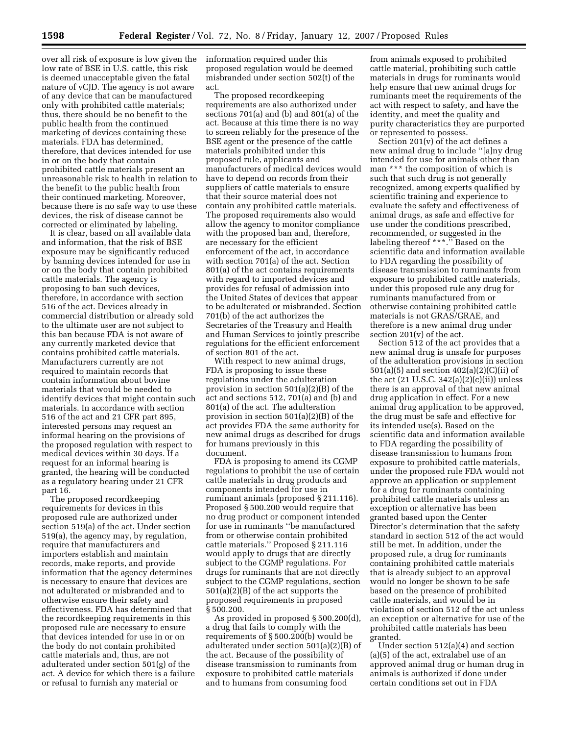over all risk of exposure is low given the low rate of BSE in U.S. cattle, this risk is deemed unacceptable given the fatal nature of vCJD. The agency is not aware of any device that can be manufactured only with prohibited cattle materials; thus, there should be no benefit to the public health from the continued marketing of devices containing these materials. FDA has determined, therefore, that devices intended for use in or on the body that contain prohibited cattle materials present an unreasonable risk to health in relation to the benefit to the public health from their continued marketing. Moreover, because there is no safe way to use these devices, the risk of disease cannot be corrected or eliminated by labeling.

It is clear, based on all available data and information, that the risk of BSE exposure may be significantly reduced by banning devices intended for use in or on the body that contain prohibited cattle materials. The agency is proposing to ban such devices, therefore, in accordance with section 516 of the act. Devices already in commercial distribution or already sold to the ultimate user are not subject to this ban because FDA is not aware of any currently marketed device that contains prohibited cattle materials. Manufacturers currently are not required to maintain records that contain information about bovine materials that would be needed to identify devices that might contain such materials. In accordance with section 516 of the act and 21 CFR part 895, interested persons may request an informal hearing on the provisions of the proposed regulation with respect to medical devices within 30 days. If a request for an informal hearing is granted, the hearing will be conducted as a regulatory hearing under 21 CFR part 16.

The proposed recordkeeping requirements for devices in this proposed rule are authorized under section 519(a) of the act. Under section 519(a), the agency may, by regulation, require that manufacturers and importers establish and maintain records, make reports, and provide information that the agency determines is necessary to ensure that devices are not adulterated or misbranded and to otherwise ensure their safety and effectiveness. FDA has determined that the recordkeeping requirements in this proposed rule are necessary to ensure that devices intended for use in or on the body do not contain prohibited cattle materials and, thus, are not adulterated under section 501(g) of the act. A device for which there is a failure or refusal to furnish any material or

information required under this proposed regulation would be deemed misbranded under section 502(t) of the act.

The proposed recordkeeping requirements are also authorized under sections 701(a) and (b) and 801(a) of the act. Because at this time there is no way to screen reliably for the presence of the BSE agent or the presence of the cattle materials prohibited under this proposed rule, applicants and manufacturers of medical devices would have to depend on records from their suppliers of cattle materials to ensure that their source material does not contain any prohibited cattle materials. The proposed requirements also would allow the agency to monitor compliance with the proposed ban and, therefore, are necessary for the efficient enforcement of the act, in accordance with section 701(a) of the act. Section 801(a) of the act contains requirements with regard to imported devices and provides for refusal of admission into the United States of devices that appear to be adulterated or misbranded. Section 701(b) of the act authorizes the Secretaries of the Treasury and Health and Human Services to jointly prescribe regulations for the efficient enforcement of section 801 of the act.

With respect to new animal drugs, FDA is proposing to issue these regulations under the adulteration provision in section 501(a)(2)(B) of the act and sections 512, 701(a) and (b) and 801(a) of the act. The adulteration provision in section 501(a)(2)(B) of the act provides FDA the same authority for new animal drugs as described for drugs for humans previously in this document.

FDA is proposing to amend its CGMP regulations to prohibit the use of certain cattle materials in drug products and components intended for use in ruminant animals (proposed § 211.116). Proposed § 500.200 would require that no drug product or component intended for use in ruminants ''be manufactured from or otherwise contain prohibited cattle materials.'' Proposed § 211.116 would apply to drugs that are directly subject to the CGMP regulations. For drugs for ruminants that are not directly subject to the CGMP regulations, section 501(a)(2)(B) of the act supports the proposed requirements in proposed § 500.200.

As provided in proposed § 500.200(d), a drug that fails to comply with the requirements of § 500.200(b) would be adulterated under section 501(a)(2)(B) of the act. Because of the possibility of disease transmission to ruminants from exposure to prohibited cattle materials and to humans from consuming food

from animals exposed to prohibited cattle material, prohibiting such cattle materials in drugs for ruminants would help ensure that new animal drugs for ruminants meet the requirements of the act with respect to safety, and have the identity, and meet the quality and purity characteristics they are purported or represented to possess.

Section 201(v) of the act defines a new animal drug to include ''[a]ny drug intended for use for animals other than man \*\*\* the composition of which is such that such drug is not generally recognized, among experts qualified by scientific training and experience to evaluate the safety and effectiveness of animal drugs, as safe and effective for use under the conditions prescribed, recommended, or suggested in the labeling thereof \*\*\*.'' Based on the scientific data and information available to FDA regarding the possibility of disease transmission to ruminants from exposure to prohibited cattle materials, under this proposed rule any drug for ruminants manufactured from or otherwise containing prohibited cattle materials is not GRAS/GRAE, and therefore is a new animal drug under section 201(v) of the act.

Section 512 of the act provides that a new animal drug is unsafe for purposes of the adulteration provisions in section 501(a)(5) and section 402(a)(2)(C)(ii) of the act  $(21 \text{ U.S.C. } 342(a)(2)(c)(ii))$  unless there is an approval of that new animal drug application in effect. For a new animal drug application to be approved, the drug must be safe and effective for its intended use(s). Based on the scientific data and information available to FDA regarding the possibility of disease transmission to humans from exposure to prohibited cattle materials, under the proposed rule FDA would not approve an application or supplement for a drug for ruminants containing prohibited cattle materials unless an exception or alternative has been granted based upon the Center Director's determination that the safety standard in section 512 of the act would still be met. In addition, under the proposed rule, a drug for ruminants containing prohibited cattle materials that is already subject to an approval would no longer be shown to be safe based on the presence of prohibited cattle materials, and would be in violation of section 512 of the act unless an exception or alternative for use of the prohibited cattle materials has been granted.

Under section 512(a)(4) and section (a)(5) of the act, extralabel use of an approved animal drug or human drug in animals is authorized if done under certain conditions set out in FDA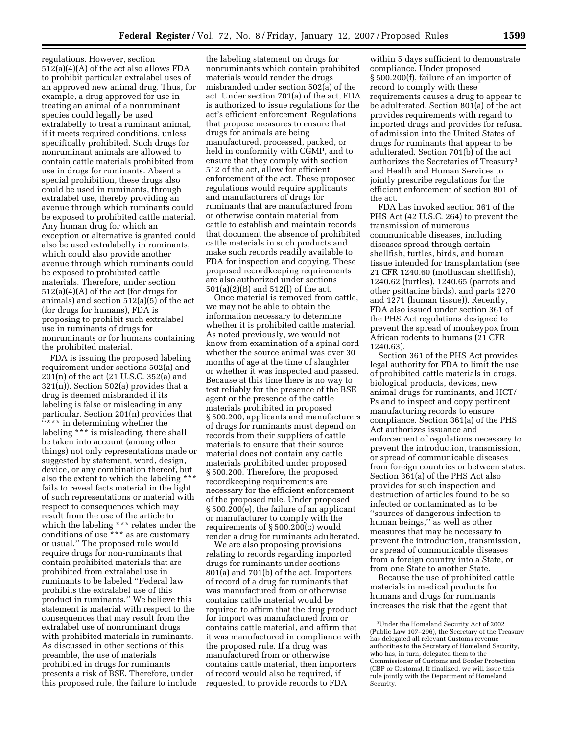regulations. However, section 512(a)(4)(A) of the act also allows FDA to prohibit particular extralabel uses of an approved new animal drug. Thus, for example, a drug approved for use in treating an animal of a nonruminant species could legally be used extralabelly to treat a ruminant animal, if it meets required conditions, unless specifically prohibited. Such drugs for nonruminant animals are allowed to contain cattle materials prohibited from use in drugs for ruminants. Absent a special prohibition, these drugs also could be used in ruminants, through extralabel use, thereby providing an avenue through which ruminants could be exposed to prohibited cattle material. Any human drug for which an exception or alternative is granted could also be used extralabelly in ruminants, which could also provide another avenue through which ruminants could be exposed to prohibited cattle materials. Therefore, under section  $512(a)(4)(A)$  of the act (for drugs for animals) and section 512(a)(5) of the act (for drugs for humans), FDA is proposing to prohibit such extralabel use in ruminants of drugs for nonruminants or for humans containing the prohibited material.

FDA is issuing the proposed labeling requirement under sections 502(a) and 201(n) of the act (21 U.S.C. 352(a) and 321(n)). Section 502(a) provides that a drug is deemed misbranded if its labeling is false or misleading in any particular. Section 201(n) provides that ''\*\*\* in determining whether the labeling \*\*\* is misleading, there shall be taken into account (among other things) not only representations made or suggested by statement, word, design, device, or any combination thereof, but also the extent to which the labeling \* fails to reveal facts material in the light of such representations or material with respect to consequences which may result from the use of the article to which the labeling \*\*\* relates under the conditions of use \*\*\* as are customary or usual.'' The proposed rule would require drugs for non-ruminants that contain prohibited materials that are prohibited from extralabel use in ruminants to be labeled ''Federal law prohibits the extralabel use of this product in ruminants.'' We believe this statement is material with respect to the consequences that may result from the extralabel use of nonruminant drugs with prohibited materials in ruminants. As discussed in other sections of this preamble, the use of materials prohibited in drugs for ruminants presents a risk of BSE. Therefore, under this proposed rule, the failure to include

the labeling statement on drugs for nonruminants which contain prohibited materials would render the drugs misbranded under section 502(a) of the act. Under section 701(a) of the act, FDA is authorized to issue regulations for the act's efficient enforcement. Regulations that propose measures to ensure that drugs for animals are being manufactured, processed, packed, or held in conformity with CGMP, and to ensure that they comply with section 512 of the act, allow for efficient enforcement of the act. These proposed regulations would require applicants and manufacturers of drugs for ruminants that are manufactured from or otherwise contain material from cattle to establish and maintain records that document the absence of prohibited cattle materials in such products and make such records readily available to FDA for inspection and copying. These proposed recordkeeping requirements are also authorized under sections 501(a)(2)(B) and 512(l) of the act.

Once material is removed from cattle, we may not be able to obtain the information necessary to determine whether it is prohibited cattle material. As noted previously, we would not know from examination of a spinal cord whether the source animal was over 30 months of age at the time of slaughter or whether it was inspected and passed. Because at this time there is no way to test reliably for the presence of the BSE agent or the presence of the cattle materials prohibited in proposed § 500.200, applicants and manufacturers of drugs for ruminants must depend on records from their suppliers of cattle materials to ensure that their source material does not contain any cattle materials prohibited under proposed § 500.200. Therefore, the proposed recordkeeping requirements are necessary for the efficient enforcement of the proposed rule. Under proposed § 500.200(e), the failure of an applicant or manufacturer to comply with the requirements of § 500.200(c) would render a drug for ruminants adulterated.

We are also proposing provisions relating to records regarding imported drugs for ruminants under sections 801(a) and 701(b) of the act. Importers of record of a drug for ruminants that was manufactured from or otherwise contains cattle material would be required to affirm that the drug product for import was manufactured from or contains cattle material, and affirm that it was manufactured in compliance with the proposed rule. If a drug was manufactured from or otherwise contains cattle material, then importers of record would also be required, if requested, to provide records to FDA

within 5 days sufficient to demonstrate compliance. Under proposed § 500.200(f), failure of an importer of record to comply with these requirements causes a drug to appear to be adulterated. Section 801(a) of the act provides requirements with regard to imported drugs and provides for refusal of admission into the United States of drugs for ruminants that appear to be adulterated. Section 701(b) of the act authorizes the Secretaries of Treasury3 and Health and Human Services to jointly prescribe regulations for the efficient enforcement of section 801 of the act.

FDA has invoked section 361 of the PHS Act (42 U.S.C. 264) to prevent the transmission of numerous communicable diseases, including diseases spread through certain shellfish, turtles, birds, and human tissue intended for transplantation (see 21 CFR 1240.60 (molluscan shellfish), 1240.62 (turtles), 1240.65 (parrots and other psittacine birds), and parts 1270 and 1271 (human tissue)). Recently, FDA also issued under section 361 of the PHS Act regulations designed to prevent the spread of monkeypox from African rodents to humans (21 CFR 1240.63).

Section 361 of the PHS Act provides legal authority for FDA to limit the use of prohibited cattle materials in drugs, biological products, devices, new animal drugs for ruminants, and HCT/ Ps and to inspect and copy pertinent manufacturing records to ensure compliance. Section 361(a) of the PHS Act authorizes issuance and enforcement of regulations necessary to prevent the introduction, transmission, or spread of communicable diseases from foreign countries or between states. Section 361(a) of the PHS Act also provides for such inspection and destruction of articles found to be so infected or contaminated as to be ''sources of dangerous infection to human beings,'' as well as other measures that may be necessary to prevent the introduction, transmission, or spread of communicable diseases from a foreign country into a State, or from one State to another State.

Because the use of prohibited cattle materials in medical products for humans and drugs for ruminants increases the risk that the agent that

<sup>3</sup>Under the Homeland Security Act of 2002 (Public Law 107–296), the Secretary of the Treasury has delegated all relevant Customs revenue authorities to the Secretary of Homeland Security, who has, in turn, delegated them to the Commissioner of Customs and Border Protection (CBP or Customs). If finalized, we will issue this rule jointly with the Department of Homeland Security.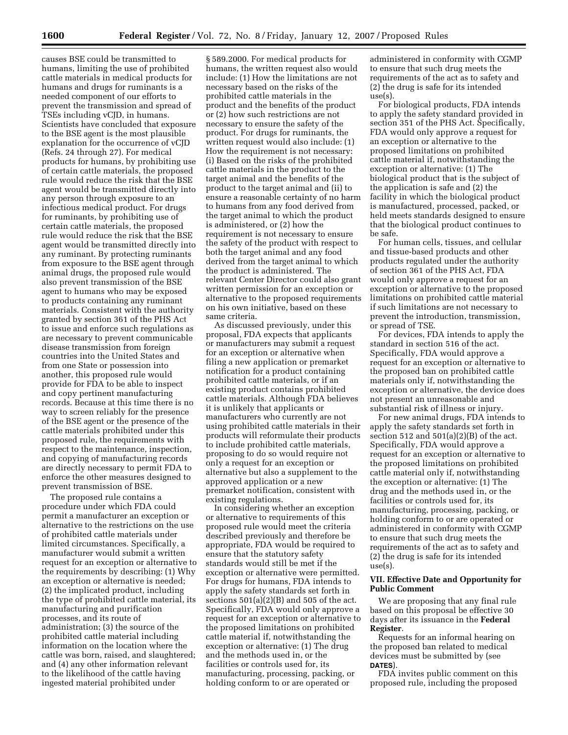causes BSE could be transmitted to humans, limiting the use of prohibited cattle materials in medical products for humans and drugs for ruminants is a needed component of our efforts to prevent the transmission and spread of TSEs including vCJD, in humans. Scientists have concluded that exposure to the BSE agent is the most plausible explanation for the occurrence of vCJD (Refs. 24 through 27). For medical products for humans, by prohibiting use of certain cattle materials, the proposed rule would reduce the risk that the BSE agent would be transmitted directly into any person through exposure to an infectious medical product. For drugs for ruminants, by prohibiting use of certain cattle materials, the proposed rule would reduce the risk that the BSE agent would be transmitted directly into any ruminant. By protecting ruminants from exposure to the BSE agent through animal drugs, the proposed rule would also prevent transmission of the BSE agent to humans who may be exposed to products containing any ruminant materials. Consistent with the authority granted by section 361 of the PHS Act to issue and enforce such regulations as are necessary to prevent communicable disease transmission from foreign countries into the United States and from one State or possession into another, this proposed rule would provide for FDA to be able to inspect and copy pertinent manufacturing records. Because at this time there is no way to screen reliably for the presence of the BSE agent or the presence of the cattle materials prohibited under this proposed rule, the requirements with respect to the maintenance, inspection, and copying of manufacturing records are directly necessary to permit FDA to enforce the other measures designed to prevent transmission of BSE.

The proposed rule contains a procedure under which FDA could permit a manufacturer an exception or alternative to the restrictions on the use of prohibited cattle materials under limited circumstances. Specifically, a manufacturer would submit a written request for an exception or alternative to the requirements by describing: (1) Why an exception or alternative is needed; (2) the implicated product, including the type of prohibited cattle material, its manufacturing and purification processes, and its route of administration; (3) the source of the prohibited cattle material including information on the location where the cattle was born, raised, and slaughtered; and (4) any other information relevant to the likelihood of the cattle having ingested material prohibited under

§ 589.2000. For medical products for humans, the written request also would include: (1) How the limitations are not necessary based on the risks of the prohibited cattle materials in the product and the benefits of the product or (2) how such restrictions are not necessary to ensure the safety of the product. For drugs for ruminants, the written request would also include: (1) How the requirement is not necessary: (i) Based on the risks of the prohibited cattle materials in the product to the target animal and the benefits of the product to the target animal and (ii) to ensure a reasonable certainty of no harm to humans from any food derived from the target animal to which the product is administered, or (2) how the requirement is not necessary to ensure the safety of the product with respect to both the target animal and any food derived from the target animal to which the product is administered. The relevant Center Director could also grant written permission for an exception or alternative to the proposed requirements on his own initiative, based on these same criteria.

As discussed previously, under this proposal, FDA expects that applicants or manufacturers may submit a request for an exception or alternative when filing a new application or premarket notification for a product containing prohibited cattle materials, or if an existing product contains prohibited cattle materials. Although FDA believes it is unlikely that applicants or manufacturers who currently are not using prohibited cattle materials in their products will reformulate their products to include prohibited cattle materials, proposing to do so would require not only a request for an exception or alternative but also a supplement to the approved application or a new premarket notification, consistent with existing regulations.

In considering whether an exception or alternative to requirements of this proposed rule would meet the criteria described previously and therefore be appropriate, FDA would be required to ensure that the statutory safety standards would still be met if the exception or alternative were permitted. For drugs for humans, FDA intends to apply the safety standards set forth in sections  $501(a)(2)(B)$  and  $505$  of the act. Specifically, FDA would only approve a request for an exception or alternative to the proposed limitations on prohibited cattle material if, notwithstanding the exception or alternative: (1) The drug and the methods used in, or the facilities or controls used for, its manufacturing, processing, packing, or holding conform to or are operated or

administered in conformity with CGMP to ensure that such drug meets the requirements of the act as to safety and (2) the drug is safe for its intended use(s).

For biological products, FDA intends to apply the safety standard provided in section 351 of the PHS Act. Specifically, FDA would only approve a request for an exception or alternative to the proposed limitations on prohibited cattle material if, notwithstanding the exception or alternative: (1) The biological product that is the subject of the application is safe and (2) the facility in which the biological product is manufactured, processed, packed, or held meets standards designed to ensure that the biological product continues to be safe.

For human cells, tissues, and cellular and tissue-based products and other products regulated under the authority of section 361 of the PHS Act, FDA would only approve a request for an exception or alternative to the proposed limitations on prohibited cattle material if such limitations are not necessary to prevent the introduction, transmission, or spread of TSE.

For devices, FDA intends to apply the standard in section 516 of the act. Specifically, FDA would approve a request for an exception or alternative to the proposed ban on prohibited cattle materials only if, notwithstanding the exception or alternative, the device does not present an unreasonable and substantial risk of illness or injury.

For new animal drugs, FDA intends to apply the safety standards set forth in section 512 and  $501(a)(2)(B)$  of the act. Specifically, FDA would approve a request for an exception or alternative to the proposed limitations on prohibited cattle material only if, notwithstanding the exception or alternative: (1) The drug and the methods used in, or the facilities or controls used for, its manufacturing, processing, packing, or holding conform to or are operated or administered in conformity with CGMP to ensure that such drug meets the requirements of the act as to safety and (2) the drug is safe for its intended use(s).

## **VII. Effective Date and Opportunity for Public Comment**

We are proposing that any final rule based on this proposal be effective 30 days after its issuance in the **Federal Register**.

Requests for an informal hearing on the proposed ban related to medical devices must be submitted by (see **DATES**).

FDA invites public comment on this proposed rule, including the proposed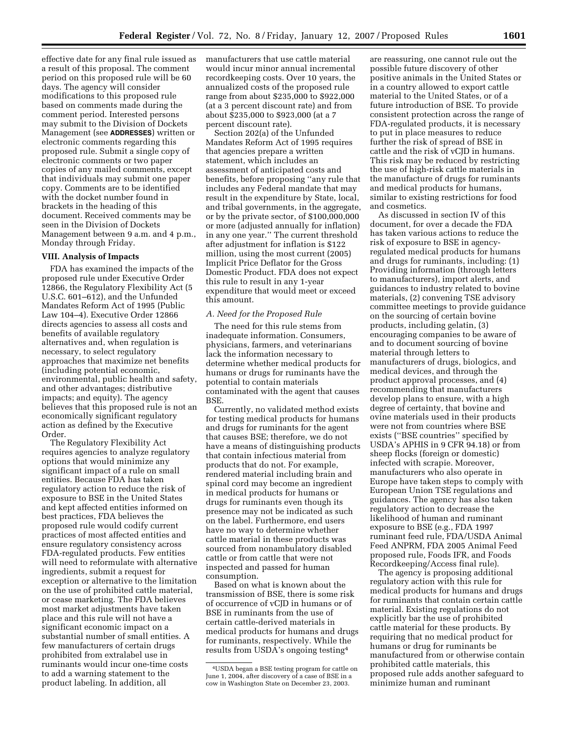effective date for any final rule issued as a result of this proposal. The comment period on this proposed rule will be 60 days. The agency will consider modifications to this proposed rule based on comments made during the comment period. Interested persons may submit to the Division of Dockets Management (see **ADDRESSES**) written or electronic comments regarding this proposed rule. Submit a single copy of electronic comments or two paper copies of any mailed comments, except that individuals may submit one paper copy. Comments are to be identified with the docket number found in brackets in the heading of this document. Received comments may be seen in the Division of Dockets Management between 9 a.m. and 4 p.m., Monday through Friday.

## **VIII. Analysis of Impacts**

FDA has examined the impacts of the proposed rule under Executive Order 12866, the Regulatory Flexibility Act (5 U.S.C. 601–612), and the Unfunded Mandates Reform Act of 1995 (Public Law 104–4). Executive Order 12866 directs agencies to assess all costs and benefits of available regulatory alternatives and, when regulation is necessary, to select regulatory approaches that maximize net benefits (including potential economic, environmental, public health and safety, and other advantages; distributive impacts; and equity). The agency believes that this proposed rule is not an economically significant regulatory action as defined by the Executive Order.

The Regulatory Flexibility Act requires agencies to analyze regulatory options that would minimize any significant impact of a rule on small entities. Because FDA has taken regulatory action to reduce the risk of exposure to BSE in the United States and kept affected entities informed on best practices, FDA believes the proposed rule would codify current practices of most affected entities and ensure regulatory consistency across FDA-regulated products. Few entities will need to reformulate with alternative ingredients, submit a request for exception or alternative to the limitation on the use of prohibited cattle material, or cease marketing. The FDA believes most market adjustments have taken place and this rule will not have a significant economic impact on a substantial number of small entities. A few manufacturers of certain drugs prohibited from extralabel use in ruminants would incur one-time costs to add a warning statement to the product labeling. In addition, all

manufacturers that use cattle material would incur minor annual incremental recordkeeping costs. Over 10 years, the annualized costs of the proposed rule range from about \$235,000 to \$922,000 (at a 3 percent discount rate) and from about \$235,000 to \$923,000 (at a 7 percent discount rate).

Section 202(a) of the Unfunded Mandates Reform Act of 1995 requires that agencies prepare a written statement, which includes an assessment of anticipated costs and benefits, before proposing ''any rule that includes any Federal mandate that may result in the expenditure by State, local, and tribal governments, in the aggregate, or by the private sector, of \$100,000,000 or more (adjusted annually for inflation) in any one year.'' The current threshold after adjustment for inflation is \$122 million, using the most current (2005) Implicit Price Deflator for the Gross Domestic Product. FDA does not expect this rule to result in any 1-year expenditure that would meet or exceed this amount.

#### *A. Need for the Proposed Rule*

The need for this rule stems from inadequate information. Consumers, physicians, farmers, and veterinarians lack the information necessary to determine whether medical products for humans or drugs for ruminants have the potential to contain materials contaminated with the agent that causes BSE.

Currently, no validated method exists for testing medical products for humans and drugs for ruminants for the agent that causes BSE; therefore, we do not have a means of distinguishing products that contain infectious material from products that do not. For example, rendered material including brain and spinal cord may become an ingredient in medical products for humans or drugs for ruminants even though its presence may not be indicated as such on the label. Furthermore, end users have no way to determine whether cattle material in these products was sourced from nonambulatory disabled cattle or from cattle that were not inspected and passed for human consumption.

Based on what is known about the transmission of BSE, there is some risk of occurrence of vCJD in humans or of BSE in ruminants from the use of certain cattle-derived materials in medical products for humans and drugs for ruminants, respectively. While the results from USDA's ongoing testing4

are reassuring, one cannot rule out the possible future discovery of other positive animals in the United States or in a country allowed to export cattle material to the United States, or of a future introduction of BSE. To provide consistent protection across the range of FDA-regulated products, it is necessary to put in place measures to reduce further the risk of spread of BSE in cattle and the risk of vCJD in humans. This risk may be reduced by restricting the use of high-risk cattle materials in the manufacture of drugs for ruminants and medical products for humans, similar to existing restrictions for food and cosmetics.

As discussed in section IV of this document, for over a decade the FDA has taken various actions to reduce the risk of exposure to BSE in agencyregulated medical products for humans and drugs for ruminants, including: (1) Providing information (through letters to manufacturers), import alerts, and guidances to industry related to bovine materials, (2) convening TSE advisory committee meetings to provide guidance on the sourcing of certain bovine products, including gelatin, (3) encouraging companies to be aware of and to document sourcing of bovine material through letters to manufacturers of drugs, biologics, and medical devices, and through the product approval processes, and (4) recommending that manufacturers develop plans to ensure, with a high degree of certainty, that bovine and ovine materials used in their products were not from countries where BSE exists (''BSE countries'' specified by USDA's APHIS in 9 CFR 94.18) or from sheep flocks (foreign or domestic) infected with scrapie. Moreover, manufacturers who also operate in Europe have taken steps to comply with European Union TSE regulations and guidances. The agency has also taken regulatory action to decrease the likelihood of human and ruminant exposure to BSE (e.g., FDA 1997 ruminant feed rule, FDA/USDA Animal Feed ANPRM, FDA 2005 Animal Feed proposed rule, Foods IFR, and Foods Recordkeeping/Access final rule).

The agency is proposing additional regulatory action with this rule for medical products for humans and drugs for ruminants that contain certain cattle material. Existing regulations do not explicitly bar the use of prohibited cattle material for these products. By requiring that no medical product for humans or drug for ruminants be manufactured from or otherwise contain prohibited cattle materials, this proposed rule adds another safeguard to minimize human and ruminant

<sup>4</sup>USDA began a BSE testing program for cattle on June 1, 2004, after discovery of a case of BSE in a cow in Washington State on December 23, 2003.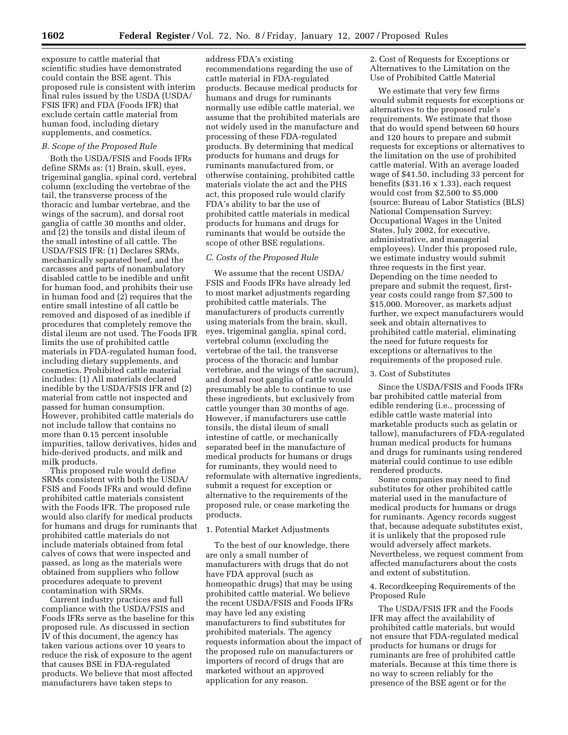exposure to cattle material that scientific studies have demonstrated could contain the BSE agent. This proposed rule is consistent with interim final rules issued by the USDA (USDA/ FSIS IFR) and FDA (Foods IFR) that exclude certain cattle material from human food, including dietary supplements, and cosmetics.

## *B. Scope of the Proposed Rule*

Both the USDA/FSIS and Foods IFRs define SRMs as: (1) Brain, skull, eyes, trigeminal ganglia, spinal cord, vertebral column (excluding the vertebrae of the tail, the transverse process of the thoracic and lumbar vertebrae, and the wings of the sacrum), and dorsal root ganglia of cattle 30 months and older, and (2) the tonsils and distal ileum of the small intestine of all cattle. The USDA/FSIS IFR: (1) Declares SRMs, mechanically separated beef, and the carcasses and parts of nonambulatory disabled cattle to be inedible and unfit for human food, and prohibits their use in human food and (2) requires that the entire small intestine of all cattle be removed and disposed of as inedible if procedures that completely remove the distal ileum are not used. The Foods IFR limits the use of prohibited cattle materials in FDA-regulated human food, including dietary supplements, and cosmetics. Prohibited cattle material includes: (1) All materials declared inedible by the USDA/FSIS IFR and (2) material from cattle not inspected and passed for human consumption. However, prohibited cattle materials do not include tallow that contains no more than 0.15 percent insoluble impurities, tallow derivatives, hides and hide-derived products, and milk and milk products.

This proposed rule would define SRMs consistent with both the USDA/ FSIS and Foods IFRs and would define prohibited cattle materials consistent with the Foods IFR. The proposed rule would also clarify for medical products for humans and drugs for ruminants that prohibited cattle materials do not include materials obtained from fetal calves of cows that were inspected and passed, as long as the materials were obtained from suppliers who follow procedures adequate to prevent contamination with SRMs.

Current industry practices and full compliance with the USDA/FSIS and Foods IFRs serve as the baseline for this proposed rule. As discussed in section IV of this document, the agency has taken various actions over 10 years to reduce the risk of exposure to the agent that causes BSE in FDA-regulated products. We believe that most affected manufacturers have taken steps to

address FDA's existing recommendations regarding the use of cattle material in FDA-regulated products. Because medical products for humans and drugs for ruminants normally use edible cattle material, we assume that the prohibited materials are not widely used in the manufacture and processing of these FDA-regulated products. By determining that medical products for humans and drugs for ruminants manufactured from, or otherwise containing, prohibited cattle materials violate the act and the PHS act, this proposed rule would clarify FDA's ability to bar the use of prohibited cattle materials in medical products for humans and drugs for ruminants that would be outside the scope of other BSE regulations.

#### *C. Costs of the Proposed Rule*

We assume that the recent USDA/ FSIS and Foods IFRs have already led to most market adjustments regarding prohibited cattle materials. The manufacturers of products currently using materials from the brain, skull, eyes, trigeminal ganglia, spinal cord, vertebral column (excluding the vertebrae of the tail, the transverse process of the thoracic and lumbar vertebrae, and the wings of the sacrum), and dorsal root ganglia of cattle would presumably be able to continue to use these ingredients, but exclusively from cattle younger than 30 months of age. However, if manufacturers use cattle tonsils, the distal ileum of small intestine of cattle, or mechanically separated beef in the manufacture of medical products for humans or drugs for ruminants, they would need to reformulate with alternative ingredients, submit a request for exception or alternative to the requirements of the proposed rule, or cease marketing the products.

## 1. Potential Market Adjustments

To the best of our knowledge, there are only a small number of manufacturers with drugs that do not have FDA approval (such as homeopathic drugs) that may be using prohibited cattle material. We believe the recent USDA/FSIS and Foods IFRs may have led any existing manufacturers to find substitutes for prohibited materials. The agency requests information about the impact of the proposed rule on manufacturers or importers of record of drugs that are marketed without an approved application for any reason.

2. Cost of Requests for Exceptions or Alternatives to the Limitation on the Use of Prohibited Cattle Material

We estimate that very few firms would submit requests for exceptions or alternatives to the proposed rule's requirements. We estimate that those that do would spend between 60 hours and 120 hours to prepare and submit requests for exceptions or alternatives to the limitation on the use of prohibited cattle material. With an average loaded wage of \$41.50, including 33 percent for benefits (\$31.16 x 1.33), each request would cost from \$2,500 to \$5,000 (source: Bureau of Labor Statistics (BLS) National Compensation Survey: Occupational Wages in the United States, July 2002, for executive, administrative, and managerial employees). Under this proposed rule, we estimate industry would submit three requests in the first year. Depending on the time needed to prepare and submit the request, firstyear costs could range from \$7,500 to \$15,000. Moreover, as markets adjust further, we expect manufacturers would seek and obtain alternatives to prohibited cattle material, eliminating the need for future requests for exceptions or alternatives to the requirements of the proposed rule.

#### 3. Cost of Substitutes

Since the USDA/FSIS and Foods IFRs bar prohibited cattle material from edible rendering (i.e., processing of edible cattle waste material into marketable products such as gelatin or tallow), manufacturers of FDA-regulated human medical products for humans and drugs for ruminants using rendered material could continue to use edible rendered products.

Some companies may need to find substitutes for other prohibited cattle material used in the manufacture of medical products for humans or drugs for ruminants. Agency records suggest that, because adequate substitutes exist, it is unlikely that the proposed rule would adversely affect markets. Nevertheless, we request comment from affected manufacturers about the costs and extent of substitution.

## 4. Recordkeeping Requirements of the Proposed Rule

The USDA/FSIS IFR and the Foods IFR may affect the availability of prohibited cattle materials, but would not ensure that FDA-regulated medical products for humans or drugs for ruminants are free of prohibited cattle materials. Because at this time there is no way to screen reliably for the presence of the BSE agent or for the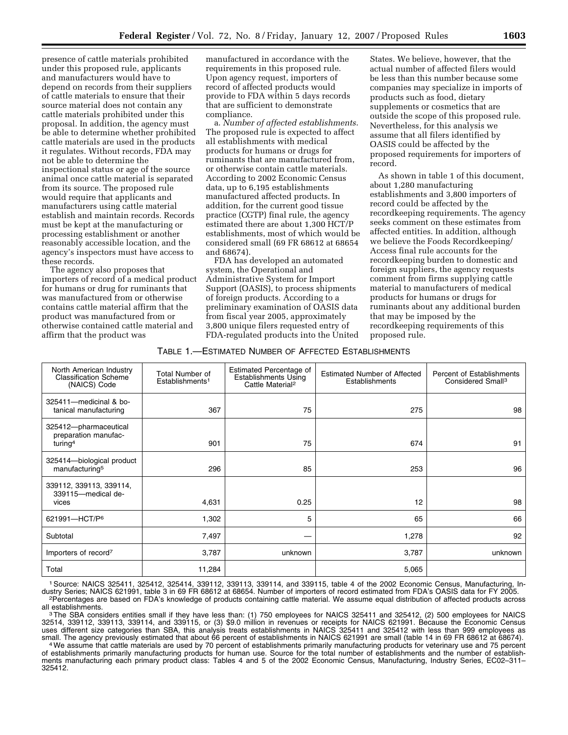presence of cattle materials prohibited under this proposed rule, applicants and manufacturers would have to depend on records from their suppliers of cattle materials to ensure that their source material does not contain any cattle materials prohibited under this proposal. In addition, the agency must be able to determine whether prohibited cattle materials are used in the products it regulates. Without records, FDA may not be able to determine the inspectional status or age of the source animal once cattle material is separated from its source. The proposed rule would require that applicants and manufacturers using cattle material establish and maintain records. Records must be kept at the manufacturing or processing establishment or another reasonably accessible location, and the agency's inspectors must have access to these records.

The agency also proposes that importers of record of a medical product for humans or drug for ruminants that was manufactured from or otherwise contains cattle material affirm that the product was manufactured from or otherwise contained cattle material and affirm that the product was

manufactured in accordance with the requirements in this proposed rule. Upon agency request, importers of record of affected products would provide to FDA within 5 days records that are sufficient to demonstrate compliance.

a. *Number of affected establishments*. The proposed rule is expected to affect all establishments with medical products for humans or drugs for ruminants that are manufactured from, or otherwise contain cattle materials. According to 2002 Economic Census data, up to 6,195 establishments manufactured affected products. In addition, for the current good tissue practice (CGTP) final rule, the agency estimated there are about 1,300 HCT/P establishments, most of which would be considered small (69 FR 68612 at 68654 and 68674).

FDA has developed an automated system, the Operational and Administrative System for Import Support (OASIS), to process shipments of foreign products. According to a preliminary examination of OASIS data from fiscal year 2005, approximately 3,800 unique filers requested entry of FDA-regulated products into the United

States. We believe, however, that the actual number of affected filers would be less than this number because some companies may specialize in imports of products such as food, dietary supplements or cosmetics that are outside the scope of this proposed rule. Nevertheless, for this analysis we assume that all filers identified by OASIS could be affected by the proposed requirements for importers of record.

As shown in table 1 of this document, about 1,280 manufacturing establishments and 3,800 importers of record could be affected by the recordkeeping requirements. The agency seeks comment on these estimates from affected entities. In addition, although we believe the Foods Recordkeeping/ Access final rule accounts for the recordkeeping burden to domestic and foreign suppliers, the agency requests comment from firms supplying cattle material to manufacturers of medical products for humans or drugs for ruminants about any additional burden that may be imposed by the recordkeeping requirements of this proposed rule.

TABLE 1.—ESTIMATED NUMBER OF AFFECTED ESTABLISHMENTS

| North American Industry<br>Classification Scheme<br>(NAICS) Code     | Total Number of<br>Establishments <sup>1</sup> | Estimated Percentage of<br>Establishments Using<br>Cattle Material <sup>2</sup> | <b>Estimated Number of Affected</b><br>Establishments | <b>Percent of Establishments</b><br>Considered Small <sup>3</sup> |
|----------------------------------------------------------------------|------------------------------------------------|---------------------------------------------------------------------------------|-------------------------------------------------------|-------------------------------------------------------------------|
| 325411-medicinal & bo-<br>tanical manufacturing                      | 367                                            | 75                                                                              | 275                                                   | 98                                                                |
| 325412-pharmaceutical<br>preparation manufac-<br>turing <sup>4</sup> | 901                                            | 75                                                                              | 674                                                   | 91                                                                |
| 325414-biological product<br>manufacturing <sup>5</sup>              | 296                                            | 85                                                                              | 253                                                   | 96                                                                |
| 339112, 339113, 339114,<br>339115-medical de-<br>vices               | 4,631                                          | 0.25                                                                            | 12                                                    | 98                                                                |
| 621991-HCT/P <sup>6</sup>                                            | 1,302                                          | 5                                                                               | 65                                                    | 66                                                                |
| Subtotal                                                             | 7,497                                          |                                                                                 | 1,278                                                 | 92                                                                |
| Importers of record <sup>7</sup>                                     | 3,787                                          | unknown                                                                         | 3,787                                                 | unknown                                                           |
| Total                                                                | 11,284                                         |                                                                                 | 5,065                                                 |                                                                   |

1Source: NAICS 325411, 325412, 325414, 339112, 339113, 339114, and 339115, table 4 of the 2002 Economic Census, Manufacturing, Industry Series; NAICS 621991, table 3 in 69 FR 68612 at 68654. Number of importers of record estimated from FDA's OASIS data for FY 2005.<br>Percentages are based on FDA's knowledge of products containing cattle material. We a

all establishments.<br><sup>3</sup>The SBA considers entities small if they have less than: (1) 750 employees for NAICS 325411 and 325412, (2) 500 employees for NAICS 32514, 339112, 339113, 339114, and 339115, or (3) \$9.0 million in revenues or receipts for NAICS 621991. Because the Economic Census uses different size categories than SBA, this analysis treats establishments in NAICS 325411 and 325412 with less than 999 employees as small. The agency previously estimated that about 66 percent of establishments in NAICS 621991 are small (table 14 in 69 FR 68612 at 68674).<br>We assume that cattle materials are used by 70 percent of establishments primaril

of establishments primarily manufacturing products for human use. Source for the total number of establishments and the number of establishments manufacturing each primary product class: Tables 4 and 5 of the 2002 Economic Census, Manufacturing, Industry Series, EC02–311– 325412.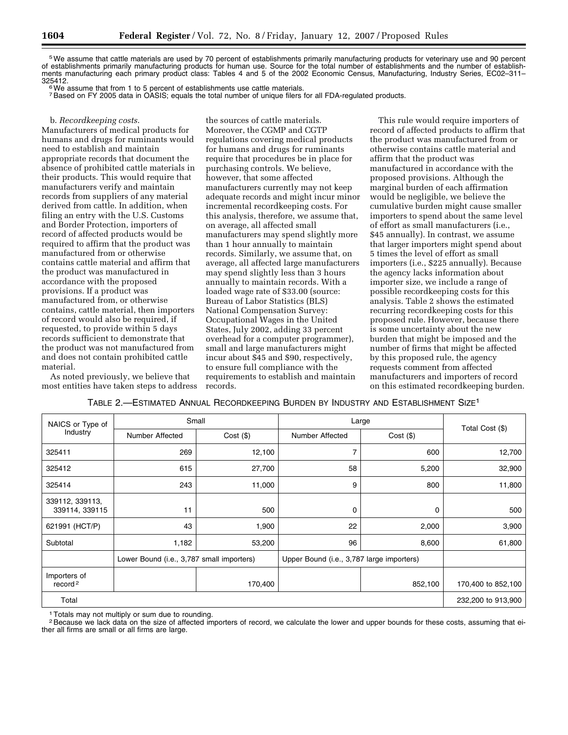5We assume that cattle materials are used by 70 percent of establishments primarily manufacturing products for veterinary use and 90 percent of establishments primarily manufacturing products for human use. Source for the total number of establishments and the number of establishments manufacturing each primary product class: Tables 4 and 5 of the 2002 Economic Census, Manufacturing, Industry Series, EC02–311–<br>325412.

<sup>6</sup> We assume that from 1 to 5 percent of establishments use cattle materials.

7Based on FY 2005 data in OASIS; equals the total number of unique filers for all FDA-regulated products.

#### b. *Recordkeeping costs*.

Manufacturers of medical products for humans and drugs for ruminants would need to establish and maintain appropriate records that document the absence of prohibited cattle materials in their products. This would require that manufacturers verify and maintain records from suppliers of any material derived from cattle. In addition, when filing an entry with the U.S. Customs and Border Protection, importers of record of affected products would be required to affirm that the product was manufactured from or otherwise contains cattle material and affirm that the product was manufactured in accordance with the proposed provisions. If a product was manufactured from, or otherwise contains, cattle material, then importers of record would also be required, if requested, to provide within 5 days records sufficient to demonstrate that the product was not manufactured from and does not contain prohibited cattle material.

As noted previously, we believe that most entities have taken steps to address

the sources of cattle materials. Moreover, the CGMP and CGTP regulations covering medical products for humans and drugs for ruminants require that procedures be in place for purchasing controls. We believe, however, that some affected manufacturers currently may not keep adequate records and might incur minor incremental recordkeeping costs. For this analysis, therefore, we assume that, on average, all affected small manufacturers may spend slightly more than 1 hour annually to maintain records. Similarly, we assume that, on average, all affected large manufacturers may spend slightly less than 3 hours annually to maintain records. With a loaded wage rate of \$33.00 (source: Bureau of Labor Statistics (BLS) National Compensation Survey: Occupational Wages in the United States, July 2002, adding 33 percent overhead for a computer programmer), small and large manufacturers might incur about \$45 and \$90, respectively, to ensure full compliance with the requirements to establish and maintain records.

This rule would require importers of record of affected products to affirm that the product was manufactured from or otherwise contains cattle material and affirm that the product was manufactured in accordance with the proposed provisions. Although the marginal burden of each affirmation would be negligible, we believe the cumulative burden might cause smaller importers to spend about the same level of effort as small manufacturers (i.e., \$45 annually). In contrast, we assume that larger importers might spend about 5 times the level of effort as small importers (i.e., \$225 annually). Because the agency lacks information about importer size, we include a range of possible recordkeeping costs for this analysis. Table 2 shows the estimated recurring recordkeeping costs for this proposed rule. However, because there is some uncertainty about the new burden that might be imposed and the number of firms that might be affected by this proposed rule, the agency requests comment from affected manufacturers and importers of record on this estimated recordkeeping burden.

TABLE 2.—ESTIMATED ANNUAL RECORDKEEPING BURDEN BY INDUSTRY AND ESTABLISHMENT SIZE1

| NAICS or Type of                    | Small                                     |             | Large                                     | Total Cost (\$) |                    |
|-------------------------------------|-------------------------------------------|-------------|-------------------------------------------|-----------------|--------------------|
| Industry                            | Number Affected                           | $Cost($ \$) | Number Affected                           | $Cost($ \$)     |                    |
| 325411                              | 269                                       | 12,100      | $\overline{7}$                            | 600             | 12,700             |
| 325412                              | 615                                       | 27,700      | 58                                        | 5,200           | 32,900             |
| 325414                              | 243                                       | 11,000      | 9                                         | 800             | 11,800             |
| 339112, 339113,<br>339114, 339115   | 11                                        | 500         | 0                                         | 0               | 500                |
| 621991 (HCT/P)                      | 43                                        | 1,900       | 22                                        | 2,000           | 3,900              |
| Subtotal                            | 1,182                                     | 53,200      | 96                                        | 8,600           | 61,800             |
|                                     | Lower Bound (i.e., 3,787 small importers) |             | Upper Bound (i.e., 3,787 large importers) |                 |                    |
| Importers of<br>record <sup>2</sup> |                                           | 170,400     |                                           | 852,100         | 170,400 to 852,100 |
| Total                               |                                           |             |                                           |                 | 232,200 to 913,900 |

1Totals may not multiply or sum due to rounding.

<sup>2</sup> Because we lack data on the size of affected importers of record, we calculate the lower and upper bounds for these costs, assuming that either all firms are small or all firms are large.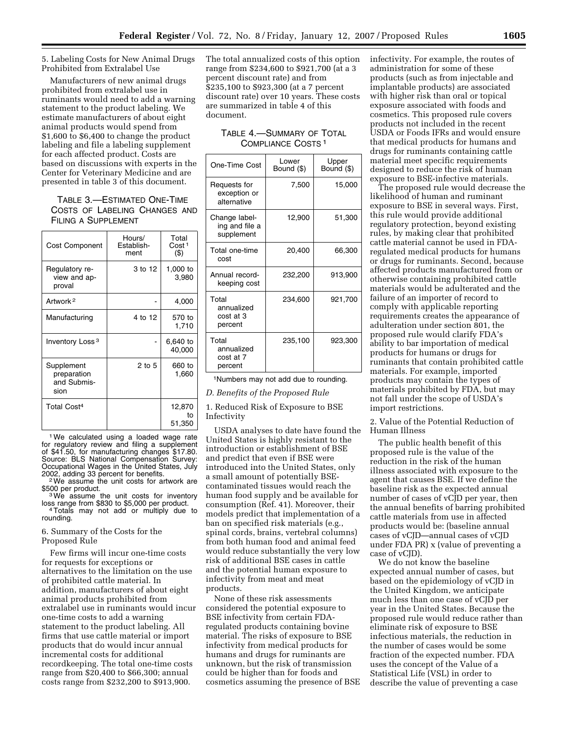5. Labeling Costs for New Animal Drugs Prohibited from Extralabel Use

Manufacturers of new animal drugs prohibited from extralabel use in ruminants would need to add a warning statement to the product labeling. We estimate manufacturers of about eight animal products would spend from \$1,600 to \$6,400 to change the product labeling and file a labeling supplement for each affected product. Costs are based on discussions with experts in the Center for Veterinary Medicine and are presented in table 3 of this document.

## TABLE 3.—ESTIMATED ONE-TIME COSTS OF LABELING CHANGES AND FILING A SUPPLEMENT

| <b>Cost Component</b>                            | Hours/<br>Establish-<br>ment | Total<br>Cost <sup>1</sup><br>$($ \$) |  |
|--------------------------------------------------|------------------------------|---------------------------------------|--|
| Regulatory re-<br>view and ap-<br>proval         | 3 to 12                      | 1,000 to<br>3,980                     |  |
| Artwork <sup>2</sup>                             |                              | 4,000                                 |  |
| Manufacturing                                    | 4 to 12                      | 570 to<br>1,710                       |  |
| Inventory Loss <sup>3</sup>                      |                              | 6,640 to<br>40,000                    |  |
| Supplement<br>preparation<br>and Submis-<br>sion | 2 to 5                       | 660 to<br>1,660                       |  |
| Total Cost <sup>4</sup>                          |                              | 12,870<br>t٥<br>51,350                |  |

<sup>1</sup>We calculated using a loaded wage rate for regulatory review and filing a supplement of \$41.50, for manufacturing changes \$17.80. Source: BLS National Compensation Survey: Occupational Wages in the United States, July

2002, adding 33 percent for benefits.<br><sup>2</sup>We assume the unit costs for artwork are<br>\$500 per product.

 $3$  We assume the unit costs for inventory loss range from \$830 to \$5,000 per product. <sup>4</sup> Totals may not add or multiply due to rounding.

## 6. Summary of the Costs for the Proposed Rule

Few firms will incur one-time costs for requests for exceptions or alternatives to the limitation on the use of prohibited cattle material. In addition, manufacturers of about eight animal products prohibited from extralabel use in ruminants would incur one-time costs to add a warning statement to the product labeling. All firms that use cattle material or import products that do would incur annual incremental costs for additional recordkeeping. The total one-time costs range from \$20,400 to \$66,300; annual costs range from \$232,200 to \$913,900.

The total annualized costs of this option range from \$234,600 to \$921,700 (at a 3 percent discount rate) and from \$235,100 to \$923,300 (at a 7 percent discount rate) over 10 years. These costs are summarized in table 4 of this document.

TABLE 4.—SUMMARY OF TOTAL COMPLIANCE COSTS 1

| One-Time Cost                                 | I ower<br>Bound (\$) | Upper<br>Bound (\$) |
|-----------------------------------------------|----------------------|---------------------|
| Requests for<br>exception or<br>alternative   | 7,500                | 15,000              |
| Change label-<br>ing and file a<br>supplement | 12,900               | 51,300              |
| Total one-time<br>cost                        | 20,400               | 66,300              |
| Annual record-<br>keeping cost                | 232,200              | 913,900             |
| Total<br>annualized<br>cost at 3<br>percent   | 234,600              | 921,700             |
| Total<br>annualized<br>cost at 7<br>percent   | 235,100              | 923,300             |

1Numbers may not add due to rounding.

*D. Benefits of the Proposed Rule* 

1. Reduced Risk of Exposure to BSE Infectivity

USDA analyses to date have found the United States is highly resistant to the introduction or establishment of BSE and predict that even if BSE were introduced into the United States, only a small amount of potentially BSEcontaminated tissues would reach the human food supply and be available for consumption (Ref. 41). Moreover, their models predict that implementation of a ban on specified risk materials (e.g., spinal cords, brains, vertebral columns) from both human food and animal feed would reduce substantially the very low risk of additional BSE cases in cattle and the potential human exposure to infectivity from meat and meat products.

None of these risk assessments considered the potential exposure to BSE infectivity from certain FDAregulated products containing bovine material. The risks of exposure to BSE infectivity from medical products for humans and drugs for ruminants are unknown, but the risk of transmission could be higher than for foods and cosmetics assuming the presence of BSE infectivity. For example, the routes of administration for some of these products (such as from injectable and implantable products) are associated with higher risk than oral or topical exposure associated with foods and cosmetics. This proposed rule covers products not included in the recent USDA or Foods IFRs and would ensure that medical products for humans and drugs for ruminants containing cattle material meet specific requirements designed to reduce the risk of human exposure to BSE-infective materials.

The proposed rule would decrease the likelihood of human and ruminant exposure to BSE in several ways. First, this rule would provide additional regulatory protection, beyond existing rules, by making clear that prohibited cattle material cannot be used in FDAregulated medical products for humans or drugs for ruminants. Second, because affected products manufactured from or otherwise containing prohibited cattle materials would be adulterated and the failure of an importer of record to comply with applicable reporting requirements creates the appearance of adulteration under section 801, the proposed rule would clarify FDA's ability to bar importation of medical products for humans or drugs for ruminants that contain prohibited cattle materials. For example, imported products may contain the types of materials prohibited by FDA, but may not fall under the scope of USDA's import restrictions.

2. Value of the Potential Reduction of Human Illness

The public health benefit of this proposed rule is the value of the reduction in the risk of the human illness associated with exposure to the agent that causes BSE. If we define the baseline risk as the expected annual number of cases of vCJD per year, then the annual benefits of barring prohibited cattle materials from use in affected products would be: (baseline annual cases of vCJD—annual cases of vCJD under FDA PR) x (value of preventing a case of vCJD).

We do not know the baseline expected annual number of cases, but based on the epidemiology of vCJD in the United Kingdom, we anticipate much less than one case of vCJD per year in the United States. Because the proposed rule would reduce rather than eliminate risk of exposure to BSE infectious materials, the reduction in the number of cases would be some fraction of the expected number. FDA uses the concept of the Value of a Statistical Life (VSL) in order to describe the value of preventing a case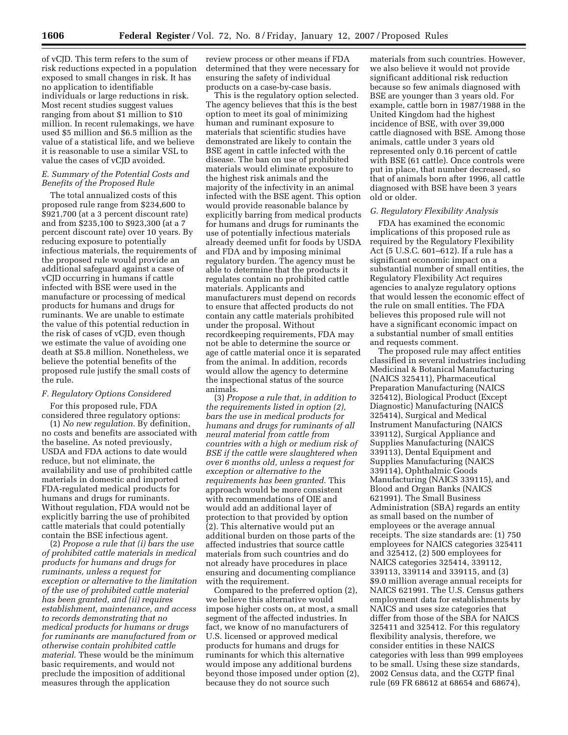of vCJD. This term refers to the sum of risk reductions expected in a population exposed to small changes in risk. It has no application to identifiable individuals or large reductions in risk. Most recent studies suggest values ranging from about \$1 million to \$10 million. In recent rulemakings, we have used \$5 million and \$6.5 million as the value of a statistical life, and we believe it is reasonable to use a similar VSL to value the cases of vCJD avoided.

## *E. Summary of the Potential Costs and Benefits of the Proposed Rule*

The total annualized costs of this proposed rule range from \$234,600 to \$921,700 (at a 3 percent discount rate) and from \$235,100 to \$923,300 (at a 7 percent discount rate) over 10 years. By reducing exposure to potentially infectious materials, the requirements of the proposed rule would provide an additional safeguard against a case of vCJD occurring in humans if cattle infected with BSE were used in the manufacture or processing of medical products for humans and drugs for ruminants. We are unable to estimate the value of this potential reduction in the risk of cases of vCJD, even though we estimate the value of avoiding one death at \$5.8 million. Nonetheless, we believe the potential benefits of the proposed rule justify the small costs of the rule.

## *F. Regulatory Options Considered*

For this proposed rule, FDA considered three regulatory options:

(1) *No new regulation*. By definition, no costs and benefits are associated with the baseline. As noted previously, USDA and FDA actions to date would reduce, but not eliminate, the availability and use of prohibited cattle materials in domestic and imported FDA-regulated medical products for humans and drugs for ruminants. Without regulation, FDA would not be explicitly barring the use of prohibited cattle materials that could potentially contain the BSE infectious agent.

(2) *Propose a rule that (i) bars the use of prohibited cattle materials in medical products for humans and drugs for ruminants, unless a request for exception or alternative to the limitation of the use of prohibited cattle material has been granted, and (ii) requires establishment, maintenance, and access to records demonstrating that no medical products for humans or drugs for ruminants are manufactured from or otherwise contain prohibited cattle material*. These would be the minimum basic requirements, and would not preclude the imposition of additional measures through the application

review process or other means if FDA determined that they were necessary for ensuring the safety of individual products on a case-by-case basis.

This is the regulatory option selected. The agency believes that this is the best option to meet its goal of minimizing human and ruminant exposure to materials that scientific studies have demonstrated are likely to contain the BSE agent in cattle infected with the disease. The ban on use of prohibited materials would eliminate exposure to the highest risk animals and the majority of the infectivity in an animal infected with the BSE agent. This option would provide reasonable balance by explicitly barring from medical products for humans and drugs for ruminants the use of potentially infectious materials already deemed unfit for foods by USDA and FDA and by imposing minimal regulatory burden. The agency must be able to determine that the products it regulates contain no prohibited cattle materials. Applicants and manufacturers must depend on records to ensure that affected products do not contain any cattle materials prohibited under the proposal. Without recordkeeping requirements, FDA may not be able to determine the source or age of cattle material once it is separated from the animal. In addition, records would allow the agency to determine the inspectional status of the source animals.

(3) *Propose a rule that, in addition to the requirements listed in option (2), bars the use in medical products for humans and drugs for ruminants of all neural material from cattle from countries with a high or medium risk of BSE if the cattle were slaughtered when over 6 months old, unless a request for exception or alternative to the requirements has been granted*. This approach would be more consistent with recommendations of OIE and would add an additional layer of protection to that provided by option (2). This alternative would put an additional burden on those parts of the affected industries that source cattle materials from such countries and do not already have procedures in place ensuring and documenting compliance with the requirement.

Compared to the preferred option (2), we believe this alternative would impose higher costs on, at most, a small segment of the affected industries. In fact, we know of no manufacturers of U.S. licensed or approved medical products for humans and drugs for ruminants for which this alternative would impose any additional burdens beyond those imposed under option (2), because they do not source such

materials from such countries. However, we also believe it would not provide significant additional risk reduction because so few animals diagnosed with BSE are younger than 3 years old. For example, cattle born in 1987/1988 in the United Kingdom had the highest incidence of BSE, with over 39,000 cattle diagnosed with BSE. Among those animals, cattle under 3 years old represented only 0.16 percent of cattle with BSE (61 cattle). Once controls were put in place, that number decreased, so that of animals born after 1996, all cattle diagnosed with BSE have been 3 years old or older.

#### *G. Regulatory Flexibility Analysis*

FDA has examined the economic implications of this proposed rule as required by the Regulatory Flexibility Act (5 U.S.C. 601–612). If a rule has a significant economic impact on a substantial number of small entities, the Regulatory Flexibility Act requires agencies to analyze regulatory options that would lessen the economic effect of the rule on small entities. The FDA believes this proposed rule will not have a significant economic impact on a substantial number of small entities and requests comment.

The proposed rule may affect entities classified in several industries including Medicinal & Botanical Manufacturing (NAICS 325411), Pharmaceutical Preparation Manufacturing (NAICS 325412), Biological Product (Except Diagnostic) Manufacturing (NAICS 325414), Surgical and Medical Instrument Manufacturing (NAICS 339112), Surgical Appliance and Supplies Manufacturing (NAICS 339113), Dental Equipment and Supplies Manufacturing (NAICS 339114), Ophthalmic Goods Manufacturing (NAICS 339115), and Blood and Organ Banks (NAICS 621991). The Small Business Administration (SBA) regards an entity as small based on the number of employees or the average annual receipts. The size standards are: (1) 750 employees for NAICS categories 325411 and 325412, (2) 500 employees for NAICS categories 325414, 339112, 339113, 339114 and 339115, and (3) \$9.0 million average annual receipts for NAICS 621991. The U.S. Census gathers employment data for establishments by NAICS and uses size categories that differ from those of the SBA for NAICS 325411 and 325412. For this regulatory flexibility analysis, therefore, we consider entities in these NAICS categories with less than 999 employees to be small. Using these size standards, 2002 Census data, and the CGTP final rule (69 FR 68612 at 68654 and 68674),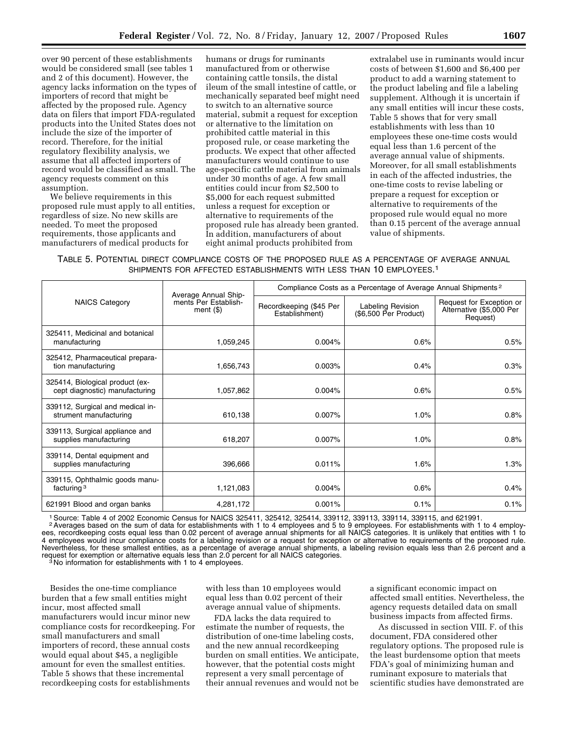over 90 percent of these establishments would be considered small (see tables 1 and 2 of this document). However, the agency lacks information on the types of importers of record that might be affected by the proposed rule. Agency data on filers that import FDA-regulated products into the United States does not include the size of the importer of record. Therefore, for the initial regulatory flexibility analysis, we assume that all affected importers of record would be classified as small. The agency requests comment on this assumption.

We believe requirements in this proposed rule must apply to all entities, regardless of size. No new skills are needed. To meet the proposed requirements, those applicants and manufacturers of medical products for

humans or drugs for ruminants manufactured from or otherwise containing cattle tonsils, the distal ileum of the small intestine of cattle, or mechanically separated beef might need to switch to an alternative source material, submit a request for exception or alternative to the limitation on prohibited cattle material in this proposed rule, or cease marketing the products. We expect that other affected manufacturers would continue to use age-specific cattle material from animals under 30 months of age. A few small entities could incur from \$2,500 to \$5,000 for each request submitted unless a request for exception or alternative to requirements of the proposed rule has already been granted. In addition, manufacturers of about eight animal products prohibited from

extralabel use in ruminants would incur costs of between \$1,600 and \$6,400 per product to add a warning statement to the product labeling and file a labeling supplement. Although it is uncertain if any small entities will incur these costs, Table 5 shows that for very small establishments with less than 10 employees these one-time costs would equal less than 1.6 percent of the average annual value of shipments. Moreover, for all small establishments in each of the affected industries, the one-time costs to revise labeling or prepare a request for exception or alternative to requirements of the proposed rule would equal no more than 0.15 percent of the average annual value of shipments.

TABLE 5. POTENTIAL DIRECT COMPLIANCE COSTS OF THE PROPOSED RULE AS A PERCENTAGE OF AVERAGE ANNUAL SHIPMENTS FOR AFFECTED ESTABLISHMENTS WITH LESS THAN 10 EMPLOYEES.1

|                                                                   |                                                              | Compliance Costs as a Percentage of Average Annual Shipments <sup>2</sup> |                                            |                                                                  |  |
|-------------------------------------------------------------------|--------------------------------------------------------------|---------------------------------------------------------------------------|--------------------------------------------|------------------------------------------------------------------|--|
| <b>NAICS Category</b>                                             | Average Annual Ship-<br>ments Per Establish-<br>ment $($ \$) | Recordkeeping (\$45 Per<br>Establishment)                                 | Labeling Revision<br>(\$6,500 Per Product) | Request for Exception or<br>Alternative (\$5,000 Per<br>Request) |  |
| 325411, Medicinal and botanical<br>manufacturing                  | 1,059,245                                                    | 0.004%                                                                    | 0.6%                                       | 0.5%                                                             |  |
| 325412, Pharmaceutical prepara-<br>tion manufacturing             | 1,656,743                                                    | 0.003%                                                                    | 0.4%                                       | 0.3%                                                             |  |
| 325414, Biological product (ex-<br>cept diagnostic) manufacturing | 1,057,862                                                    | 0.004%                                                                    | 0.6%                                       | 0.5%                                                             |  |
| 339112, Surgical and medical in-<br>strument manufacturing        | 610,138                                                      | 0.007%                                                                    | 1.0%                                       | 0.8%                                                             |  |
| 339113, Surgical appliance and<br>supplies manufacturing          | 618,207                                                      | 0.007%                                                                    | 1.0%                                       | 0.8%                                                             |  |
| 339114, Dental equipment and<br>supplies manufacturing            | 396,666                                                      | 0.011%                                                                    | 1.6%                                       | 1.3%                                                             |  |
| 339115, Ophthalmic goods manu-<br>facturing $3$                   | 1,121,083                                                    | 0.004%                                                                    | 0.6%                                       | 0.4%                                                             |  |
| 621991 Blood and organ banks                                      | 4,281,172                                                    | 0.001%                                                                    | 0.1%                                       | 0.1%                                                             |  |

1Source: Table 4 of 2002 Economic Census for NAICS 325411, 325412, 325414, 339112, 339113, 339114, 339115, and 621991.

<sup>2</sup> Averages based on the sum of data for establishments with 1 to 4 employees and 5 to 9 employees. For establishments with 1 to 4 employees, recordkeeping costs equal less than 0.02 percent of average annual shipments for all NAICS categories. It is unlikely that entities with 1 to 4 employees would incur compliance costs for a labeling revision or a request for exception or alternative to requirements of the proposed rule. Nevertheless, for these smallest entities, as a percentage of average annual shipments, a labeling revision equals less than 2.6 percent and a request for exemption or alternative equals less than 2.0 percent for all NAICS categories.<br><sup>3</sup> No information for establishments with 1 to 4 employees.

Besides the one-time compliance burden that a few small entities might incur, most affected small manufacturers would incur minor new compliance costs for recordkeeping. For small manufacturers and small importers of record, these annual costs would equal about \$45, a negligible amount for even the smallest entities. Table 5 shows that these incremental recordkeeping costs for establishments

with less than 10 employees would equal less than 0.02 percent of their average annual value of shipments.

FDA lacks the data required to estimate the number of requests, the distribution of one-time labeling costs, and the new annual recordkeeping burden on small entities. We anticipate, however, that the potential costs might represent a very small percentage of their annual revenues and would not be a significant economic impact on affected small entities. Nevertheless, the agency requests detailed data on small business impacts from affected firms.

As discussed in section VIII. F. of this document, FDA considered other regulatory options. The proposed rule is the least burdensome option that meets FDA's goal of minimizing human and ruminant exposure to materials that scientific studies have demonstrated are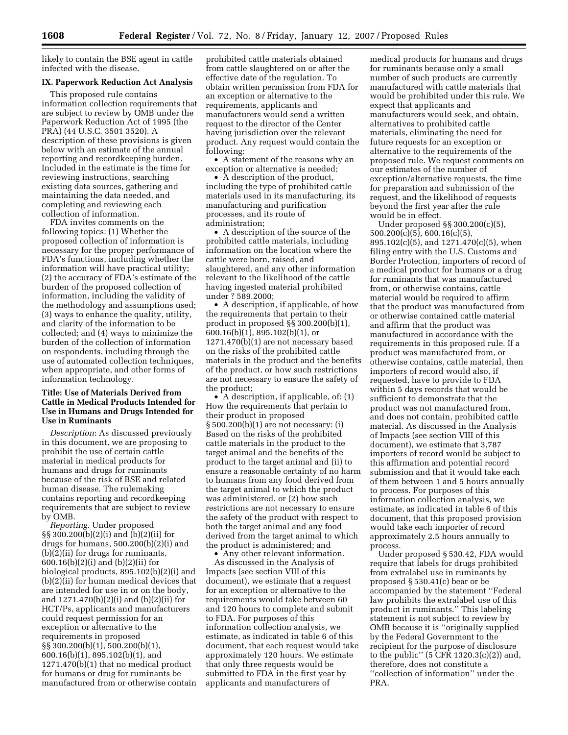likely to contain the BSE agent in cattle infected with the disease.

## **IX. Paperwork Reduction Act Analysis**

This proposed rule contains information collection requirements that are subject to review by OMB under the Paperwork Reduction Act of 1995 (the PRA) (44 U.S.C. 3501 3520). A description of these provisions is given below with an estimate of the annual reporting and recordkeeping burden. Included in the estimate is the time for reviewing instructions, searching existing data sources, gathering and maintaining the data needed, and completing and reviewing each collection of information.

FDA invites comments on the following topics: (1) Whether the proposed collection of information is necessary for the proper performance of FDA's functions, including whether the information will have practical utility; (2) the accuracy of FDA's estimate of the burden of the proposed collection of information, including the validity of the methodology and assumptions used; (3) ways to enhance the quality, utility, and clarity of the information to be collected; and (4) ways to minimize the burden of the collection of information on respondents, including through the use of automated collection techniques, when appropriate, and other forms of information technology.

## **Title: Use of Materials Derived from Cattle in Medical Products Intended for Use in Humans and Drugs Intended for Use in Ruminants**

*Description*: As discussed previously in this document, we are proposing to prohibit the use of certain cattle material in medical products for humans and drugs for ruminants because of the risk of BSE and related human disease. The rulemaking contains reporting and recordkeeping requirements that are subject to review by OMB.

*Reporting*. Under proposed §§ 300.200(b)(2)(i) and (b)(2)(ii) for drugs for humans, 500.200(b)(2)(i) and (b)(2)(ii) for drugs for ruminants, 600.16(b)(2)(i) and (b)(2)(ii) for biological products, 895.102(b)(2)(i) and  $(b)(2)$ (ii) for human medical devices that are intended for use in or on the body, and 1271.470(b)(2)(i) and (b)(2)(ii) for HCT/Ps, applicants and manufacturers could request permission for an exception or alternative to the requirements in proposed §§ 300.200(b)(1), 500.200(b)(1), 600.16(b)(1), 895.102(b)(1), and 1271.470(b)(1) that no medical product for humans or drug for ruminants be manufactured from or otherwise contain

prohibited cattle materials obtained from cattle slaughtered on or after the effective date of the regulation. To obtain written permission from FDA for an exception or alternative to the requirements, applicants and manufacturers would send a written request to the director of the Center having jurisdiction over the relevant product. Any request would contain the following:

• A statement of the reasons why an exception or alternative is needed;

• A description of the product, including the type of prohibited cattle materials used in its manufacturing, its manufacturing and purification processes, and its route of administration;

• A description of the source of the prohibited cattle materials, including information on the location where the cattle were born, raised, and slaughtered, and any other information relevant to the likelihood of the cattle having ingested material prohibited under ? 589.2000;

• A description, if applicable, of how the requirements that pertain to their product in proposed §§ 300.200(b)(1), 600.16(b)(1), 895.102(b)(1), or 1271.470(b)(1) are not necessary based on the risks of the prohibited cattle materials in the product and the benefits of the product, or how such restrictions are not necessary to ensure the safety of the product;

• A description, if applicable, of: (1) How the requirements that pertain to their product in proposed § 500.200(b)(1) are not necessary: (i) Based on the risks of the prohibited cattle materials in the product to the target animal and the benefits of the product to the target animal and (ii) to ensure a reasonable certainty of no harm to humans from any food derived from the target animal to which the product was administered, or (2) how such restrictions are not necessary to ensure the safety of the product with respect to both the target animal and any food derived from the target animal to which the product is administered; and

Any other relevant information.

As discussed in the Analysis of Impacts (see section VIII of this document), we estimate that a request for an exception or alternative to the requirements would take between 60 and 120 hours to complete and submit to FDA. For purposes of this information collection analysis, we estimate, as indicated in table 6 of this document, that each request would take approximately 120 hours. We estimate that only three requests would be submitted to FDA in the first year by applicants and manufacturers of

medical products for humans and drugs for ruminants because only a small number of such products are currently manufactured with cattle materials that would be prohibited under this rule. We expect that applicants and manufacturers would seek, and obtain, alternatives to prohibited cattle materials, eliminating the need for future requests for an exception or alternative to the requirements of the proposed rule. We request comments on our estimates of the number of exception/alternative requests, the time for preparation and submission of the request, and the likelihood of requests beyond the first year after the rule would be in effect.

Under proposed §§ 300.200(c)(5), 500.200(c)(5), 600.16(c)(5), 895.102(c)(5), and 1271.470(c)(5), when filing entry with the U.S. Customs and Border Protection, importers of record of a medical product for humans or a drug for ruminants that was manufactured from, or otherwise contains, cattle material would be required to affirm that the product was manufactured from or otherwise contained cattle material and affirm that the product was manufactured in accordance with the requirements in this proposed rule. If a product was manufactured from, or otherwise contains, cattle material, then importers of record would also, if requested, have to provide to FDA within 5 days records that would be sufficient to demonstrate that the product was not manufactured from, and does not contain, prohibited cattle material. As discussed in the Analysis of Impacts (see section VIII of this document), we estimate that 3,787 importers of record would be subject to this affirmation and potential record submission and that it would take each of them between 1 and 5 hours annually to process. For purposes of this information collection analysis, we estimate, as indicated in table 6 of this document, that this proposed provision would take each importer of record approximately 2.5 hours annually to process.

Under proposed § 530.42, FDA would require that labels for drugs prohibited from extralabel use in ruminants by proposed § 530.41(c) bear or be accompanied by the statement ''Federal law prohibits the extralabel use of this product in ruminants.'' This labeling statement is not subject to review by OMB because it is ''originally supplied by the Federal Government to the recipient for the purpose of disclosure to the public" (5  $CFR$  1320.3(c)(2)) and, therefore, does not constitute a ''collection of information'' under the PRA.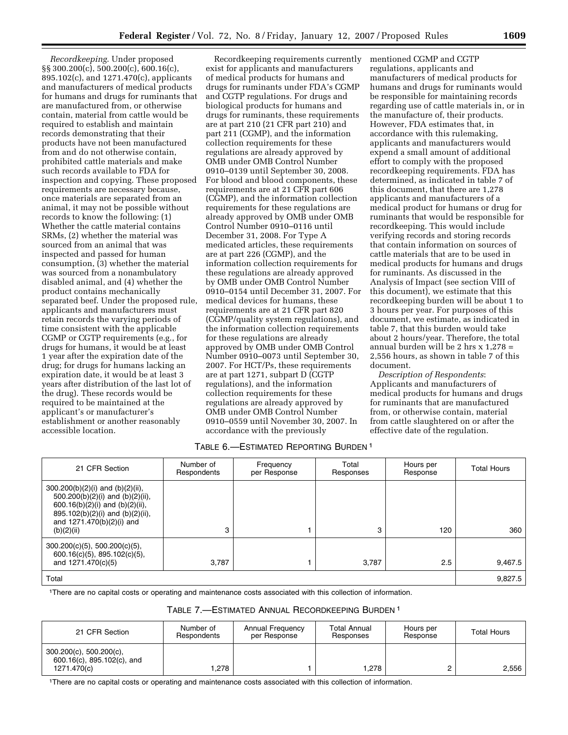*Recordkeeping*. Under proposed §§ 300.200(c), 500.200(c), 600.16(c), 895.102(c), and 1271.470(c), applicants and manufacturers of medical products for humans and drugs for ruminants that are manufactured from, or otherwise contain, material from cattle would be required to establish and maintain records demonstrating that their products have not been manufactured from and do not otherwise contain, prohibited cattle materials and make such records available to FDA for inspection and copying. These proposed requirements are necessary because, once materials are separated from an animal, it may not be possible without records to know the following: (1) Whether the cattle material contains SRMs, (2) whether the material was sourced from an animal that was inspected and passed for human consumption, (3) whether the material was sourced from a nonambulatory disabled animal, and (4) whether the product contains mechanically separated beef. Under the proposed rule, applicants and manufacturers must retain records the varying periods of time consistent with the applicable CGMP or CGTP requirements (e.g., for drugs for humans, it would be at least 1 year after the expiration date of the drug; for drugs for humans lacking an expiration date, it would be at least 3 years after distribution of the last lot of the drug). These records would be required to be maintained at the applicant's or manufacturer's establishment or another reasonably accessible location.

Recordkeeping requirements currently exist for applicants and manufacturers of medical products for humans and drugs for ruminants under FDA's CGMP and CGTP regulations. For drugs and biological products for humans and drugs for ruminants, these requirements are at part 210 (21 CFR part 210) and part 211 (CGMP), and the information collection requirements for these regulations are already approved by OMB under OMB Control Number 0910–0139 until September 30, 2008. For blood and blood components, these requirements are at 21 CFR part 606 (CGMP), and the information collection requirements for these regulations are already approved by OMB under OMB Control Number 0910–0116 until December 31, 2008. For Type A medicated articles, these requirements are at part 226 (CGMP), and the information collection requirements for these regulations are already approved by OMB under OMB Control Number 0910–0154 until December 31, 2007. For medical devices for humans, these requirements are at 21 CFR part 820 (CGMP/quality system regulations), and the information collection requirements for these regulations are already approved by OMB under OMB Control Number 0910–0073 until September 30, 2007. For HCT/Ps, these requirements are at part 1271, subpart D (CGTP regulations), and the information collection requirements for these regulations are already approved by OMB under OMB Control Number 0910–0559 until November 30, 2007. In accordance with the previously

## mentioned CGMP and CGTP regulations, applicants and manufacturers of medical products for humans and drugs for ruminants would be responsible for maintaining records regarding use of cattle materials in, or in the manufacture of, their products. However, FDA estimates that, in accordance with this rulemaking, applicants and manufacturers would expend a small amount of additional effort to comply with the proposed recordkeeping requirements. FDA has determined, as indicated in table 7 of this document, that there are 1,278 applicants and manufacturers of a medical product for humans or drug for ruminants that would be responsible for recordkeeping. This would include verifying records and storing records that contain information on sources of cattle materials that are to be used in medical products for humans and drugs for ruminants. As discussed in the Analysis of Impact (see section VIII of this document), we estimate that this recordkeeping burden will be about 1 to 3 hours per year. For purposes of this document, we estimate, as indicated in table 7, that this burden would take about 2 hours/year. Therefore, the total annual burden will be 2 hrs x 1,278 = 2,556 hours, as shown in table 7 of this document.

*Description of Respondents*: Applicants and manufacturers of medical products for humans and drugs for ruminants that are manufactured from, or otherwise contain, material from cattle slaughtered on or after the effective date of the regulation.

## TABLE 6.—ESTIMATED REPORTING BURDEN 1

| 21 CFR Section                                                                                                                                                                                     | Number of<br>Respondents | Frequency<br>per Response | Total<br>Responses | Hours per<br>Response | <b>Total Hours</b> |
|----------------------------------------------------------------------------------------------------------------------------------------------------------------------------------------------------|--------------------------|---------------------------|--------------------|-----------------------|--------------------|
| $300.200(b)(2)(i)$ and $(b)(2)(ii)$ ,<br>500.200(b)(2)(i) and (b)(2)(ii),<br>600.16(b)(2)(i) and (b)(2)(ii),<br>$895.102(b)(2)(i)$ and $(b)(2)(ii)$ ,<br>and $1271.470(b)(2)(i)$ and<br>(b)(2)(ii) | 3                        |                           | 3                  | 120                   | 360                |
| $300.200(c)(5)$ , 500.200(c)(5),<br>$600.16(c)(5)$ , 895.102(c)(5),<br>and 1271.470(c)(5)                                                                                                          | 3.787                    |                           | 3,787              | 2.5                   | 9,467.5            |
| Total                                                                                                                                                                                              |                          |                           |                    |                       | 9,827.5            |

1There are no capital costs or operating and maintenance costs associated with this collection of information.

| TABLE 7.-ESTIMATED ANNUAL RECORDKEEPING BURDEN <sup>1</sup> |  |
|-------------------------------------------------------------|--|
|-------------------------------------------------------------|--|

| 21 CFR Section                                                             | Number of<br>Respondents | <b>Annual Frequency</b><br>per Response | <b>Total Annual</b><br>Responses | Hours per<br>Response | <b>Total Hours</b> |
|----------------------------------------------------------------------------|--------------------------|-----------------------------------------|----------------------------------|-----------------------|--------------------|
| $300.200(c)$ , $500.200(c)$ ,<br>600.16(c), 895.102(c), and<br>1271.470(c) | .278                     |                                         | 1.278                            |                       | 2.556              |

1There are no capital costs or operating and maintenance costs associated with this collection of information.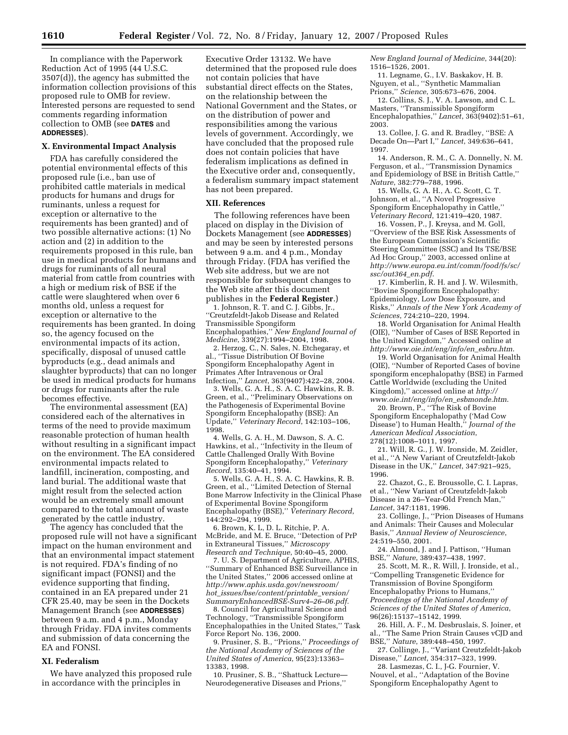In compliance with the Paperwork Reduction Act of 1995 (44 U.S.C. 3507(d)), the agency has submitted the information collection provisions of this proposed rule to OMB for review. Interested persons are requested to send comments regarding information collection to OMB (see **DATES** and **ADDRESSES**).

## **X. Environmental Impact Analysis**

FDA has carefully considered the potential environmental effects of this proposed rule (i.e., ban use of prohibited cattle materials in medical products for humans and drugs for ruminants, unless a request for exception or alternative to the requirements has been granted) and of two possible alternative actions: (1) No action and (2) in addition to the requirements proposed in this rule, ban use in medical products for humans and drugs for ruminants of all neural material from cattle from countries with a high or medium risk of BSE if the cattle were slaughtered when over 6 months old, unless a request for exception or alternative to the requirements has been granted. In doing so, the agency focused on the environmental impacts of its action, specifically, disposal of unused cattle byproducts (e.g., dead animals and slaughter byproducts) that can no longer be used in medical products for humans or drugs for ruminants after the rule becomes effective.

The environmental assessment (EA) considered each of the alternatives in terms of the need to provide maximum reasonable protection of human health without resulting in a significant impact on the environment. The EA considered environmental impacts related to landfill, incineration, composting, and land burial. The additional waste that might result from the selected action would be an extremely small amount compared to the total amount of waste generated by the cattle industry.

The agency has concluded that the proposed rule will not have a significant impact on the human environment and that an environmental impact statement is not required. FDA's finding of no significant impact (FONSI) and the evidence supporting that finding, contained in an EA prepared under 21 CFR 25.40, may be seen in the Dockets Management Branch (see **ADDRESSES**) between 9 a.m. and 4 p.m., Monday through Friday. FDA invites comments and submission of data concerning the EA and FONSI.

### **XI. Federalism**

We have analyzed this proposed rule in accordance with the principles in

Executive Order 13132. We have determined that the proposed rule does not contain policies that have substantial direct effects on the States, on the relationship between the National Government and the States, or on the distribution of power and responsibilities among the various levels of government. Accordingly, we have concluded that the proposed rule does not contain policies that have federalism implications as defined in the Executive order and, consequently, a federalism summary impact statement has not been prepared.

#### **XII. References**

The following references have been placed on display in the Division of Dockets Management (see **ADDRESSES**) and may be seen by interested persons between 9 a.m. and 4 p.m., Monday through Friday. (FDA has verified the Web site address, but we are not responsible for subsequent changes to the Web site after this document publishes in the **Federal Register**.)

1. Johnson, R. T. and C. J. Gibbs, Jr., ''Creutzfeldt-Jakob Disease and Related Transmissible Spongiform Encephalopathies,'' *New England Journal of Medicine*, 339(27):1994–2004, 1998.

2. Herzog, C., N. Sales, N. Etchegaray, et al., ''Tissue Distribution Of Bovine Spongiform Encephalopathy Agent in Primates After Intravenous or Oral Infection,'' *Lancet*, 363(9407):422–28, 2004.

3. Wells, G. A. H., S. A. C. Hawkins, R. B. Green, et al., ''Preliminary Observations on the Pathogenesis of Experimental Bovine Spongiform Encephalopathy (BSE): An Update,'' *Veterinary Record*, 142:103–106, 1998.

4. Wells, G. A. H., M. Dawson, S. A. C. Hawkins, et al., ''Infectivity in the Ileum of Cattle Challenged Orally With Bovine Spongiform Encephalopathy,'' *Veterinary Record*, 135:40–41, 1994.

5. Wells, G. A. H., S. A. C. Hawkins, R. B. Green, et al., ''Limited Detection of Sternal Bone Marrow Infectivity in the Clinical Phase of Experimental Bovine Spongiform Encephalopathy (BSE),'' *Veterinary Record*, 144:292–294, 1999.

6. Brown, K. L, D. L. Ritchie, P. A. McBride, and M. E. Bruce, ''Detection of PrP in Extraneural Tissues,'' *Microscopy Research and Technique*, 50:40–45, 2000.

7. U. S. Department of Agriculture, APHIS, ''Summary of Enhanced BSE Surveillance in the United States,'' 2006 accessed online at *http://www.aphis.usda.gov/newsroom/ hot*\_*issues/bse/content/printable*\_*version/ SummaryEnhancedBSE-Surv4–26–06.pdf.* 

8. Council for Agricultural Science and Technology, ''Transmissible Spongiform Encephalopathies in the United States,'' Task Force Report No. 136, 2000.

9. Prusiner, S. B., ''Prions,'' *Proceedings of the National Academy of Sciences of the United States of America*, 95(23):13363– 13383, 1998.

10. Prusiner, S. B., ''Shattuck Lecture— Neurodegenerative Diseases and Prions,''

*New England Journal of Medicine*, 344(20): 1516–1526, 2001.

11. Legname, G., I.V. Baskakov, H. B. Nguyen, et al., ''Synthetic Mammalian Prions,'' *Science*, 305:673–676, 2004.

12. Collins, S. J., V. A. Lawson, and C. L. Masters, ''Transmissible Spongiform Encephalopathies,'' *Lancet*, 363(9402):51–61, 2003.

13. Collee, J. G. and R. Bradley, ''BSE: A Decade On—Part I,'' *Lancet*, 349:636–641, 1997.

14. Anderson, R. M., C. A. Donnelly, N. M. Ferguson, et al., ''Transmission Dynamics and Epidemiology of BSE in British Cattle,'' *Nature*, 382:779–788, 1996.

15. Wells, G. A. H., A. C. Scott, C. T. Johnson, et al., ''A Novel Progressive Spongiform Encephalopathy in Cattle,'' *Veterinary Record*, 121:419–420, 1987.

16. Vossen, P., J. Kreysa, and M. Goll, ''Overview of the BSE Risk Assessments of the European Commission's Scientific Steering Committee (SSC) and Its TSE/BSE Ad Hoc Group,'' 2003, accessed online at *http://www.europa.eu.int/comm/food/fs/sc/ ssc/out364*\_*en.pdf*.

17. Kimberlin, R. H. and J. W. Wilesmith, ''Bovine Spongiform Encephalopathy: Epidemiology, Low Dose Exposure, and Risks,'' *Annals of the New York Academy of Sciences*, 724:210–220, 1994.

18. World Organisation for Animal Health (OIE), ''Number of Cases of BSE Reported in the United Kingdom,'' Accessed online at *http://www.oie.int/eng/info/en*\_*esbru.htm*.

19. World Organisation for Animal Health (OIE), ''Number of Reported Cases of bovine spongiform encephalopathy (BSE) in Farmed Cattle Worldwide (excluding the United Kingdom),'' accessed online at *http:// www.oie.int/eng/info/en*\_*esbmonde.htm*.

20. Brown, P., ''The Risk of Bovine Spongiform Encephalopathy ('Mad Cow Disease') to Human Health,'' *Journal of the American Medical Association*, 278(12):1008–1011, 1997.

21. Will, R. G., J. W. Ironside, M. Zeidler, et al., ''A New Variant of Creutzfeldt-Jakob Disease in the UK,'' *Lancet*, 347:921–925, 1996.

22. Chazot, G., E. Broussolle, C. I. Lapras, et al., ''New Variant of Creutzfeldt-Jakob Disease in a 26–Year-Old French Man,'' *Lancet*, 347:1181, 1996.

23. Collinge, J., ''Prion Diseases of Humans and Animals: Their Causes and Molecular Basis,'' *Annual Review of Neuroscience*, 24:519–550, 2001.

24. Almond, J. and J. Pattison, ''Human BSE,'' *Nature*, 389:437–438, 1997.

25. Scott, M. R., R. Will, J. Ironside, et al., ''Compelling Transgenetic Evidence for Transmission of Bovine Spongiform Encephalopathy Prions to Humans,'' *Proceedings of the National Academy of Sciences of the United States of America*, 96(26):15137–15142, 1999.

26. Hill, A. F., M. Desbruslais, S. Joiner, et al., ''The Same Prion Strain Causes vCJD and BSE,'' *Nature*, 389:448–450, 1997.

27. Collinge, J., ''Variant Creutzfeldt-Jakob Disease,'' *Lancet*, 354:317–323, 1999.

28. Lasmezas, C. I., J-G. Fournier, V. Nouvel, et al., ''Adaptation of the Bovine Spongiform Encephalopathy Agent to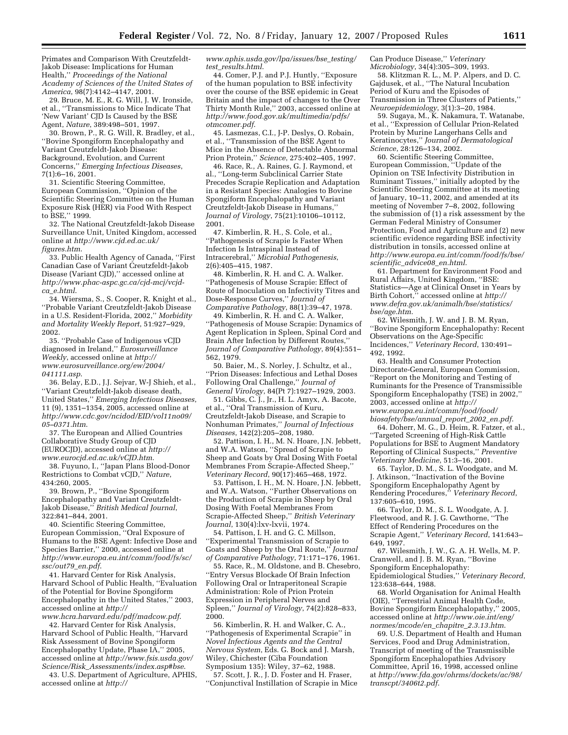Primates and Comparison With Creutzfeldt-Jakob Disease: Implications for Human Health,'' *Proceedings of the National Academy of Sciences of the United States of America*, 98(7):4142–4147, 2001.

29. Bruce, M. E., R. G. Will, J. W. Ironside, et al., ''Transmissions to Mice Indicate That 'New Variant' CJD Is Caused by the BSE Agent, *Nature*, 389:498–501, 1997.

30. Brown, P., R. G. Will, R. Bradley, et al., ''Bovine Spongiform Encephalopathy and Variant Creutzfeldt-Jakob Disease: Background, Evolution, and Current Concerns,'' *Emerging Infectious Diseases*, 7(1):6–16, 2001.

31. Scientific Steering Committee, European Commission, ''Opinion of the Scientific Steering Committee on the Human Exposure Risk (HER) via Food With Respect to BSE,'' 1999.

32. The National Creutzfeldt-Jakob Disease Surveillance Unit, United Kingdom, accessed online at *http://www.cjd.ed.ac.uk/ figures.htm*.

33. Public Health Agency of Canada, ''First Canadian Case of Variant Creutzfeldt-Jakob Disease (Variant CJD),'' accessed online at *http://www.phac-aspc.gc.ca/cjd-mcj/vcjdca*\_*e.html*.

34. Wiersma, S., S. Cooper, R. Knight et al., ''Probable Variant Creutzfeldt-Jakob Disease in a U.S. Resident-Florida, 2002,'' *Morbidity and Mortality Weekly Report*, 51:927–929, 2002.

35. ''Probable Case of Indigenous vCJD diagnosed in Ireland,'' *Eurosurveillance Weekly*, accessed online at *http:// www.eurosurveillance.org/ew/2004/ 041111.asp*.

36. Belay, E.D., J.J. Sejvar, W-J Shieh, et al., ''Variant Creutzfeldt-Jakob disease death, United States,'' *Emerging Infectious Diseases*, 11 (9), 1351–1354, 2005, accessed online at *http://www.cdc.gov/ncidod/EID/vol11no09/ 05–0371.htm*.

37. The European and Allied Countries Collaborative Study Group of CJD (EUROCJD), accessed online at *http:// www.eurocjd.ed.ac.uk/vCJD.htm*.

38. Fuyuno, I., ''Japan Plans Blood-Donor Restrictions to Combat vCJD,'' *Nature*, 434:260, 2005.

39. Brown, P., ''Bovine Spongiform Encephalopathy and Variant Creutzfeldt-Jakob Disease,'' *British Medical Journal*, 322:841–844, 2001.

40. Scientific Steering Committee, European Commission, ''Oral Exposure of Humans to the BSE Agent: Infective Dose and Species Barrier,'' 2000, accessed online at *http://www.europa.eu.int/comm/food/fs/sc/ ssc/out79*\_*en.pdf*.

41. Harvard Center for Risk Analysis, Harvard School of Public Health, ''Evaluation of the Potential for Bovine Spongiform Encephalopathy in the United States,'' 2003, accessed online at *http://* 

*www.hcra.harvard.edu/pdf/madcow.pdf*. 42. Harvard Center for Risk Analysis, Harvard School of Public Health, ''Harvard Risk Assessment of Bovine Spongiform Encephalopathy Update, Phase IA,'' 2005, accessed online at *http://www.fsis.usda.gov/ Science/Risk*\_*Assessments/index.asp#bse*.

43. U.S. Department of Agriculture, APHIS, accessed online at *http://* 

*www.aphis.usda.gov/lpa/issues/bse*\_*testing/ test*\_*results.html*.

44. Comer, P.J. and P.J. Huntly, ''Exposure of the human population to BSE infectivity over the course of the BSE epidemic in Great Britain and the impact of changes to the Over Thirty Month Rule,'' 2003, accessed online at *http://www.food.gov.uk/multimedia/pdfs/ otmcomer.pdf*.

45. Lasmezas, C.I., J-P. Deslys, O. Robain, et al., ''Transmission of the BSE Agent to Mice in the Absence of Detectable Abnormal Prion Protein,'' *Science*, 275:402–405, 1997.

46. Race, R., A. Raines, G. J. Raymond, et al., ''Long-term Subclinical Carrier State Precedes Scrapie Replication and Adaptation in a Resistant Species: Analogies to Bovine Spongiform Encephalopathy and Variant Creutzfeldt-Jakob Disease in Humans,'' *Journal of Virology*, 75(21):10106–10112, 2001.

47. Kimberlin, R. H., S. Cole, et al., ''Pathogenesis of Scrapie Is Faster When Infection Is Intraspinal Instead of Intracerebral,'' *Microbial Pathogenesis*, 2(6):405–415, 1987.

48. Kimberlin, R. H. and C. A. Walker. ''Pathogenesis of Mouse Scrapie: Effect of Route of Inoculation on Infectivity Titres and Dose-Response Curves,'' *Journal of Comparative Pathology*, 88(1):39–47, 1978.

49. Kimberlin, R. H. and C. A. Walker, ''Pathogenesis of Mouse Scrapie: Dynamics of Agent Replication in Spleen, Spinal Cord and Brain After Infection by Different Routes,'' *Journal of Comparative Pathology*, 89(4):551– 562, 1979.

50. Baier, M., S. Norley, J. Schultz, et al., ''Prion Diseases: Infectious and Lethal Doses Following Oral Challenge,'' *Journal of General Virology*, 84(Pt 7):1927–1929, 2003.

51. Gibbs, C. J., Jr., H. L. Amyx, A. Bacote, et al., ''Oral Transmission of Kuru, Creutzfeldt-Jakob Disease, and Scrapie to Nonhuman Primates,'' *Journal of Infectious Diseases*, 142(2):205–208, 1980.

52. Pattison, I. H., M. N. Hoare, J.N. Jebbett, and W.A. Watson, ''Spread of Scrapie to Sheep and Goats by Oral Dosing With Foetal Membranes From Scrapie-Affected Sheep,'' *Veterinary Record*, 90(17):465–468, 1972.

53. Pattison, I. H., M. N. Hoare, J.N. Jebbett, and W.A. Watson, ''Further Observations on the Production of Scrapie in Sheep by Oral Dosing With Foetal Membranes From Scrapie-Affected Sheep,'' *British Veterinary Journal*, 130(4):lxv-lxvii, 1974.

54. Pattison, I. H. and G. C. Millson, ''Experimental Transmission of Scrapie to Goats and Sheep by the Oral Route,'' *Journal of Comparative Pathology*, 71:171–176, 1961.

55. Race, R., M. Oldstone, and B. Chesebro, ''Entry Versus Blockade Of Brain Infection Following Oral or Intraperitoneal Scrapie Administration: Role of Prion Protein Expression in Peripheral Nerves and Spleen,'' *Journal of Virology*, 74(2):828–833, 2000.

56. Kimberlin, R. H. and Walker, C. A., ''Pathogenesis of Experimental Scrapie'' in *Novel Infectious Agents and the Central Nervous System*, Eds. G. Bock and J. Marsh, Wiley, Chichester (Ciba Foundation Symposium 135): Wiley, 37–62, 1988.

57. Scott, J. R., J. D. Foster and H. Fraser, ''Conjunctival Instillation of Scrapie in Mice Can Produce Disease,'' *Veterinary Microbiology*, 34(4):305-309, 1993.

58. Klitzman R. L., M. P. Alpers, and D. C. Gajdusek, et al., ''The Natural Incubation Period of Kuru and the Episodes of Transmission in Three Clusters of Patients,'' *Neuroepidemiology*, 3(1):3–20, 1984.

59. Sugaya, M., K. Nakamura, T. Watanabe, et al., ''Expression of Cellular Prion-Related Protein by Murine Langerhans Cells and Keratinocytes,'' *Journal of Dermatological Science*, 28:126–134, 2002.

60. Scientific Steering Committee, European Commission, ''Update of the Opinion on TSE Infectivity Distribution in Ruminant Tissues,'' initially adopted by the Scientific Steering Committee at its meeting of January, 10–11, 2002, and amended at its meeting of November 7–8, 2002, following the submission of (1) a risk assessment by the German Federal Ministry of Consumer Protection, Food and Agriculture and (2) new scientific evidence regarding BSE infectivity distribution in tonsils, accessed online at *http://www.europa.eu.int/comm/food/fs/bse/ scientific*\_*advice08*\_*en.html*.

61. Department for Environment Food and Rural Affairs, United Kingdom, ''BSE: Statistics—Age at Clinical Onset in Years by Birth Cohort,'' accessed online at *http:// www.defra.gov.uk/animalh/bse/statistics/ bse/age.htm*.

62. Wilesmith, J. W. and J. B. M. Ryan, ''Bovine Spongiform Encephalopathy: Recent Observations on the Age-Specific Incidences,'' *Veterinary Record*, 130:491– 492, 1992.

63. Health and Consumer Protection Directorate-General, European Commission, ''Report on the Monitoring and Testing of Ruminants for the Presence of Transmissible Spongiform Encephalopathy (TSE) in 2002,'' 2003, accessed online at *http:// www.europa.eu.int/comm/food/food/* 

*biosafety/bse/annual*\_*report*\_*2002*\_*en.pdf*. 64. Doherr, M. G., D. Heim, R. Fatzer, et al., ''Targeted Screening of High-Risk Cattle Populations for BSE to Augment Mandatory Reporting of Clinical Suspects,'' *Preventive Veterinary Medicine*, 51:3–16, 2001.

65. Taylor, D. M., S. L. Woodgate, and M. J. Atkinson, ''Inactivation of the Bovine Spongiform Encephalopathy Agent by Rendering Procedures,'' *Veterinary Record*, 137:605–610, 1995.

66. Taylor, D. M., S. L. Woodgate, A. J. Fleetwood, and R. J. G. Cawthorne, ''The Effect of Rendering Procedures on the Scrapie Agent,'' *Veterinary Record*, 141:643– 649, 1997.

67. Wilesmith, J. W., G. A. H. Wells, M. P. Cranwell, and J. B. M. Ryan, ''Bovine Spongiform Encephalopathy: Epidemiological Studies,'' *Veterinary Record*, 123:638–644, 1988.

68. World Organisation for Animal Health (OIE), ''Terrestrial Animal Health Code, Bovine Spongiform Encephalopathy,'' 2005, accessed online at *http://www.oie.int/eng/ normes/mcode/en*\_*chapitre*\_*2.3.13.htm*.

69. U.S. Department of Health and Human Services, Food and Drug Administration, Transcript of meeting of the Transmissible Spongiform Encephalopathies Advisory Committee, April 16, 1998, accessed online at *http://www.fda.gov/ohrms/dockets/ac/98/ transcpt/3406t2.pdf*.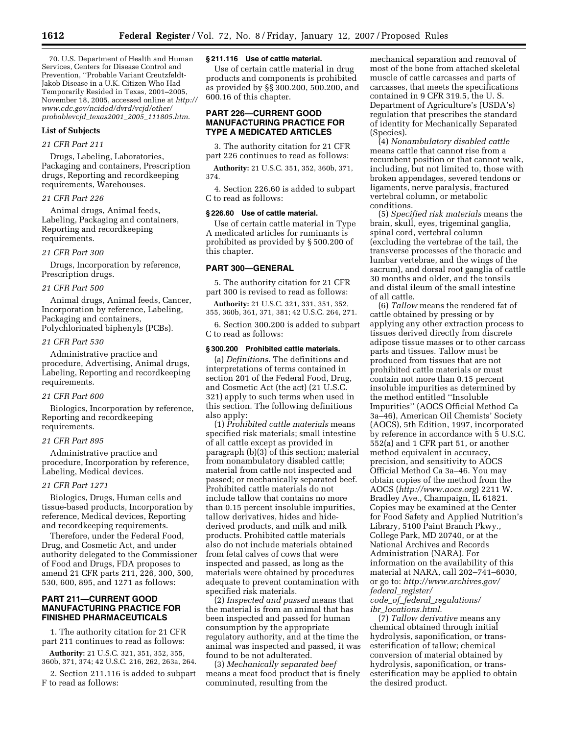70. U.S. Department of Health and Human Services, Centers for Disease Control and Prevention, ''Probable Variant Creutzfeldt-Jakob Disease in a U.K. Citizen Who Had Temporarily Resided in Texas, 2001–2005, November 18, 2005, accessed online at *http:// www.cdc.gov/ncidod/dvrd/vcjd/other/ probablevcjd*\_*texas2001*\_*2005*\_*111805.htm*.

## **List of Subjects**

## *21 CFR Part 211*

Drugs, Labeling, Laboratories, Packaging and containers, Prescription drugs, Reporting and recordkeeping requirements, Warehouses.

## *21 CFR Part 226*

Animal drugs, Animal feeds, Labeling, Packaging and containers, Reporting and recordkeeping requirements.

#### *21 CFR Part 300*

Drugs, Incorporation by reference, Prescription drugs.

#### *21 CFR Part 500*

Animal drugs, Animal feeds, Cancer, Incorporation by reference, Labeling, Packaging and containers, Polychlorinated biphenyls (PCBs).

#### *21 CFR Part 530*

Administrative practice and procedure, Advertising, Animal drugs, Labeling, Reporting and recordkeeping requirements.

#### *21 CFR Part 600*

Biologics, Incorporation by reference, Reporting and recordkeeping requirements.

#### *21 CFR Part 895*

Administrative practice and procedure, Incorporation by reference, Labeling, Medical devices.

## *21 CFR Part 1271*

Biologics, Drugs, Human cells and tissue-based products, Incorporation by reference, Medical devices, Reporting and recordkeeping requirements.

Therefore, under the Federal Food, Drug, and Cosmetic Act, and under authority delegated to the Commissioner of Food and Drugs, FDA proposes to amend 21 CFR parts 211, 226, 300, 500, 530, 600, 895, and 1271 as follows:

## **PART 211—CURRENT GOOD MANUFACTURING PRACTICE FOR FINISHED PHARMACEUTICALS**

1. The authority citation for 21 CFR part 211 continues to read as follows:

**Authority:** 21 U.S.C. 321, 351, 352, 355, 360b, 371, 374; 42 U.S.C. 216, 262, 263a, 264.

2. Section 211.116 is added to subpart F to read as follows:

## **§ 211.116 Use of cattle material.**

Use of certain cattle material in drug products and components is prohibited as provided by §§ 300.200, 500.200, and 600.16 of this chapter.

## **PART 226—CURRENT GOOD MANUFACTURING PRACTICE FOR TYPE A MEDICATED ARTICLES**

3. The authority citation for 21 CFR part 226 continues to read as follows:

**Authority:** 21 U.S.C. 351, 352, 360b, 371, 374.

4. Section 226.60 is added to subpart C to read as follows:

## **§ 226.60 Use of cattle material.**

Use of certain cattle material in Type A medicated articles for ruminants is prohibited as provided by § 500.200 of this chapter.

## **PART 300—GENERAL**

5. The authority citation for 21 CFR part 300 is revised to read as follows:

**Authority:** 21 U.S.C. 321, 331, 351, 352, 355, 360b, 361, 371, 381; 42 U.S.C. 264, 271.

6. Section 300.200 is added to subpart C to read as follows:

#### **§ 300.200 Prohibited cattle materials.**

(a) *Definitions*. The definitions and interpretations of terms contained in section 201 of the Federal Food, Drug, and Cosmetic Act (the act) (21 U.S.C. 321) apply to such terms when used in this section. The following definitions also apply:

(1) *Prohibited cattle materials* means specified risk materials; small intestine of all cattle except as provided in paragraph (b)(3) of this section; material from nonambulatory disabled cattle; material from cattle not inspected and passed; or mechanically separated beef. Prohibited cattle materials do not include tallow that contains no more than 0.15 percent insoluble impurities, tallow derivatives, hides and hidederived products, and milk and milk products. Prohibited cattle materials also do not include materials obtained from fetal calves of cows that were inspected and passed, as long as the materials were obtained by procedures adequate to prevent contamination with specified risk materials.

(2) *Inspected and passed* means that the material is from an animal that has been inspected and passed for human consumption by the appropriate regulatory authority, and at the time the animal was inspected and passed, it was found to be not adulterated.

(3) *Mechanically separated beef*  means a meat food product that is finely comminuted, resulting from the

mechanical separation and removal of most of the bone from attached skeletal muscle of cattle carcasses and parts of carcasses, that meets the specifications contained in 9 CFR 319.5, the U. S. Department of Agriculture's (USDA's) regulation that prescribes the standard of identity for Mechanically Separated (Species).

(4) *Nonambulatory disabled cattle*  means cattle that cannot rise from a recumbent position or that cannot walk, including, but not limited to, those with broken appendages, severed tendons or ligaments, nerve paralysis, fractured vertebral column, or metabolic conditions.

(5) *Specified risk materials* means the brain, skull, eyes, trigeminal ganglia, spinal cord, vertebral column (excluding the vertebrae of the tail, the transverse processes of the thoracic and lumbar vertebrae, and the wings of the sacrum), and dorsal root ganglia of cattle 30 months and older, and the tonsils and distal ileum of the small intestine of all cattle.

(6) *Tallow* means the rendered fat of cattle obtained by pressing or by applying any other extraction process to tissues derived directly from discrete adipose tissue masses or to other carcass parts and tissues. Tallow must be produced from tissues that are not prohibited cattle materials or must contain not more than 0.15 percent insoluble impurities as determined by the method entitled ''Insoluble Impurities'' (AOCS Official Method Ca 3a–46), American Oil Chemists' Society (AOCS), 5th Edition, 1997, incorporated by reference in accordance with 5 U.S.C. 552(a) and 1 CFR part 51, or another method equivalent in accuracy, precision, and sensitivity to AOCS Official Method Ca 3a–46. You may obtain copies of the method from the AOCS (*http://www.aocs.org*) 2211 W. Bradley Ave., Champaign, IL 61821. Copies may be examined at the Center for Food Safety and Applied Nutrition's Library, 5100 Paint Branch Pkwy., College Park, MD 20740, or at the National Archives and Records Administration (NARA). For information on the availability of this material at NARA, call 202–741–6030, or go to: *http://www.archives.gov/ federal*\_*register/ code*\_*of*\_*federal*\_*regulations/* 

*ibr*\_*locations.html*.

(7) *Tallow derivative* means any chemical obtained through initial hydrolysis, saponification, or transesterification of tallow; chemical conversion of material obtained by hydrolysis, saponification, or transesterification may be applied to obtain the desired product.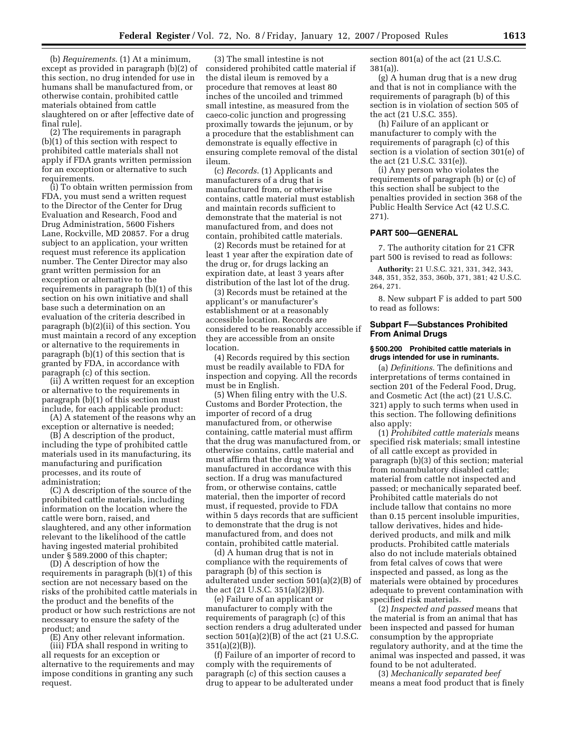(b) *Requirements*. (1) At a minimum, except as provided in paragraph (b)(2) of this section, no drug intended for use in humans shall be manufactured from, or otherwise contain, prohibited cattle materials obtained from cattle slaughtered on or after [effective date of final rule].

(2) The requirements in paragraph (b)(1) of this section with respect to prohibited cattle materials shall not apply if FDA grants written permission for an exception or alternative to such requirements.

(i) To obtain written permission from FDA, you must send a written request to the Director of the Center for Drug Evaluation and Research, Food and Drug Administration, 5600 Fishers Lane, Rockville, MD 20857. For a drug subject to an application, your written request must reference its application number. The Center Director may also grant written permission for an exception or alternative to the requirements in paragraph (b)(1) of this section on his own initiative and shall base such a determination on an evaluation of the criteria described in paragraph (b)(2)(ii) of this section. You must maintain a record of any exception or alternative to the requirements in paragraph (b)(1) of this section that is granted by FDA, in accordance with paragraph (c) of this section.

(ii) A written request for an exception or alternative to the requirements in paragraph (b)(1) of this section must include, for each applicable product:

(A) A statement of the reasons why an exception or alternative is needed;

(B) A description of the product, including the type of prohibited cattle materials used in its manufacturing, its manufacturing and purification processes, and its route of administration;

(C) A description of the source of the prohibited cattle materials, including information on the location where the cattle were born, raised, and slaughtered, and any other information relevant to the likelihood of the cattle having ingested material prohibited under § 589.2000 of this chapter;

(D) A description of how the requirements in paragraph (b)(1) of this section are not necessary based on the risks of the prohibited cattle materials in the product and the benefits of the product or how such restrictions are not necessary to ensure the safety of the product; and

(E) Any other relevant information.

(iii) FDA shall respond in writing to all requests for an exception or alternative to the requirements and may impose conditions in granting any such request.

(3) The small intestine is not considered prohibited cattle material if the distal ileum is removed by a procedure that removes at least 80 inches of the uncoiled and trimmed small intestine, as measured from the caeco-colic junction and progressing proximally towards the jejunum, or by a procedure that the establishment can demonstrate is equally effective in ensuring complete removal of the distal ileum.

(c) *Records*. (1) Applicants and manufacturers of a drug that is manufactured from, or otherwise contains, cattle material must establish and maintain records sufficient to demonstrate that the material is not manufactured from, and does not contain, prohibited cattle materials.

(2) Records must be retained for at least 1 year after the expiration date of the drug or, for drugs lacking an expiration date, at least 3 years after distribution of the last lot of the drug.

(3) Records must be retained at the applicant's or manufacturer's establishment or at a reasonably accessible location. Records are considered to be reasonably accessible if they are accessible from an onsite location.

(4) Records required by this section must be readily available to FDA for inspection and copying. All the records must be in English.

(5) When filing entry with the U.S. Customs and Border Protection, the importer of record of a drug manufactured from, or otherwise containing, cattle material must affirm that the drug was manufactured from, or otherwise contains, cattle material and must affirm that the drug was manufactured in accordance with this section. If a drug was manufactured from, or otherwise contains, cattle material, then the importer of record must, if requested, provide to FDA within 5 days records that are sufficient to demonstrate that the drug is not manufactured from, and does not contain, prohibited cattle material.

(d) A human drug that is not in compliance with the requirements of paragraph (b) of this section is adulterated under section 501(a)(2)(B) of the act (21 U.S.C. 351(a)(2)(B)).

(e) Failure of an applicant or manufacturer to comply with the requirements of paragraph (c) of this section renders a drug adulterated under section  $501(a)(2)(B)$  of the act  $(21 U.S.C.$  $351(a)(2)(B)$ 

(f) Failure of an importer of record to comply with the requirements of paragraph (c) of this section causes a drug to appear to be adulterated under

section 801(a) of the act (21 U.S.C. 381(a)).

(g) A human drug that is a new drug and that is not in compliance with the requirements of paragraph (b) of this section is in violation of section 505 of the act (21 U.S.C. 355).

(h) Failure of an applicant or manufacturer to comply with the requirements of paragraph (c) of this section is a violation of section 301(e) of the act (21 U.S.C. 331(e)).

(i) Any person who violates the requirements of paragraph (b) or (c) of this section shall be subject to the penalties provided in section 368 of the Public Health Service Act (42 U.S.C. 271).

#### **PART 500—GENERAL**

7. The authority citation for 21 CFR part 500 is revised to read as follows:

**Authority:** 21 U.S.C. 321, 331, 342, 343, 348, 351, 352, 353, 360b, 371, 381; 42 U.S.C. 264, 271.

8. New subpart F is added to part 500 to read as follows:

## **Subpart F—Substances Prohibited From Animal Drugs**

#### **§ 500.200 Prohibited cattle materials in drugs intended for use in ruminants.**

(a) *Definitions*. The definitions and interpretations of terms contained in section 201 of the Federal Food, Drug, and Cosmetic Act (the act) (21 U.S.C. 321) apply to such terms when used in this section. The following definitions also apply:

(1) *Prohibited cattle materials* means specified risk materials; small intestine of all cattle except as provided in paragraph (b)(3) of this section; material from nonambulatory disabled cattle; material from cattle not inspected and passed; or mechanically separated beef. Prohibited cattle materials do not include tallow that contains no more than 0.15 percent insoluble impurities, tallow derivatives, hides and hidederived products, and milk and milk products. Prohibited cattle materials also do not include materials obtained from fetal calves of cows that were inspected and passed, as long as the materials were obtained by procedures adequate to prevent contamination with specified risk materials.

(2) *Inspected and passed* means that the material is from an animal that has been inspected and passed for human consumption by the appropriate regulatory authority, and at the time the animal was inspected and passed, it was found to be not adulterated.

(3) *Mechanically separated beef*  means a meat food product that is finely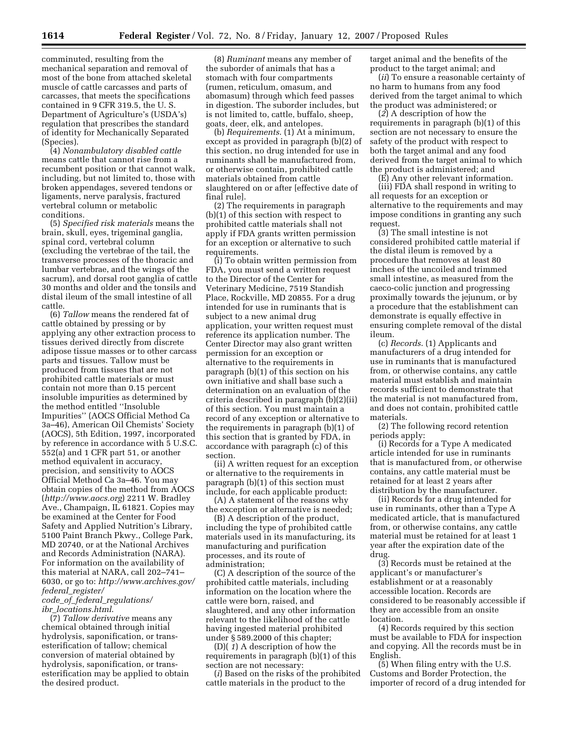comminuted, resulting from the mechanical separation and removal of most of the bone from attached skeletal muscle of cattle carcasses and parts of carcasses, that meets the specifications contained in 9 CFR 319.5, the U. S. Department of Agriculture's (USDA's) regulation that prescribes the standard of identity for Mechanically Separated (Species).

(4) *Nonambulatory disabled cattle*  means cattle that cannot rise from a recumbent position or that cannot walk, including, but not limited to, those with broken appendages, severed tendons or ligaments, nerve paralysis, fractured vertebral column or metabolic conditions.

(5) *Specified risk materials* means the brain, skull, eyes, trigeminal ganglia, spinal cord, vertebral column (excluding the vertebrae of the tail, the transverse processes of the thoracic and lumbar vertebrae, and the wings of the sacrum), and dorsal root ganglia of cattle 30 months and older and the tonsils and distal ileum of the small intestine of all cattle.

(6) *Tallow* means the rendered fat of cattle obtained by pressing or by applying any other extraction process to tissues derived directly from discrete adipose tissue masses or to other carcass parts and tissues. Tallow must be produced from tissues that are not prohibited cattle materials or must contain not more than 0.15 percent insoluble impurities as determined by the method entitled ''Insoluble Impurities'' (AOCS Official Method Ca 3a–46), American Oil Chemists' Society (AOCS), 5th Edition, 1997, incorporated by reference in accordance with 5 U.S.C. 552(a) and 1 CFR part 51, or another method equivalent in accuracy, precision, and sensitivity to AOCS Official Method Ca 3a–46. You may obtain copies of the method from AOCS (*http://www.aocs.org*) 2211 W. Bradley Ave., Champaign, IL 61821. Copies may be examined at the Center for Food Safety and Applied Nutrition's Library, 5100 Paint Branch Pkwy., College Park, MD 20740, or at the National Archives and Records Administration (NARA). For information on the availability of this material at NARA, call 202–741– 6030, or go to: *http://www.archives.gov/ federal*\_*register/* 

## *code*\_*of*\_*federal*\_*regulations/ ibr*\_*locations.html*.

(7) *Tallow derivative* means any chemical obtained through initial hydrolysis, saponification, or transesterification of tallow; chemical conversion of material obtained by hydrolysis, saponification, or transesterification may be applied to obtain the desired product.

(8) *Ruminant* means any member of the suborder of animals that has a stomach with four compartments (rumen, reticulum, omasum, and abomasum) through which feed passes in digestion. The suborder includes, but is not limited to, cattle, buffalo, sheep, goats, deer, elk, and antelopes.

(b) *Requirements*. (1) At a minimum, except as provided in paragraph (b)(2) of this section, no drug intended for use in ruminants shall be manufactured from, or otherwise contain, prohibited cattle materials obtained from cattle slaughtered on or after [effective date of final rule].

(2) The requirements in paragraph (b)(1) of this section with respect to prohibited cattle materials shall not apply if FDA grants written permission for an exception or alternative to such requirements.

(i) To obtain written permission from FDA, you must send a written request to the Director of the Center for Veterinary Medicine, 7519 Standish Place, Rockville, MD 20855. For a drug intended for use in ruminants that is subject to a new animal drug application, your written request must reference its application number. The Center Director may also grant written permission for an exception or alternative to the requirements in paragraph (b)(1) of this section on his own initiative and shall base such a determination on an evaluation of the criteria described in paragraph (b)(2)(ii) of this section. You must maintain a record of any exception or alternative to the requirements in paragraph (b)(1) of this section that is granted by FDA, in accordance with paragraph (c) of this section.

(ii) A written request for an exception or alternative to the requirements in paragraph (b)(1) of this section must include, for each applicable product:

(A) A statement of the reasons why the exception or alternative is needed;

(B) A description of the product, including the type of prohibited cattle materials used in its manufacturing, its manufacturing and purification processes, and its route of administration;

(C) A description of the source of the prohibited cattle materials, including information on the location where the cattle were born, raised, and slaughtered, and any other information relevant to the likelihood of the cattle having ingested material prohibited under § 589.2000 of this chapter;

(D)( *1*) A description of how the requirements in paragraph (b)(1) of this section are not necessary:

(*i*) Based on the risks of the prohibited cattle materials in the product to the

target animal and the benefits of the product to the target animal; and

(*ii*) To ensure a reasonable certainty of no harm to humans from any food derived from the target animal to which the product was administered; or

(*2*) A description of how the requirements in paragraph (b)(1) of this section are not necessary to ensure the safety of the product with respect to both the target animal and any food derived from the target animal to which the product is administered; and

(E) Any other relevant information. (iii) FDA shall respond in writing to all requests for an exception or alternative to the requirements and may impose conditions in granting any such request.

(3) The small intestine is not considered prohibited cattle material if the distal ileum is removed by a procedure that removes at least 80 inches of the uncoiled and trimmed small intestine, as measured from the caeco-colic junction and progressing proximally towards the jejunum, or by a procedure that the establishment can demonstrate is equally effective in ensuring complete removal of the distal ileum.

(c) *Records*. (1) Applicants and manufacturers of a drug intended for use in ruminants that is manufactured from, or otherwise contains, any cattle material must establish and maintain records sufficient to demonstrate that the material is not manufactured from, and does not contain, prohibited cattle materials.

(2) The following record retention periods apply:

(i) Records for a Type A medicated article intended for use in ruminants that is manufactured from, or otherwise contains, any cattle material must be retained for at least 2 years after distribution by the manufacturer.

(ii) Records for a drug intended for use in ruminants, other than a Type A medicated article, that is manufactured from, or otherwise contains, any cattle material must be retained for at least 1 year after the expiration date of the drug.

(3) Records must be retained at the applicant's or manufacturer's establishment or at a reasonably accessible location. Records are considered to be reasonably accessible if they are accessible from an onsite location.

(4) Records required by this section must be available to FDA for inspection and copying. All the records must be in English.

(5) When filing entry with the U.S. Customs and Border Protection, the importer of record of a drug intended for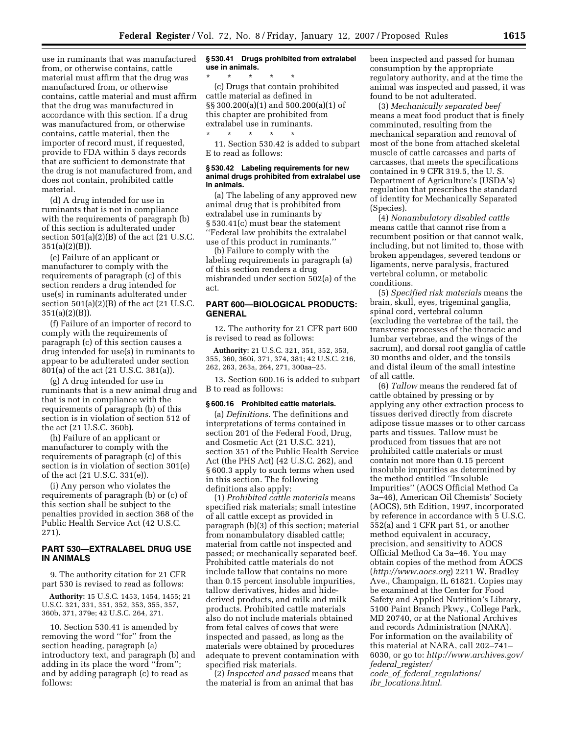use in ruminants that was manufactured from, or otherwise contains, cattle material must affirm that the drug was manufactured from, or otherwise contains, cattle material and must affirm that the drug was manufactured in accordance with this section. If a drug was manufactured from, or otherwise contains, cattle material, then the importer of record must, if requested, provide to FDA within 5 days records that are sufficient to demonstrate that the drug is not manufactured from, and does not contain, prohibited cattle material.

(d) A drug intended for use in ruminants that is not in compliance with the requirements of paragraph (b) of this section is adulterated under section  $501(a)(2)(B)$  of the act  $(21 U.S.C.$ 351(a)(2)(B)).

(e) Failure of an applicant or manufacturer to comply with the requirements of paragraph (c) of this section renders a drug intended for use(s) in ruminants adulterated under section  $501(a)(2)(B)$  of the act (21 U.S.C.  $351(a)(2)(B)$ ).

(f) Failure of an importer of record to comply with the requirements of paragraph (c) of this section causes a drug intended for use(s) in ruminants to appear to be adulterated under section 801(a) of the act (21 U.S.C. 381(a)).

(g) A drug intended for use in ruminants that is a new animal drug and that is not in compliance with the requirements of paragraph (b) of this section is in violation of section 512 of the act (21 U.S.C. 360b).

(h) Failure of an applicant or manufacturer to comply with the requirements of paragraph (c) of this section is in violation of section 301(e) of the act (21 U.S.C. 331(e)).

(i) Any person who violates the requirements of paragraph (b) or (c) of this section shall be subject to the penalties provided in section 368 of the Public Health Service Act (42 U.S.C. 271).

## **PART 530—EXTRALABEL DRUG USE IN ANIMALS**

9. The authority citation for 21 CFR part 530 is revised to read as follows:

**Authority:** 15 U.S.C. 1453, 1454, 1455; 21 U.S.C. 321, 331, 351, 352, 353, 355, 357, 360b, 371, 379e; 42 U.S.C. 264, 271.

10. Section 530.41 is amended by removing the word ''for'' from the section heading, paragraph (a) introductory text, and paragraph (b) and adding in its place the word ''from''; and by adding paragraph (c) to read as follows:

## **§ 530.41 Drugs prohibited from extralabel use in animals.**

\* \* \* \* \* (c) Drugs that contain prohibited cattle material as defined in §§ 300.200(a)(1) and 500.200(a)(1) of this chapter are prohibited from extralabel use in ruminants.

\* \* \* \* \* 11. Section 530.42 is added to subpart E to read as follows:

#### **§ 530.42 Labeling requirements for new animal drugs prohibited from extralabel use in animals.**

(a) The labeling of any approved new animal drug that is prohibited from extralabel use in ruminants by § 530.41(c) must bear the statement ''Federal law prohibits the extralabel use of this product in ruminants.''

(b) Failure to comply with the labeling requirements in paragraph (a) of this section renders a drug misbranded under section 502(a) of the act.

## **PART 600—BIOLOGICAL PRODUCTS: GENERAL**

12. The authority for 21 CFR part 600 is revised to read as follows:

**Authority:** 21 U.S.C. 321, 351, 352, 353, 355, 360, 360i, 371, 374, 381; 42 U.S.C. 216, 262, 263, 263a, 264, 271, 300aa–25.

13. Section 600.16 is added to subpart B to read as follows:

#### **§ 600.16 Prohibited cattle materials.**

(a) *Definitions*. The definitions and interpretations of terms contained in section 201 of the Federal Food, Drug, and Cosmetic Act (21 U.S.C. 321), section 351 of the Public Health Service Act (the PHS Act) (42 U.S.C. 262), and § 600.3 apply to such terms when used in this section. The following definitions also apply:

(1) *Prohibited cattle materials* means specified risk materials; small intestine of all cattle except as provided in paragraph (b)(3) of this section; material from nonambulatory disabled cattle; material from cattle not inspected and passed; or mechanically separated beef. Prohibited cattle materials do not include tallow that contains no more than 0.15 percent insoluble impurities, tallow derivatives, hides and hidederived products, and milk and milk products. Prohibited cattle materials also do not include materials obtained from fetal calves of cows that were inspected and passed, as long as the materials were obtained by procedures adequate to prevent contamination with specified risk materials.

(2) *Inspected and passed* means that the material is from an animal that has been inspected and passed for human consumption by the appropriate regulatory authority, and at the time the animal was inspected and passed, it was found to be not adulterated.

(3) *Mechanically separated beef*  means a meat food product that is finely comminuted, resulting from the mechanical separation and removal of most of the bone from attached skeletal muscle of cattle carcasses and parts of carcasses, that meets the specifications contained in 9 CFR 319.5, the U. S. Department of Agriculture's (USDA's) regulation that prescribes the standard of identity for Mechanically Separated (Species).

(4) *Nonambulatory disabled cattle*  means cattle that cannot rise from a recumbent position or that cannot walk, including, but not limited to, those with broken appendages, severed tendons or ligaments, nerve paralysis, fractured vertebral column, or metabolic conditions.

(5) *Specified risk materials* means the brain, skull, eyes, trigeminal ganglia, spinal cord, vertebral column (excluding the vertebrae of the tail, the transverse processes of the thoracic and lumbar vertebrae, and the wings of the sacrum), and dorsal root ganglia of cattle 30 months and older, and the tonsils and distal ileum of the small intestine of all cattle.

(6) *Tallow* means the rendered fat of cattle obtained by pressing or by applying any other extraction process to tissues derived directly from discrete adipose tissue masses or to other carcass parts and tissues. Tallow must be produced from tissues that are not prohibited cattle materials or must contain not more than 0.15 percent insoluble impurities as determined by the method entitled ''Insoluble Impurities'' (AOCS Official Method Ca 3a–46), American Oil Chemists' Society (AOCS), 5th Edition, 1997, incorporated by reference in accordance with 5 U.S.C. 552(a) and 1 CFR part 51, or another method equivalent in accuracy, precision, and sensitivity to AOCS Official Method Ca 3a–46. You may obtain copies of the method from AOCS (*http://www.aocs.org*) 2211 W. Bradley Ave., Champaign, IL 61821. Copies may be examined at the Center for Food Safety and Applied Nutrition's Library, 5100 Paint Branch Pkwy., College Park, MD 20740, or at the National Archives and records Administration (NARA). For information on the availability of this material at NARA, call 202–741– 6030, or go to: *http://www.archives.gov/ federal*\_*register/* 

*code*\_*of*\_*federal*\_*regulations/ ibr*\_*locations.html*.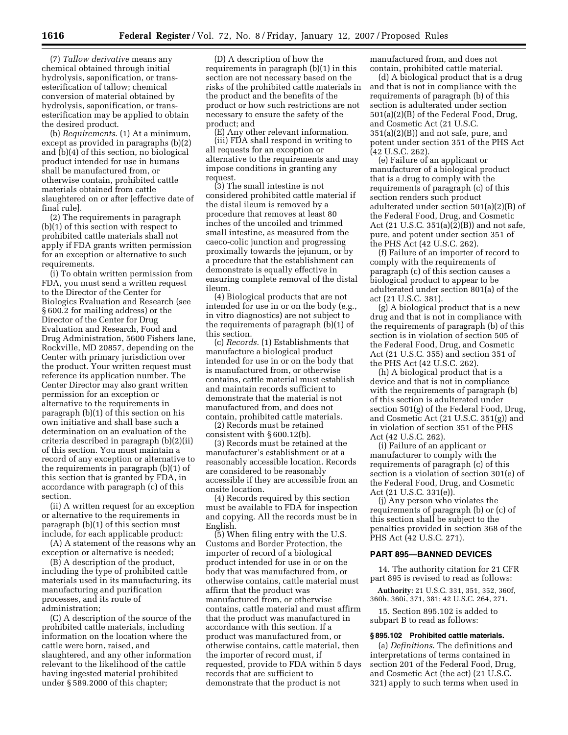(7) *Tallow derivative* means any chemical obtained through initial hydrolysis, saponification, or transesterification of tallow; chemical conversion of material obtained by hydrolysis, saponification, or transesterification may be applied to obtain the desired product.

(b) *Requirements*. (1) At a minimum, except as provided in paragraphs (b)(2) and (b)(4) of this section, no biological product intended for use in humans shall be manufactured from, or otherwise contain, prohibited cattle materials obtained from cattle slaughtered on or after [effective date of final rule].

(2) The requirements in paragraph (b)(1) of this section with respect to prohibited cattle materials shall not apply if FDA grants written permission for an exception or alternative to such requirements.

(i) To obtain written permission from FDA, you must send a written request to the Director of the Center for Biologics Evaluation and Research (see § 600.2 for mailing address) or the Director of the Center for Drug Evaluation and Research, Food and Drug Administration, 5600 Fishers lane, Rockville, MD 20857, depending on the Center with primary jurisdiction over the product. Your written request must reference its application number. The Center Director may also grant written permission for an exception or alternative to the requirements in paragraph (b)(1) of this section on his own initiative and shall base such a determination on an evaluation of the criteria described in paragraph (b)(2)(ii) of this section. You must maintain a record of any exception or alternative to the requirements in paragraph (b)(1) of this section that is granted by FDA, in accordance with paragraph (c) of this section.

(ii) A written request for an exception or alternative to the requirements in paragraph (b)(1) of this section must include, for each applicable product:

(A) A statement of the reasons why an exception or alternative is needed;

(B) A description of the product, including the type of prohibited cattle materials used in its manufacturing, its manufacturing and purification processes, and its route of administration;

(C) A description of the source of the prohibited cattle materials, including information on the location where the cattle were born, raised, and slaughtered, and any other information relevant to the likelihood of the cattle having ingested material prohibited under § 589.2000 of this chapter;

(D) A description of how the requirements in paragraph (b)(1) in this section are not necessary based on the risks of the prohibited cattle materials in the product and the benefits of the product or how such restrictions are not necessary to ensure the safety of the product; and

(E) Any other relevant information. (iii) FDA shall respond in writing to all requests for an exception or alternative to the requirements and may impose conditions in granting any request.

(3) The small intestine is not considered prohibited cattle material if the distal ileum is removed by a procedure that removes at least 80 inches of the uncoiled and trimmed small intestine, as measured from the caeco-colic junction and progressing proximally towards the jejunum, or by a procedure that the establishment can demonstrate is equally effective in ensuring complete removal of the distal ileum.

(4) Biological products that are not intended for use in or on the body (e.g., in vitro diagnostics) are not subject to the requirements of paragraph (b)(1) of this section.

(c) *Records*. (1) Establishments that manufacture a biological product intended for use in or on the body that is manufactured from, or otherwise contains, cattle material must establish and maintain records sufficient to demonstrate that the material is not manufactured from, and does not contain, prohibited cattle materials.

(2) Records must be retained consistent with § 600.12(b).

(3) Records must be retained at the manufacturer's establishment or at a reasonably accessible location. Records are considered to be reasonably accessible if they are accessible from an onsite location.

(4) Records required by this section must be available to FDA for inspection and copying. All the records must be in English.

(5) When filing entry with the U.S. Customs and Border Protection, the importer of record of a biological product intended for use in or on the body that was manufactured from, or otherwise contains, cattle material must affirm that the product was manufactured from, or otherwise contains, cattle material and must affirm that the product was manufactured in accordance with this section. If a product was manufactured from, or otherwise contains, cattle material, then the importer of record must, if requested, provide to FDA within 5 days records that are sufficient to demonstrate that the product is not

manufactured from, and does not contain, prohibited cattle material.

(d) A biological product that is a drug and that is not in compliance with the requirements of paragraph (b) of this section is adulterated under section 501(a)(2)(B) of the Federal Food, Drug, and Cosmetic Act (21 U.S.C. 351(a)(2)(B)) and not safe, pure, and potent under section 351 of the PHS Act (42 U.S.C. 262).

(e) Failure of an applicant or manufacturer of a biological product that is a drug to comply with the requirements of paragraph (c) of this section renders such product adulterated under section 501(a)(2)(B) of the Federal Food, Drug, and Cosmetic Act (21 U.S.C. 351(a)(2)(B)) and not safe, pure, and potent under section 351 of the PHS Act (42 U.S.C. 262).

(f) Failure of an importer of record to comply with the requirements of paragraph (c) of this section causes a biological product to appear to be adulterated under section 801(a) of the act (21 U.S.C. 381).

(g) A biological product that is a new drug and that is not in compliance with the requirements of paragraph (b) of this section is in violation of section 505 of the Federal Food, Drug, and Cosmetic Act (21 U.S.C. 355) and section 351 of the PHS Act (42 U.S.C. 262).

(h) A biological product that is a device and that is not in compliance with the requirements of paragraph (b) of this section is adulterated under section 501(g) of the Federal Food, Drug, and Cosmetic Act (21 U.S.C. 351(g)) and in violation of section 351 of the PHS Act (42 U.S.C. 262).

(i) Failure of an applicant or manufacturer to comply with the requirements of paragraph (c) of this section is a violation of section 301(e) of the Federal Food, Drug, and Cosmetic Act (21 U.S.C. 331(e)).

(j) Any person who violates the requirements of paragraph (b) or (c) of this section shall be subject to the penalties provided in section 368 of the PHS Act (42 U.S.C. 271).

#### **PART 895—BANNED DEVICES**

14. The authority citation for 21 CFR part 895 is revised to read as follows:

**Authority:** 21 U.S.C. 331, 351, 352, 360f, 360h, 360i, 371, 381; 42 U.S.C. 264, 271.

15. Section 895.102 is added to subpart B to read as follows:

#### **§ 895.102 Prohibited cattle materials.**

(a) *Definitions*. The definitions and interpretations of terms contained in section 201 of the Federal Food, Drug, and Cosmetic Act (the act) (21 U.S.C. 321) apply to such terms when used in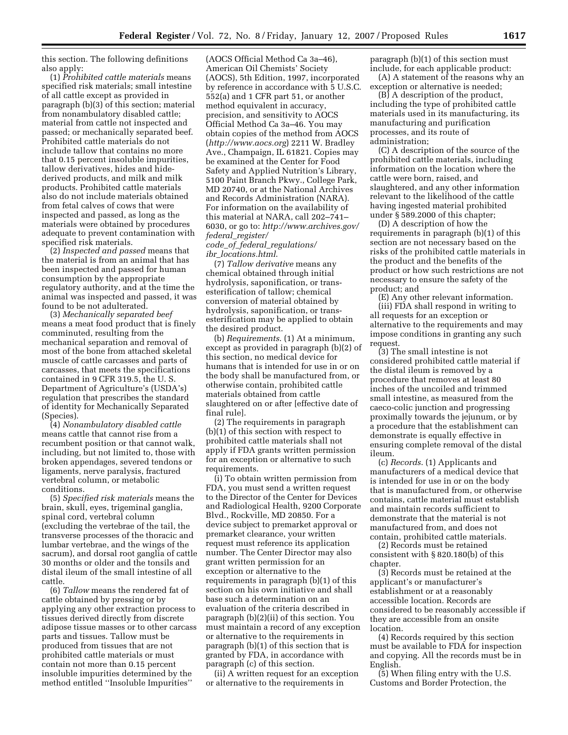this section. The following definitions also apply:

(1) *Prohibited cattle materials* means specified risk materials; small intestine of all cattle except as provided in paragraph (b)(3) of this section; material from nonambulatory disabled cattle; material from cattle not inspected and passed; or mechanically separated beef. Prohibited cattle materials do not include tallow that contains no more that 0.15 percent insoluble impurities, tallow derivatives, hides and hidederived products, and milk and milk products. Prohibited cattle materials also do not include materials obtained from fetal calves of cows that were inspected and passed, as long as the materials were obtained by procedures adequate to prevent contamination with specified risk materials.

(2) *Inspected and passed* means that the material is from an animal that has been inspected and passed for human consumption by the appropriate regulatory authority, and at the time the animal was inspected and passed, it was found to be not adulterated.

(3) *Mechanically separated beef*  means a meat food product that is finely comminuted, resulting from the mechanical separation and removal of most of the bone from attached skeletal muscle of cattle carcasses and parts of carcasses, that meets the specifications contained in 9 CFR 319.5, the U. S. Department of Agriculture's (USDA's) regulation that prescribes the standard of identity for Mechanically Separated (Species).

(4) *Nonambulatory disabled cattle*  means cattle that cannot rise from a recumbent position or that cannot walk, including, but not limited to, those with broken appendages, severed tendons or ligaments, nerve paralysis, fractured vertebral column, or metabolic conditions.

(5) *Specified risk materials* means the brain, skull, eyes, trigeminal ganglia, spinal cord, vertebral column (excluding the vertebrae of the tail, the transverse processes of the thoracic and lumbar vertebrae, and the wings of the sacrum), and dorsal root ganglia of cattle 30 months or older and the tonsils and distal ileum of the small intestine of all cattle.

(6) *Tallow* means the rendered fat of cattle obtained by pressing or by applying any other extraction process to tissues derived directly from discrete adipose tissue masses or to other carcass parts and tissues. Tallow must be produced from tissues that are not prohibited cattle materials or must contain not more than 0.15 percent insoluble impurities determined by the method entitled ''Insoluble Impurities''

(AOCS Official Method Ca 3a–46), American Oil Chemists' Society (AOCS), 5th Edition, 1997, incorporated by reference in accordance with 5 U.S.C. 552(a) and 1 CFR part 51, or another method equivalent in accuracy, precision, and sensitivity to AOCS Official Method Ca 3a–46. You may obtain copies of the method from AOCS (*http://www.aocs.org*) 2211 W. Bradley Ave., Champaign, IL 61821. Copies may be examined at the Center for Food Safety and Applied Nutrition's Library, 5100 Paint Branch Pkwy., College Park, MD 20740, or at the National Archives and Records Administration (NARA). For information on the availability of this material at NARA, call 202–741– 6030, or go to: *http://www.archives.gov/ federal*\_*register/ code*\_*of*\_*federal*\_*regulations/ ibr*\_*locations.html*.

(7) *Tallow derivative* means any chemical obtained through initial hydrolysis, saponification, or transesterification of tallow; chemical conversion of material obtained by hydrolysis, saponification, or transesterification may be applied to obtain the desired product.

(b) *Requirements*. (1) At a minimum, except as provided in paragraph (b)(2) of this section, no medical device for humans that is intended for use in or on the body shall be manufactured from, or otherwise contain, prohibited cattle materials obtained from cattle slaughtered on or after [effective date of final rule].

(2) The requirements in paragraph (b)(1) of this section with respect to prohibited cattle materials shall not apply if FDA grants written permission for an exception or alternative to such requirements.

(i) To obtain written permission from FDA, you must send a written request to the Director of the Center for Devices and Radiological Health, 9200 Corporate Blvd., Rockville, MD 20850. For a device subject to premarket approval or premarket clearance, your written request must reference its application number. The Center Director may also grant written permission for an exception or alternative to the requirements in paragraph (b)(1) of this section on his own initiative and shall base such a determination on an evaluation of the criteria described in paragraph (b)(2)(ii) of this section. You must maintain a record of any exception or alternative to the requirements in paragraph (b)(1) of this section that is granted by FDA, in accordance with paragraph (c) of this section.

(ii) A written request for an exception or alternative to the requirements in

paragraph (b)(1) of this section must include, for each applicable product:

(A) A statement of the reasons why an exception or alternative is needed;

(B) A description of the product, including the type of prohibited cattle materials used in its manufacturing, its manufacturing and purification processes, and its route of administration;

(C) A description of the source of the prohibited cattle materials, including information on the location where the cattle were born, raised, and slaughtered, and any other information relevant to the likelihood of the cattle having ingested material prohibited under § 589.2000 of this chapter;

(D) A description of how the requirements in paragraph (b)(1) of this section are not necessary based on the risks of the prohibited cattle materials in the product and the benefits of the product or how such restrictions are not necessary to ensure the safety of the product; and

(E) Any other relevant information.

(iii) FDA shall respond in writing to all requests for an exception or alternative to the requirements and may impose conditions in granting any such request.

(3) The small intestine is not considered prohibited cattle material if the distal ileum is removed by a procedure that removes at least 80 inches of the uncoiled and trimmed small intestine, as measured from the caeco-colic junction and progressing proximally towards the jejunum, or by a procedure that the establishment can demonstrate is equally effective in ensuring complete removal of the distal ileum.

(c) *Records*. (1) Applicants and manufacturers of a medical device that is intended for use in or on the body that is manufactured from, or otherwise contains, cattle material must establish and maintain records sufficient to demonstrate that the material is not manufactured from, and does not contain, prohibited cattle materials.

(2) Records must be retained consistent with § 820.180(b) of this chapter.

(3) Records must be retained at the applicant's or manufacturer's establishment or at a reasonably accessible location. Records are considered to be reasonably accessible if they are accessible from an onsite location.

(4) Records required by this section must be available to FDA for inspection and copying. All the records must be in English.

(5) When filing entry with the U.S. Customs and Border Protection, the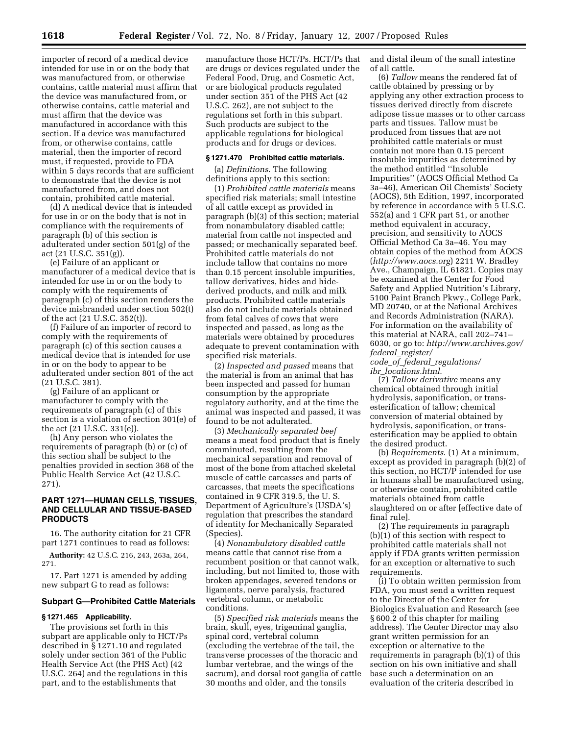importer of record of a medical device intended for use in or on the body that was manufactured from, or otherwise contains, cattle material must affirm that the device was manufactured from, or otherwise contains, cattle material and must affirm that the device was manufactured in accordance with this section. If a device was manufactured from, or otherwise contains, cattle material, then the importer of record must, if requested, provide to FDA within 5 days records that are sufficient to demonstrate that the device is not manufactured from, and does not contain, prohibited cattle material.

(d) A medical device that is intended for use in or on the body that is not in compliance with the requirements of paragraph (b) of this section is adulterated under section 501(g) of the act (21 U.S.C. 351(g)).

(e) Failure of an applicant or manufacturer of a medical device that is intended for use in or on the body to comply with the requirements of paragraph (c) of this section renders the device misbranded under section 502(t) of the act (21 U.S.C. 352(t)).

(f) Failure of an importer of record to comply with the requirements of paragraph (c) of this section causes a medical device that is intended for use in or on the body to appear to be adulterated under section 801 of the act (21 U.S.C. 381).

(g) Failure of an applicant or manufacturer to comply with the requirements of paragraph (c) of this section is a violation of section 301(e) of the act (21 U.S.C. 331(e)).

(h) Any person who violates the requirements of paragraph (b) or (c) of this section shall be subject to the penalties provided in section 368 of the Public Health Service Act (42 U.S.C. 271).

## **PART 1271—HUMAN CELLS, TISSUES, AND CELLULAR AND TISSUE-BASED PRODUCTS**

16. The authority citation for 21 CFR part 1271 continues to read as follows: **Authority:** 42 U.S.C. 216, 243, 263a, 264, 271.

17. Part 1271 is amended by adding new subpart G to read as follows:

#### **Subpart G—Prohibited Cattle Materials**

## **§ 1271.465 Applicability.**

The provisions set forth in this subpart are applicable only to HCT/Ps described in § 1271.10 and regulated solely under section 361 of the Public Health Service Act (the PHS Act) (42 U.S.C. 264) and the regulations in this part, and to the establishments that

manufacture those HCT/Ps. HCT/Ps that are drugs or devices regulated under the Federal Food, Drug, and Cosmetic Act, or are biological products regulated under section 351 of the PHS Act (42 U.S.C. 262), are not subject to the regulations set forth in this subpart. Such products are subject to the applicable regulations for biological products and for drugs or devices.

#### **§ 1271.470 Prohibited cattle materials.**

(a) *Definitions*. The following definitions apply to this section:

(1) *Prohibited cattle materials* means specified risk materials; small intestine of all cattle except as provided in paragraph (b)(3) of this section; material from nonambulatory disabled cattle; material from cattle not inspected and passed; or mechanically separated beef. Prohibited cattle materials do not include tallow that contains no more than 0.15 percent insoluble impurities, tallow derivatives, hides and hidederived products, and milk and milk products. Prohibited cattle materials also do not include materials obtained from fetal calves of cows that were inspected and passed, as long as the materials were obtained by procedures adequate to prevent contamination with specified risk materials.

(2) *Inspected and passed* means that the material is from an animal that has been inspected and passed for human consumption by the appropriate regulatory authority, and at the time the animal was inspected and passed, it was found to be not adulterated.

(3) *Mechanically separated beef*  means a meat food product that is finely comminuted, resulting from the mechanical separation and removal of most of the bone from attached skeletal muscle of cattle carcasses and parts of carcasses, that meets the specifications contained in 9 CFR 319.5, the U. S. Department of Agriculture's (USDA's) regulation that prescribes the standard of identity for Mechanically Separated (Species).

(4) *Nonambulatory disabled cattle*  means cattle that cannot rise from a recumbent position or that cannot walk, including, but not limited to, those with broken appendages, severed tendons or ligaments, nerve paralysis, fractured vertebral column, or metabolic conditions.

(5) *Specified risk materials* means the brain, skull, eyes, trigeminal ganglia, spinal cord, vertebral column (excluding the vertebrae of the tail, the transverse processes of the thoracic and lumbar vertebrae, and the wings of the sacrum), and dorsal root ganglia of cattle 30 months and older, and the tonsils

and distal ileum of the small intestine of all cattle.

(6) *Tallow* means the rendered fat of cattle obtained by pressing or by applying any other extraction process to tissues derived directly from discrete adipose tissue masses or to other carcass parts and tissues. Tallow must be produced from tissues that are not prohibited cattle materials or must contain not more than 0.15 percent insoluble impurities as determined by the method entitled ''Insoluble Impurities'' (AOCS Official Method Ca 3a–46), American Oil Chemists' Society (AOCS), 5th Edition, 1997, incorporated by reference in accordance with 5 U.S.C. 552(a) and 1 CFR part 51, or another method equivalent in accuracy, precision, and sensitivity to AOCS Official Method Ca 3a–46. You may obtain copies of the method from AOCS (*http://www.aocs.org*) 2211 W. Bradley Ave., Champaign, IL 61821. Copies may be examined at the Center for Food Safety and Applied Nutrition's Library, 5100 Paint Branch Pkwy., College Park, MD 20740, or at the National Archives and Records Administration (NARA). For information on the availability of this material at NARA, call 202–741– 6030, or go to: *http://www.archives.gov/ federal*\_*register/* 

*code*\_*of*\_*federal*\_*regulations/ ibr*\_*locations.html*.

(7) *Tallow derivative* means any chemical obtained through initial hydrolysis, saponification, or transesterification of tallow; chemical conversion of material obtained by hydrolysis, saponification, or transesterification may be applied to obtain the desired product.

(b) *Requirements*. (1) At a minimum, except as provided in paragraph (b)(2) of this section, no HCT/P intended for use in humans shall be manufactured using, or otherwise contain, prohibited cattle materials obtained from cattle slaughtered on or after [effective date of final rule].

(2) The requirements in paragraph (b)(1) of this section with respect to prohibited cattle materials shall not apply if FDA grants written permission for an exception or alternative to such requirements.

(i) To obtain written permission from FDA, you must send a written request to the Director of the Center for Biologics Evaluation and Research (see § 600.2 of this chapter for mailing address). The Center Director may also grant written permission for an exception or alternative to the requirements in paragraph (b)(1) of this section on his own initiative and shall base such a determination on an evaluation of the criteria described in